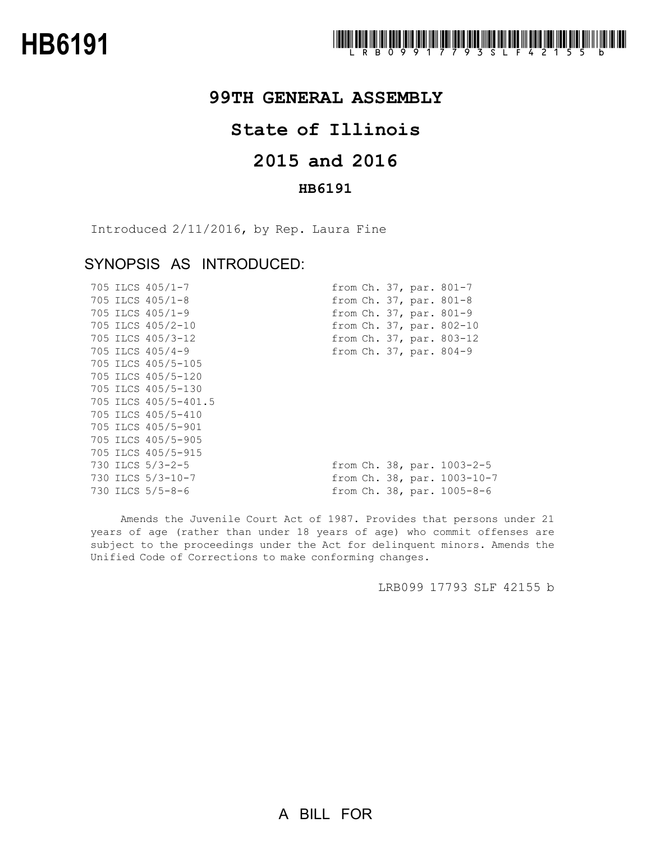

## **99TH GENERAL ASSEMBLY**

# **State of Illinois**

# **2015 and 2016**

### **HB6191**

Introduced 2/11/2016, by Rep. Laura Fine

## SYNOPSIS AS INTRODUCED:

|  | 705 ILCS 405/1-7     |  |  | from Ch. 37, par. 801-7         |
|--|----------------------|--|--|---------------------------------|
|  | 705 ILCS 405/1-8     |  |  | from Ch. 37, par. 801-8         |
|  | 705 ILCS 405/1-9     |  |  | from Ch. 37, par. 801-9         |
|  | 705 ILCS 405/2-10    |  |  | from Ch. 37, par. 802-10        |
|  | 705 ILCS 405/3-12    |  |  | from Ch. 37, par. 803-12        |
|  | 705 ILCS 405/4-9     |  |  | from Ch. 37, par. 804-9         |
|  | 705 ILCS 405/5-105   |  |  |                                 |
|  | 705 ILCS 405/5-120   |  |  |                                 |
|  | 705 ILCS 405/5-130   |  |  |                                 |
|  | 705 ILCS 405/5-401.5 |  |  |                                 |
|  | 705 ILCS 405/5-410   |  |  |                                 |
|  | 705 ILCS 405/5-901   |  |  |                                 |
|  | 705 ILCS 405/5-905   |  |  |                                 |
|  | 705 ILCS 405/5-915   |  |  |                                 |
|  | 730 ILCS 5/3-2-5     |  |  | from Ch. 38, par. 1003-2-5      |
|  | 730 ILCS 5/3-10-7    |  |  | from Ch. 38, par. 1003-10-7     |
|  | 730 ILCS 5/5-8-6     |  |  | from $Ch. 38$ , par. $1005-8-6$ |

Amends the Juvenile Court Act of 1987. Provides that persons under 21 years of age (rather than under 18 years of age) who commit offenses are subject to the proceedings under the Act for delinquent minors. Amends the Unified Code of Corrections to make conforming changes.

LRB099 17793 SLF 42155 b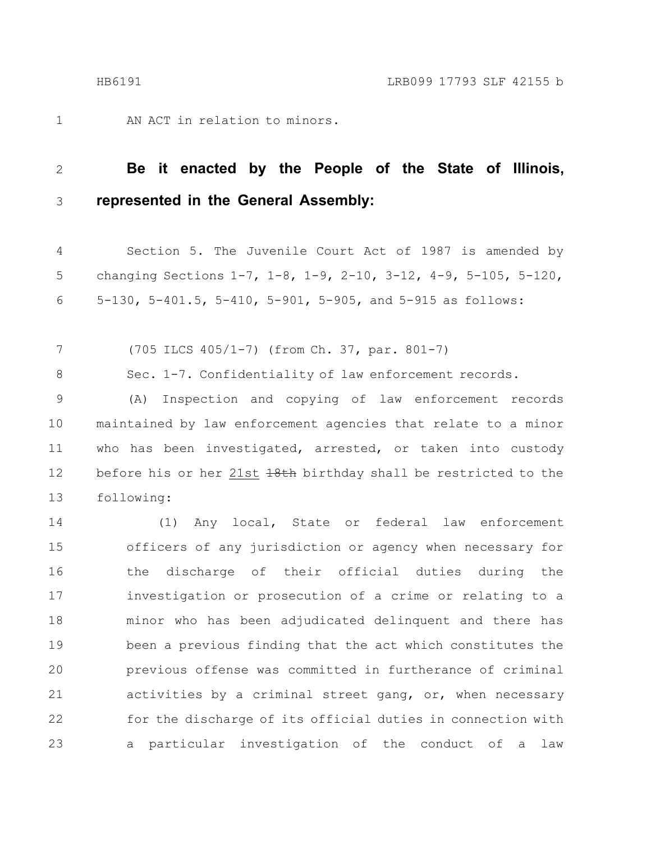AN ACT in relation to minors. 1

#### **Be it enacted by the People of the State of Illinois, represented in the General Assembly:** 2 3

Section 5. The Juvenile Court Act of 1987 is amended by changing Sections 1-7, 1-8, 1-9, 2-10, 3-12, 4-9, 5-105, 5-120, 5-130, 5-401.5, 5-410, 5-901, 5-905, and 5-915 as follows: 4 5 6

(705 ILCS 405/1-7) (from Ch. 37, par. 801-7) 7

Sec. 1-7. Confidentiality of law enforcement records. 8

(A) Inspection and copying of law enforcement records maintained by law enforcement agencies that relate to a minor who has been investigated, arrested, or taken into custody before his or her 21st 18th birthday shall be restricted to the following: 9 10 11 12 13

(1) Any local, State or federal law enforcement officers of any jurisdiction or agency when necessary for the discharge of their official duties during the investigation or prosecution of a crime or relating to a minor who has been adjudicated delinquent and there has been a previous finding that the act which constitutes the previous offense was committed in furtherance of criminal activities by a criminal street gang, or, when necessary for the discharge of its official duties in connection with a particular investigation of the conduct of a law 14 15 16 17 18 19 20 21 22 23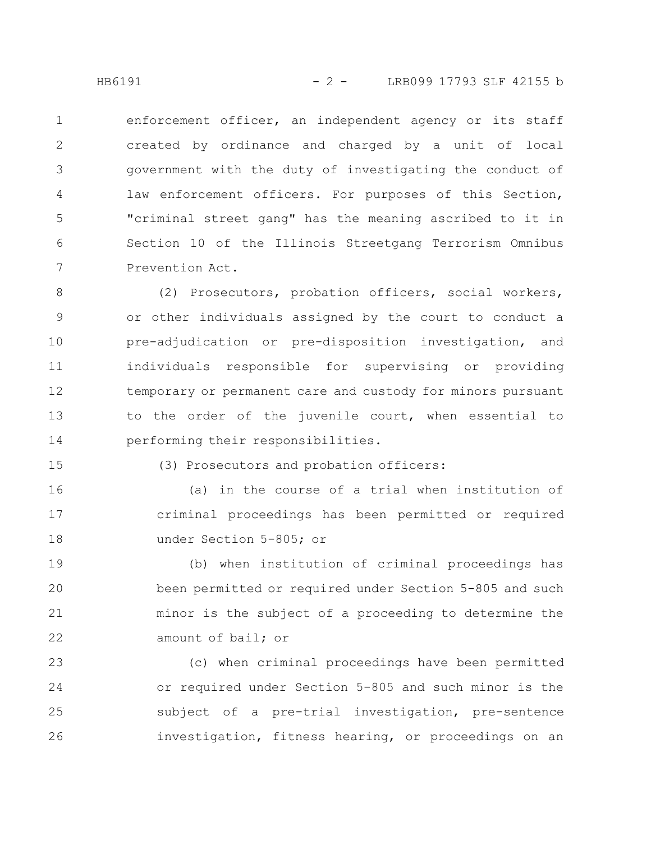enforcement officer, an independent agency or its staff created by ordinance and charged by a unit of local government with the duty of investigating the conduct of law enforcement officers. For purposes of this Section, "criminal street gang" has the meaning ascribed to it in Section 10 of the Illinois Streetgang Terrorism Omnibus Prevention Act. 1 2 3 4 5 6 7

(2) Prosecutors, probation officers, social workers, or other individuals assigned by the court to conduct a pre-adjudication or pre-disposition investigation, and individuals responsible for supervising or providing temporary or permanent care and custody for minors pursuant to the order of the juvenile court, when essential to performing their responsibilities. 8 9 10 11 12 13 14

15

### (3) Prosecutors and probation officers:

(a) in the course of a trial when institution of criminal proceedings has been permitted or required under Section 5-805; or 16 17 18

(b) when institution of criminal proceedings has been permitted or required under Section 5-805 and such minor is the subject of a proceeding to determine the amount of bail; or 19 20 21 22

(c) when criminal proceedings have been permitted or required under Section 5-805 and such minor is the subject of a pre-trial investigation, pre-sentence investigation, fitness hearing, or proceedings on an 23 24 25 26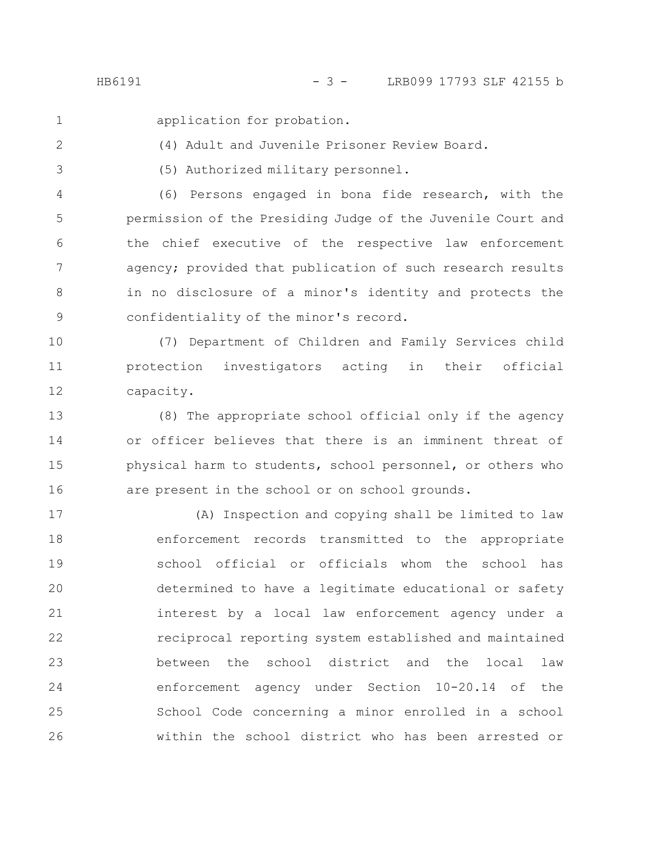1

2

application for probation.

(4) Adult and Juvenile Prisoner Review Board.

(5) Authorized military personnel. 3

(6) Persons engaged in bona fide research, with the permission of the Presiding Judge of the Juvenile Court and the chief executive of the respective law enforcement agency; provided that publication of such research results in no disclosure of a minor's identity and protects the confidentiality of the minor's record. 4 5 6 7 8 9

(7) Department of Children and Family Services child protection investigators acting in their official capacity. 10 11 12

(8) The appropriate school official only if the agency or officer believes that there is an imminent threat of physical harm to students, school personnel, or others who are present in the school or on school grounds. 13 14 15 16

(A) Inspection and copying shall be limited to law enforcement records transmitted to the appropriate school official or officials whom the school has determined to have a legitimate educational or safety interest by a local law enforcement agency under a reciprocal reporting system established and maintained between the school district and the local law enforcement agency under Section 10-20.14 of the School Code concerning a minor enrolled in a school within the school district who has been arrested or 17 18 19 20 21 22 23 24 25 26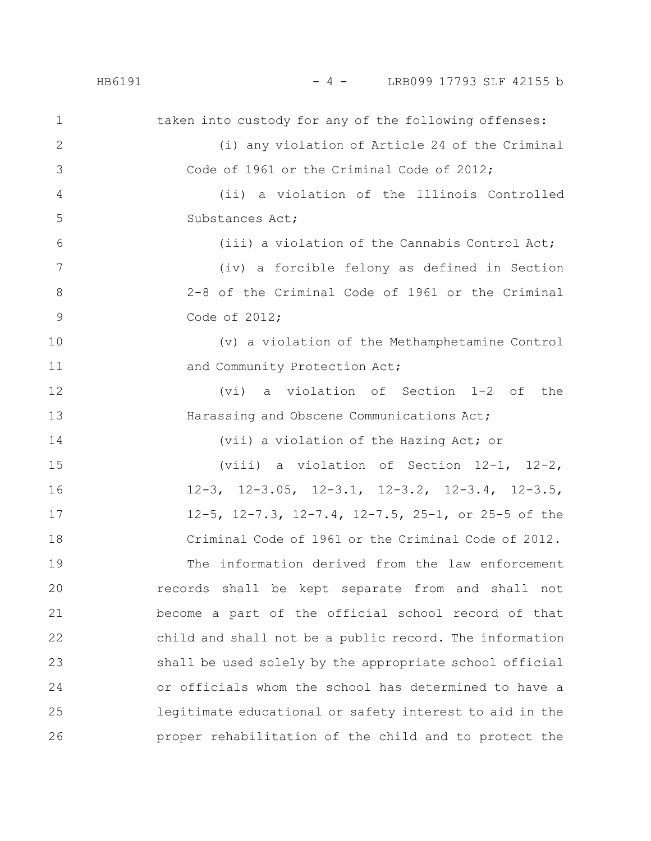### HB6191 - 4 - LRB099 17793 SLF 42155 b

| $\mathbf 1$  | taken into custody for any of the following offenses:            |
|--------------|------------------------------------------------------------------|
| $\mathbf{2}$ | (i) any violation of Article 24 of the Criminal                  |
| 3            | Code of 1961 or the Criminal Code of 2012;                       |
| 4            | (ii) a violation of the Illinois Controlled                      |
| 5            | Substances Act;                                                  |
| 6            | (iii) a violation of the Cannabis Control Act;                   |
| 7            | (iv) a forcible felony as defined in Section                     |
| 8            | 2-8 of the Criminal Code of 1961 or the Criminal                 |
| $\mathsf 9$  | Code of 2012;                                                    |
| 10           | (v) a violation of the Methamphetamine Control                   |
| 11           | and Community Protection Act;                                    |
| 12           | a violation of Section 1-2 of the<br>(vi)                        |
| 13           | Harassing and Obscene Communications Act;                        |
| 14           | (vii) a violation of the Hazing Act; or                          |
| 15           | (viii) a violation of Section $12-1$ , $12-2$ ,                  |
| 16           | $12-3$ , $12-3.05$ , $12-3.1$ , $12-3.2$ , $12-3.4$ , $12-3.5$ , |
| 17           | 12-5, 12-7.3, 12-7.4, 12-7.5, 25-1, or 25-5 of the               |
| 18           | Criminal Code of 1961 or the Criminal Code of 2012.              |
| 19           | The information derived from the law enforcement                 |
| 20           | records shall be kept separate from and shall not                |
| 21           | become a part of the official school record of that              |
| 22           | child and shall not be a public record. The information          |
| 23           | shall be used solely by the appropriate school official          |
| 24           | or officials whom the school has determined to have a            |
| 25           | legitimate educational or safety interest to aid in the          |
| 26           | proper rehabilitation of the child and to protect the            |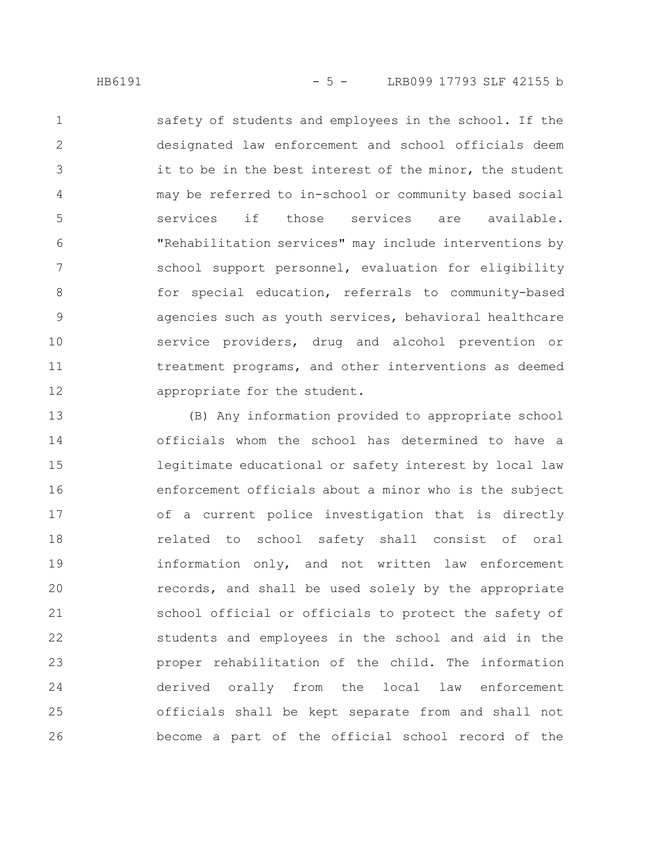safety of students and employees in the school. If the designated law enforcement and school officials deem it to be in the best interest of the minor, the student may be referred to in-school or community based social services if those services are available. "Rehabilitation services" may include interventions by school support personnel, evaluation for eligibility for special education, referrals to community-based agencies such as youth services, behavioral healthcare service providers, drug and alcohol prevention or treatment programs, and other interventions as deemed appropriate for the student. 1 2 3 4 5 6 7 8 9 10 11 12

(B) Any information provided to appropriate school officials whom the school has determined to have a legitimate educational or safety interest by local law enforcement officials about a minor who is the subject of a current police investigation that is directly related to school safety shall consist of oral information only, and not written law enforcement records, and shall be used solely by the appropriate school official or officials to protect the safety of students and employees in the school and aid in the proper rehabilitation of the child. The information derived orally from the local law enforcement officials shall be kept separate from and shall not become a part of the official school record of the 13 14 15 16 17 18 19 20 21 22 23 24 25 26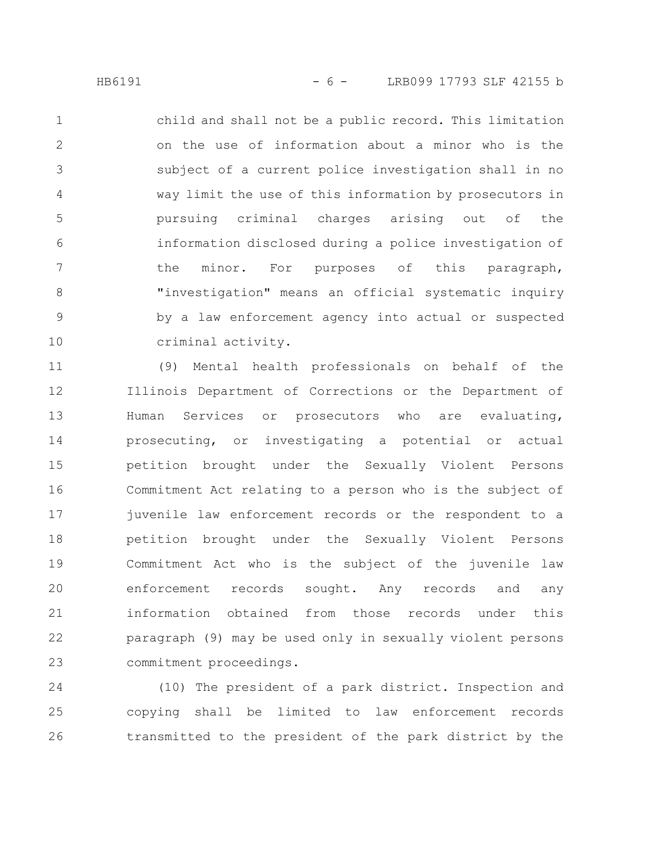child and shall not be a public record. This limitation on the use of information about a minor who is the subject of a current police investigation shall in no way limit the use of this information by prosecutors in pursuing criminal charges arising out of the information disclosed during a police investigation of the minor. For purposes of this paragraph, "investigation" means an official systematic inquiry by a law enforcement agency into actual or suspected criminal activity. 1 2 3 4 5 6 7 8 9 10

(9) Mental health professionals on behalf of the Illinois Department of Corrections or the Department of Human Services or prosecutors who are evaluating, prosecuting, or investigating a potential or actual petition brought under the Sexually Violent Persons Commitment Act relating to a person who is the subject of juvenile law enforcement records or the respondent to a petition brought under the Sexually Violent Persons Commitment Act who is the subject of the juvenile law enforcement records sought. Any records and any information obtained from those records under this paragraph (9) may be used only in sexually violent persons commitment proceedings. 11 12 13 14 15 16 17 18 19 20 21 22 23

(10) The president of a park district. Inspection and copying shall be limited to law enforcement records transmitted to the president of the park district by the 24 25 26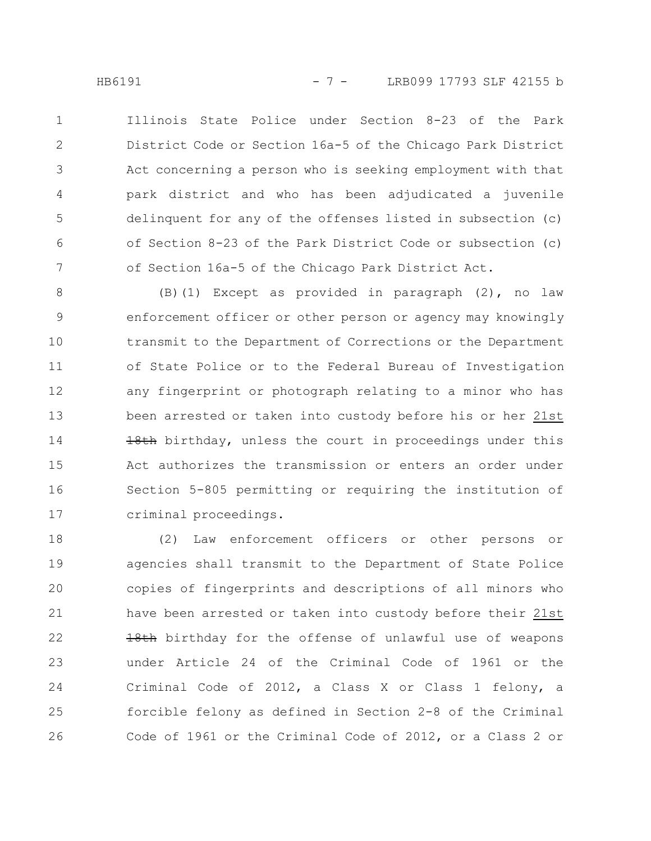Illinois State Police under Section 8-23 of the Park District Code or Section 16a-5 of the Chicago Park District Act concerning a person who is seeking employment with that park district and who has been adjudicated a juvenile delinquent for any of the offenses listed in subsection (c) of Section 8-23 of the Park District Code or subsection (c) of Section 16a-5 of the Chicago Park District Act. 1 2 3 4 5 6 7

(B)(1) Except as provided in paragraph (2), no law enforcement officer or other person or agency may knowingly transmit to the Department of Corrections or the Department of State Police or to the Federal Bureau of Investigation any fingerprint or photograph relating to a minor who has been arrested or taken into custody before his or her 21st 18th birthday, unless the court in proceedings under this Act authorizes the transmission or enters an order under Section 5-805 permitting or requiring the institution of criminal proceedings. 8 9 10 11 12 13 14 15 16 17

(2) Law enforcement officers or other persons or agencies shall transmit to the Department of State Police copies of fingerprints and descriptions of all minors who have been arrested or taken into custody before their 21st 18th birthday for the offense of unlawful use of weapons under Article 24 of the Criminal Code of 1961 or the Criminal Code of 2012, a Class X or Class 1 felony, a forcible felony as defined in Section 2-8 of the Criminal Code of 1961 or the Criminal Code of 2012, or a Class 2 or 18 19 20 21 22 23 24 25 26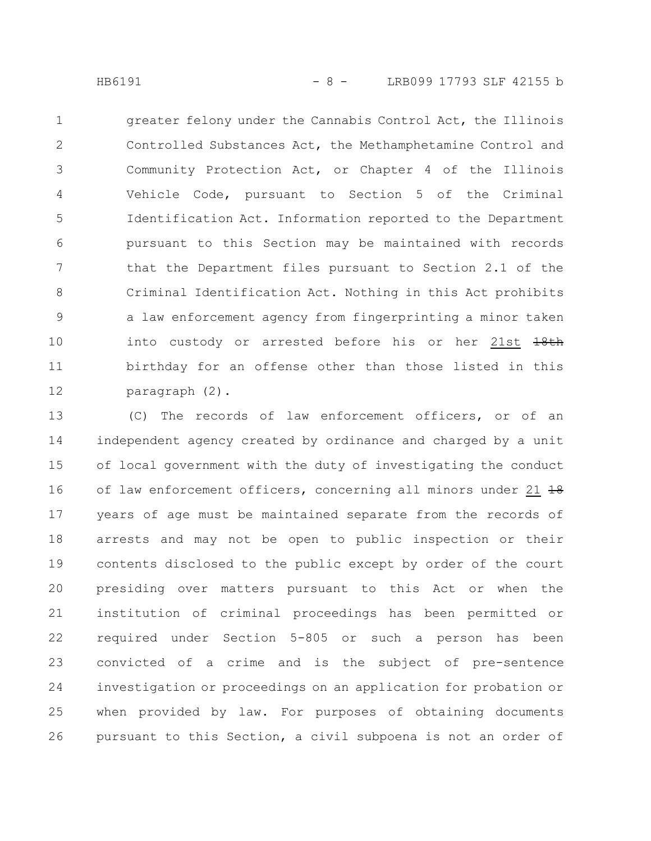greater felony under the Cannabis Control Act, the Illinois Controlled Substances Act, the Methamphetamine Control and Community Protection Act, or Chapter 4 of the Illinois Vehicle Code, pursuant to Section 5 of the Criminal Identification Act. Information reported to the Department pursuant to this Section may be maintained with records that the Department files pursuant to Section 2.1 of the Criminal Identification Act. Nothing in this Act prohibits a law enforcement agency from fingerprinting a minor taken into custody or arrested before his or her 21st  $18th$ birthday for an offense other than those listed in this paragraph (2). 1 2 3 4 5 6 7 8 9 10 11 12

(C) The records of law enforcement officers, or of an independent agency created by ordinance and charged by a unit of local government with the duty of investigating the conduct of law enforcement officers, concerning all minors under 21 18 years of age must be maintained separate from the records of arrests and may not be open to public inspection or their contents disclosed to the public except by order of the court presiding over matters pursuant to this Act or when the institution of criminal proceedings has been permitted or required under Section 5-805 or such a person has been convicted of a crime and is the subject of pre-sentence investigation or proceedings on an application for probation or when provided by law. For purposes of obtaining documents pursuant to this Section, a civil subpoena is not an order of 13 14 15 16 17 18 19 20 21 22 23 24 25 26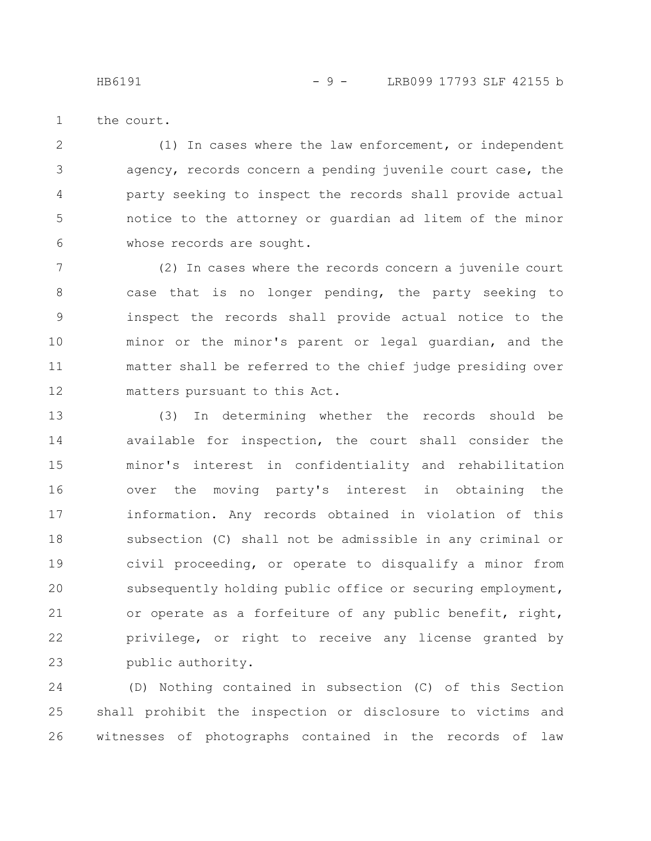HB6191 - 9 - LRB099 17793 SLF 42155 b

the court. 1

(1) In cases where the law enforcement, or independent agency, records concern a pending juvenile court case, the party seeking to inspect the records shall provide actual notice to the attorney or guardian ad litem of the minor whose records are sought. 2 3 4 5 6

(2) In cases where the records concern a juvenile court case that is no longer pending, the party seeking to inspect the records shall provide actual notice to the minor or the minor's parent or legal guardian, and the matter shall be referred to the chief judge presiding over matters pursuant to this Act. 7 8 9 10 11 12

(3) In determining whether the records should be available for inspection, the court shall consider the minor's interest in confidentiality and rehabilitation over the moving party's interest in obtaining the information. Any records obtained in violation of this subsection (C) shall not be admissible in any criminal or civil proceeding, or operate to disqualify a minor from subsequently holding public office or securing employment, or operate as a forfeiture of any public benefit, right, privilege, or right to receive any license granted by public authority. 13 14 15 16 17 18 19 20 21 22 23

(D) Nothing contained in subsection (C) of this Section shall prohibit the inspection or disclosure to victims and witnesses of photographs contained in the records of law 24 25 26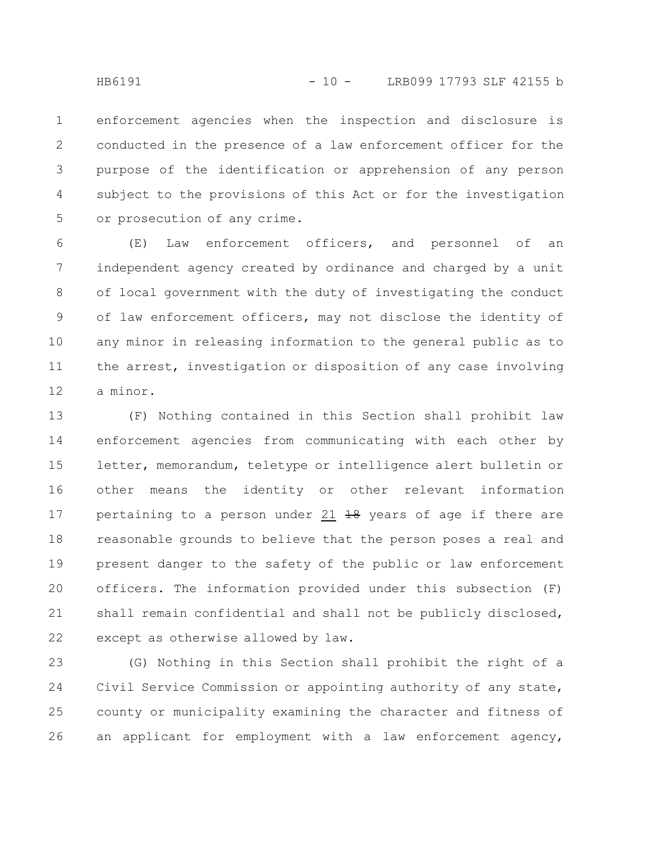enforcement agencies when the inspection and disclosure is conducted in the presence of a law enforcement officer for the purpose of the identification or apprehension of any person subject to the provisions of this Act or for the investigation or prosecution of any crime. 1 2 3 4 5

(E) Law enforcement officers, and personnel of an independent agency created by ordinance and charged by a unit of local government with the duty of investigating the conduct of law enforcement officers, may not disclose the identity of any minor in releasing information to the general public as to the arrest, investigation or disposition of any case involving a minor. 6 7 8 9 10 11 12

(F) Nothing contained in this Section shall prohibit law enforcement agencies from communicating with each other by letter, memorandum, teletype or intelligence alert bulletin or other means the identity or other relevant information pertaining to a person under 21  $\frac{19}{18}$  years of age if there are reasonable grounds to believe that the person poses a real and present danger to the safety of the public or law enforcement officers. The information provided under this subsection (F) shall remain confidential and shall not be publicly disclosed, except as otherwise allowed by law. 13 14 15 16 17 18 19 20 21 22

(G) Nothing in this Section shall prohibit the right of a Civil Service Commission or appointing authority of any state, county or municipality examining the character and fitness of an applicant for employment with a law enforcement agency, 23 24 25 26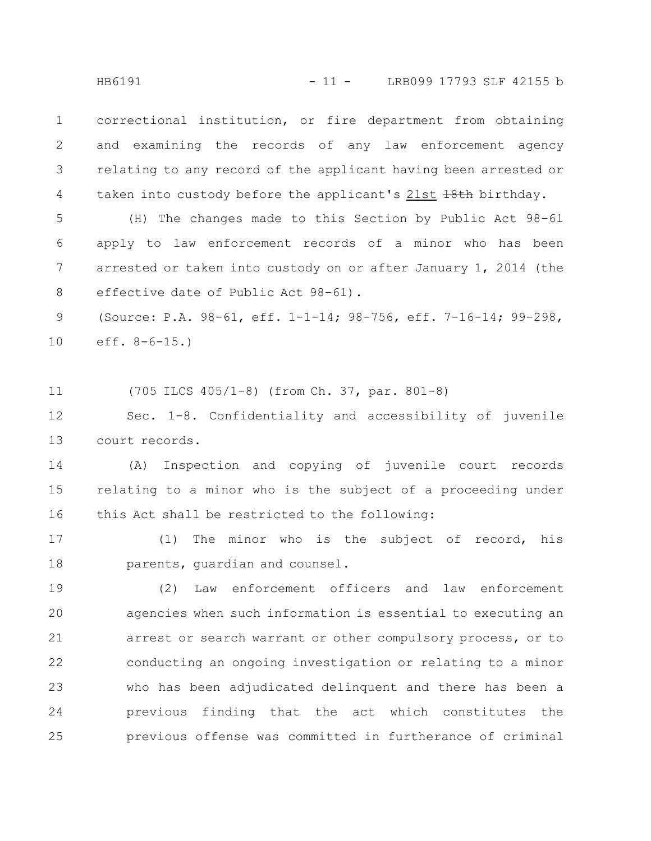correctional institution, or fire department from obtaining and examining the records of any law enforcement agency relating to any record of the applicant having been arrested or taken into custody before the applicant's 21st +8th birthday. 1 2 3 4

(H) The changes made to this Section by Public Act 98-61 apply to law enforcement records of a minor who has been arrested or taken into custody on or after January 1, 2014 (the effective date of Public Act 98-61). 5 6 7 8

(Source: P.A. 98-61, eff. 1-1-14; 98-756, eff. 7-16-14; 99-298, eff.  $8-6-15.$ ) 9 10

(705 ILCS 405/1-8) (from Ch. 37, par. 801-8) 11

Sec. 1-8. Confidentiality and accessibility of juvenile court records. 12 13

(A) Inspection and copying of juvenile court records relating to a minor who is the subject of a proceeding under this Act shall be restricted to the following: 14 15 16

(1) The minor who is the subject of record, his parents, guardian and counsel. 17 18

(2) Law enforcement officers and law enforcement agencies when such information is essential to executing an arrest or search warrant or other compulsory process, or to conducting an ongoing investigation or relating to a minor who has been adjudicated delinquent and there has been a previous finding that the act which constitutes the previous offense was committed in furtherance of criminal 19 20 21 22 23 24 25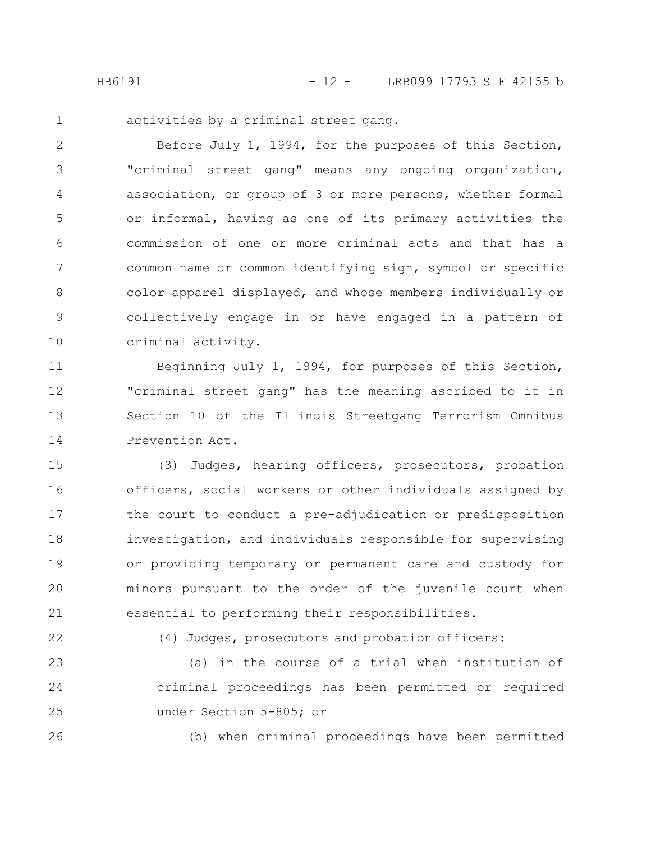1

activities by a criminal street gang.

Before July 1, 1994, for the purposes of this Section, "criminal street gang" means any ongoing organization, association, or group of 3 or more persons, whether formal or informal, having as one of its primary activities the commission of one or more criminal acts and that has a common name or common identifying sign, symbol or specific color apparel displayed, and whose members individually or collectively engage in or have engaged in a pattern of criminal activity. 2 3 4 5 6 7 8 9 10

Beginning July 1, 1994, for purposes of this Section, "criminal street gang" has the meaning ascribed to it in Section 10 of the Illinois Streetgang Terrorism Omnibus Prevention Act. 11 12 13 14

(3) Judges, hearing officers, prosecutors, probation officers, social workers or other individuals assigned by the court to conduct a pre-adjudication or predisposition investigation, and individuals responsible for supervising or providing temporary or permanent care and custody for minors pursuant to the order of the juvenile court when essential to performing their responsibilities. 15 16 17 18 19 20 21

22

(4) Judges, prosecutors and probation officers:

(a) in the course of a trial when institution of criminal proceedings has been permitted or required under Section 5-805; or 23 24 25

26

(b) when criminal proceedings have been permitted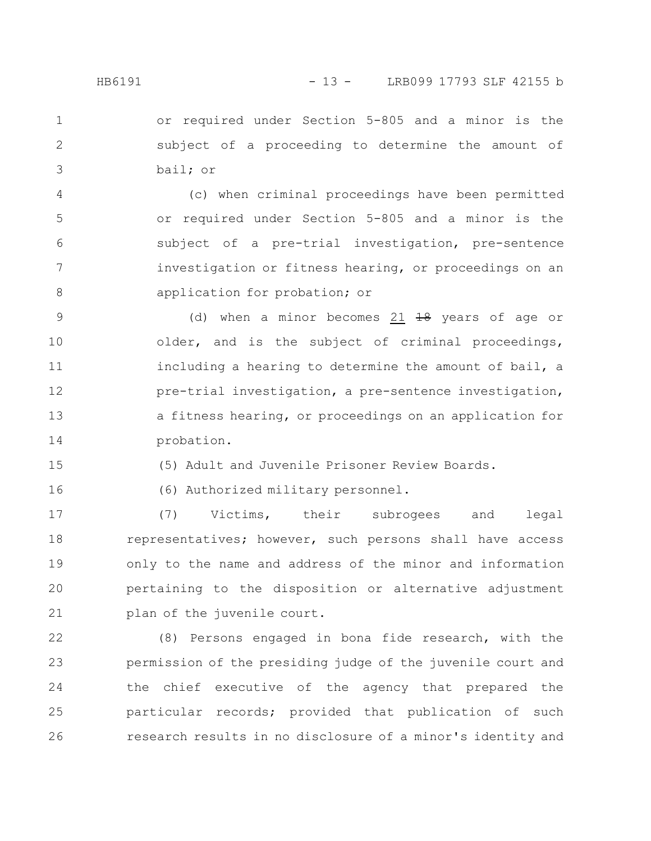or required under Section 5-805 and a minor is the subject of a proceeding to determine the amount of bail; or 1 2 3

(c) when criminal proceedings have been permitted or required under Section 5-805 and a minor is the subject of a pre-trial investigation, pre-sentence investigation or fitness hearing, or proceedings on an application for probation; or 4 5 6 7 8

(d) when a minor becomes 21  $18$  years of age or older, and is the subject of criminal proceedings, including a hearing to determine the amount of bail, a pre-trial investigation, a pre-sentence investigation, a fitness hearing, or proceedings on an application for probation. 9 10 11 12 13 14

(5) Adult and Juvenile Prisoner Review Boards.

16

15

(6) Authorized military personnel.

(7) Victims, their subrogees and legal representatives; however, such persons shall have access only to the name and address of the minor and information pertaining to the disposition or alternative adjustment plan of the juvenile court. 17 18 19 20 21

(8) Persons engaged in bona fide research, with the permission of the presiding judge of the juvenile court and the chief executive of the agency that prepared the particular records; provided that publication of such research results in no disclosure of a minor's identity and 22 23 24 25 26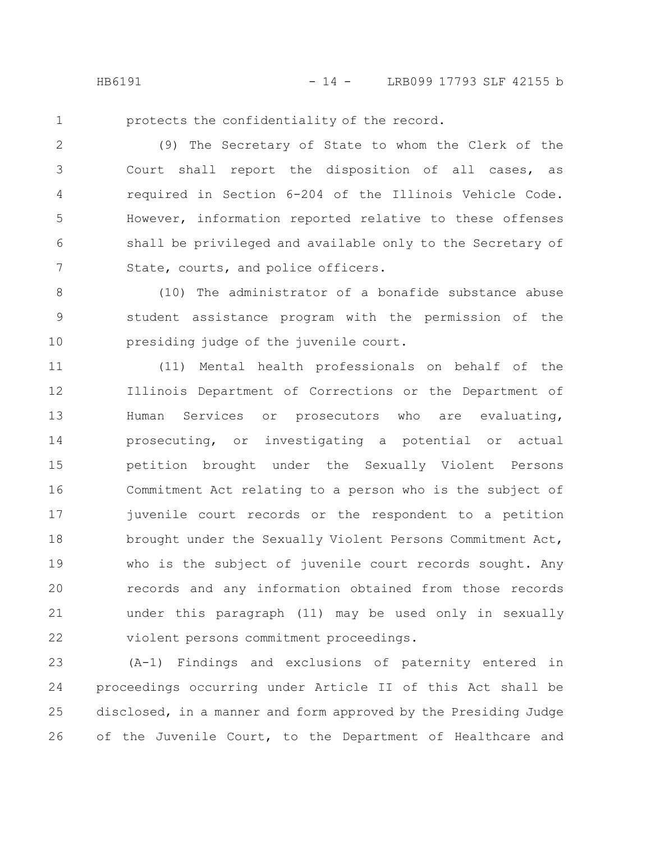1

protects the confidentiality of the record.

(9) The Secretary of State to whom the Clerk of the Court shall report the disposition of all cases, as required in Section 6-204 of the Illinois Vehicle Code. However, information reported relative to these offenses shall be privileged and available only to the Secretary of State, courts, and police officers. 2 3 4 5 6 7

(10) The administrator of a bonafide substance abuse student assistance program with the permission of the presiding judge of the juvenile court. 8 9 10

(11) Mental health professionals on behalf of the Illinois Department of Corrections or the Department of Human Services or prosecutors who are evaluating, prosecuting, or investigating a potential or actual petition brought under the Sexually Violent Persons Commitment Act relating to a person who is the subject of juvenile court records or the respondent to a petition brought under the Sexually Violent Persons Commitment Act, who is the subject of juvenile court records sought. Any records and any information obtained from those records under this paragraph (11) may be used only in sexually violent persons commitment proceedings. 11 12 13 14 15 16 17 18 19 20 21 22

(A-1) Findings and exclusions of paternity entered in proceedings occurring under Article II of this Act shall be disclosed, in a manner and form approved by the Presiding Judge of the Juvenile Court, to the Department of Healthcare and 23 24 25 26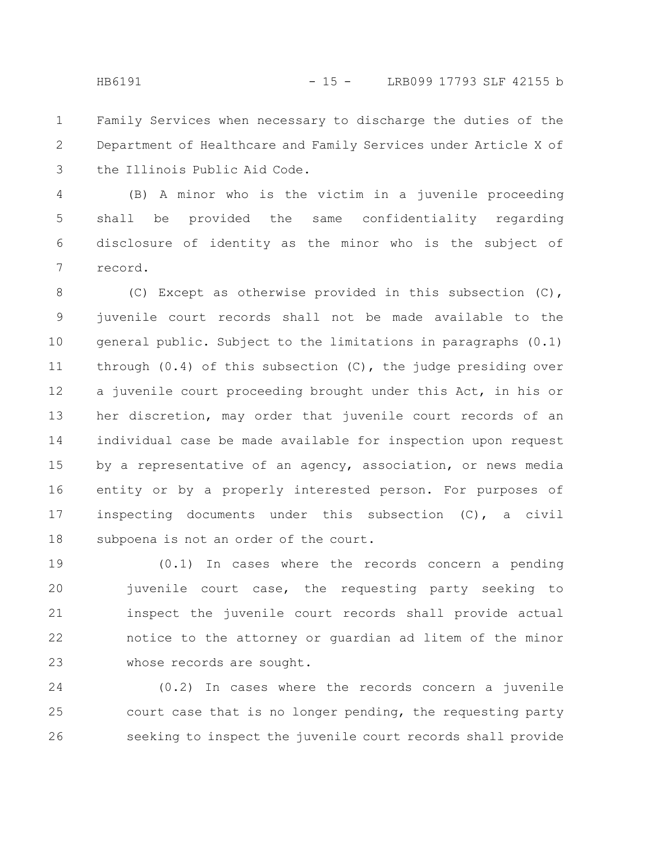Family Services when necessary to discharge the duties of the Department of Healthcare and Family Services under Article X of the Illinois Public Aid Code. 1 2 3

(B) A minor who is the victim in a juvenile proceeding shall be provided the same confidentiality regarding disclosure of identity as the minor who is the subject of record. 4 5 6 7

(C) Except as otherwise provided in this subsection (C), juvenile court records shall not be made available to the general public. Subject to the limitations in paragraphs (0.1) through (0.4) of this subsection (C), the judge presiding over a juvenile court proceeding brought under this Act, in his or her discretion, may order that juvenile court records of an individual case be made available for inspection upon request by a representative of an agency, association, or news media entity or by a properly interested person. For purposes of inspecting documents under this subsection (C), a civil subpoena is not an order of the court. 8 9 10 11 12 13 14 15 16 17 18

(0.1) In cases where the records concern a pending juvenile court case, the requesting party seeking to inspect the juvenile court records shall provide actual notice to the attorney or guardian ad litem of the minor whose records are sought. 19 20 21 22 23

(0.2) In cases where the records concern a juvenile court case that is no longer pending, the requesting party seeking to inspect the juvenile court records shall provide 24 25 26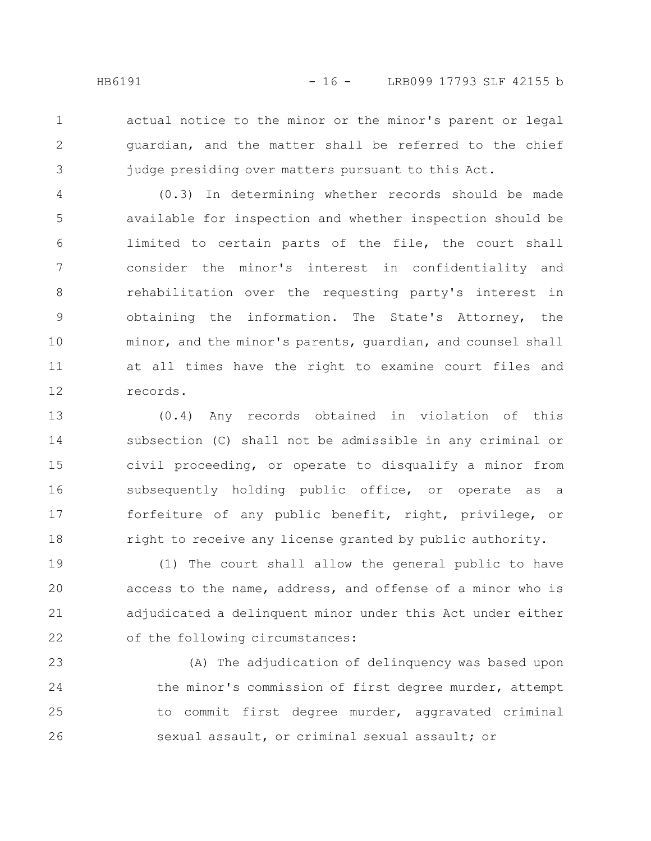actual notice to the minor or the minor's parent or legal guardian, and the matter shall be referred to the chief judge presiding over matters pursuant to this Act.

1

2

3

(0.3) In determining whether records should be made available for inspection and whether inspection should be limited to certain parts of the file, the court shall consider the minor's interest in confidentiality and rehabilitation over the requesting party's interest in obtaining the information. The State's Attorney, the minor, and the minor's parents, guardian, and counsel shall at all times have the right to examine court files and records. 4 5 6 7 8 9 10 11 12

(0.4) Any records obtained in violation of this subsection (C) shall not be admissible in any criminal or civil proceeding, or operate to disqualify a minor from subsequently holding public office, or operate as a forfeiture of any public benefit, right, privilege, or right to receive any license granted by public authority. 13 14 15 16 17 18

(1) The court shall allow the general public to have access to the name, address, and offense of a minor who is adjudicated a delinquent minor under this Act under either of the following circumstances: 19 20 21 22

(A) The adjudication of delinquency was based upon the minor's commission of first degree murder, attempt to commit first degree murder, aggravated criminal sexual assault, or criminal sexual assault; or 23 24 25 26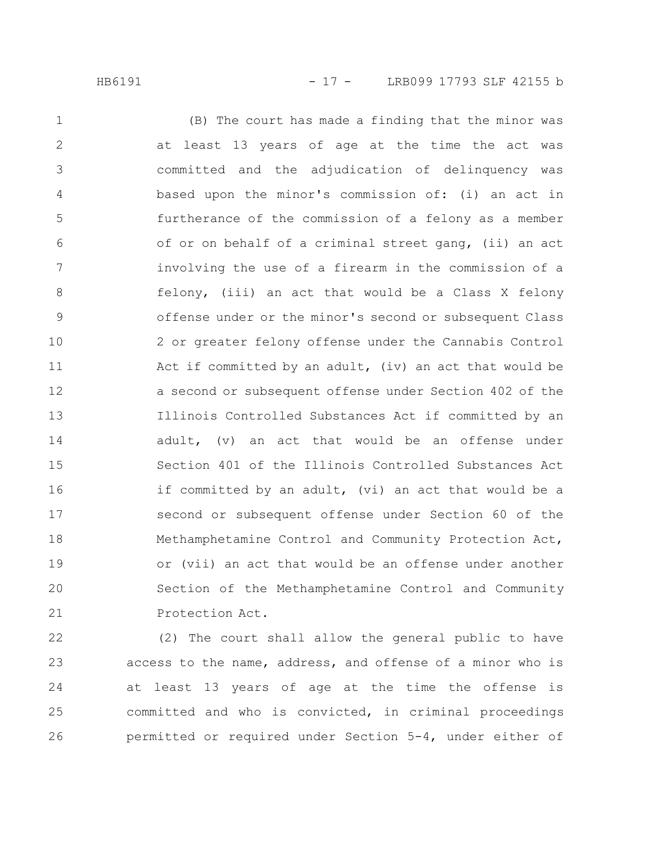#### HB6191 - 17 - LRB099 17793 SLF 42155 b

(B) The court has made a finding that the minor was at least 13 years of age at the time the act was committed and the adjudication of delinquency was based upon the minor's commission of: (i) an act in furtherance of the commission of a felony as a member of or on behalf of a criminal street gang, (ii) an act involving the use of a firearm in the commission of a felony, (iii) an act that would be a Class X felony offense under or the minor's second or subsequent Class 2 or greater felony offense under the Cannabis Control Act if committed by an adult, (iv) an act that would be a second or subsequent offense under Section 402 of the Illinois Controlled Substances Act if committed by an adult, (v) an act that would be an offense under Section 401 of the Illinois Controlled Substances Act if committed by an adult, (vi) an act that would be a second or subsequent offense under Section 60 of the Methamphetamine Control and Community Protection Act, or (vii) an act that would be an offense under another Section of the Methamphetamine Control and Community Protection Act. 1 2 3 4 5 6 7 8 9 10 11 12 13 14 15 16 17 18 19 20 21

(2) The court shall allow the general public to have access to the name, address, and offense of a minor who is at least 13 years of age at the time the offense is committed and who is convicted, in criminal proceedings permitted or required under Section 5-4, under either of 22 23 24 25 26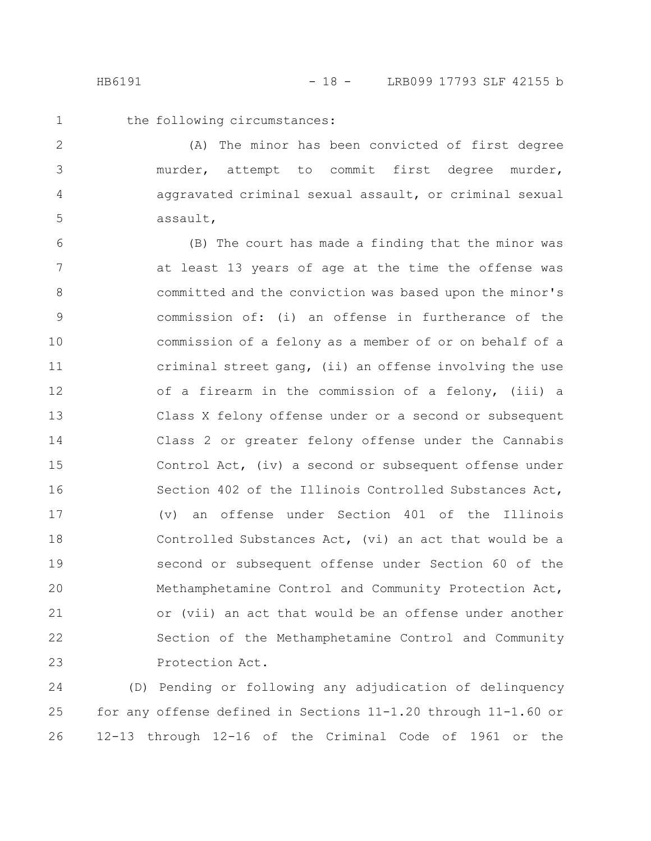1 2

3

4

5

the following circumstances:

(A) The minor has been convicted of first degree murder, attempt to commit first degree murder, aggravated criminal sexual assault, or criminal sexual assault,

(B) The court has made a finding that the minor was at least 13 years of age at the time the offense was committed and the conviction was based upon the minor's commission of: (i) an offense in furtherance of the commission of a felony as a member of or on behalf of a criminal street gang, (ii) an offense involving the use of a firearm in the commission of a felony, (iii) a Class X felony offense under or a second or subsequent Class 2 or greater felony offense under the Cannabis Control Act, (iv) a second or subsequent offense under Section 402 of the Illinois Controlled Substances Act, (v) an offense under Section 401 of the Illinois Controlled Substances Act, (vi) an act that would be a second or subsequent offense under Section 60 of the Methamphetamine Control and Community Protection Act, or (vii) an act that would be an offense under another Section of the Methamphetamine Control and Community Protection Act. 6 7 8 9 10 11 12 13 14 15 16 17 18 19 20 21 22 23

(D) Pending or following any adjudication of delinquency for any offense defined in Sections 11-1.20 through 11-1.60 or 12-13 through 12-16 of the Criminal Code of 1961 or the 24 25 26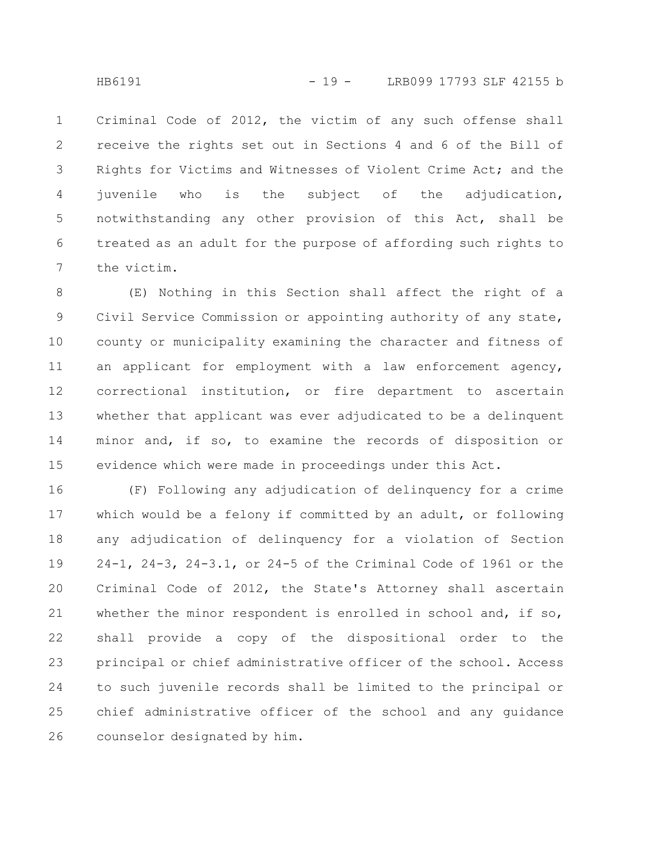Criminal Code of 2012, the victim of any such offense shall receive the rights set out in Sections 4 and 6 of the Bill of Rights for Victims and Witnesses of Violent Crime Act; and the juvenile who is the subject of the adjudication, notwithstanding any other provision of this Act, shall be treated as an adult for the purpose of affording such rights to the victim. 1 2 3 4 5 6 7

(E) Nothing in this Section shall affect the right of a Civil Service Commission or appointing authority of any state, county or municipality examining the character and fitness of an applicant for employment with a law enforcement agency, correctional institution, or fire department to ascertain whether that applicant was ever adjudicated to be a delinquent minor and, if so, to examine the records of disposition or evidence which were made in proceedings under this Act. 8 9 10 11 12 13 14 15

(F) Following any adjudication of delinquency for a crime which would be a felony if committed by an adult, or following any adjudication of delinquency for a violation of Section 24-1, 24-3, 24-3.1, or 24-5 of the Criminal Code of 1961 or the Criminal Code of 2012, the State's Attorney shall ascertain whether the minor respondent is enrolled in school and, if so, shall provide a copy of the dispositional order to the principal or chief administrative officer of the school. Access to such juvenile records shall be limited to the principal or chief administrative officer of the school and any guidance counselor designated by him. 16 17 18 19 20 21 22 23 24 25 26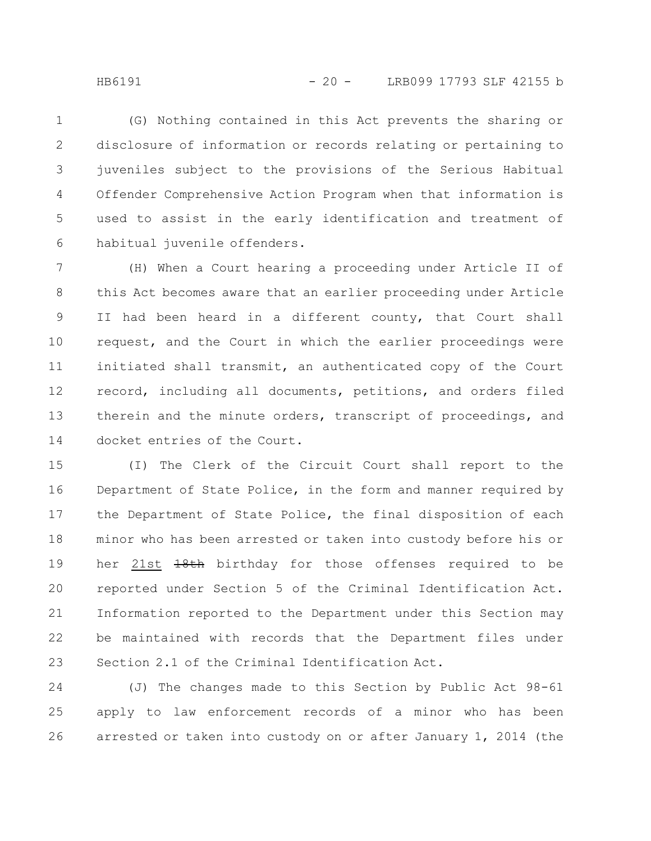(G) Nothing contained in this Act prevents the sharing or disclosure of information or records relating or pertaining to juveniles subject to the provisions of the Serious Habitual Offender Comprehensive Action Program when that information is used to assist in the early identification and treatment of habitual juvenile offenders. 1 2 3 4 5 6

(H) When a Court hearing a proceeding under Article II of this Act becomes aware that an earlier proceeding under Article II had been heard in a different county, that Court shall request, and the Court in which the earlier proceedings were initiated shall transmit, an authenticated copy of the Court record, including all documents, petitions, and orders filed therein and the minute orders, transcript of proceedings, and docket entries of the Court. 7 8 9 10 11 12 13 14

(I) The Clerk of the Circuit Court shall report to the Department of State Police, in the form and manner required by the Department of State Police, the final disposition of each minor who has been arrested or taken into custody before his or her 21st 18th birthday for those offenses required to be reported under Section 5 of the Criminal Identification Act. Information reported to the Department under this Section may be maintained with records that the Department files under Section 2.1 of the Criminal Identification Act. 15 16 17 18 19 20 21 22 23

(J) The changes made to this Section by Public Act 98-61 apply to law enforcement records of a minor who has been arrested or taken into custody on or after January 1, 2014 (the 24 25 26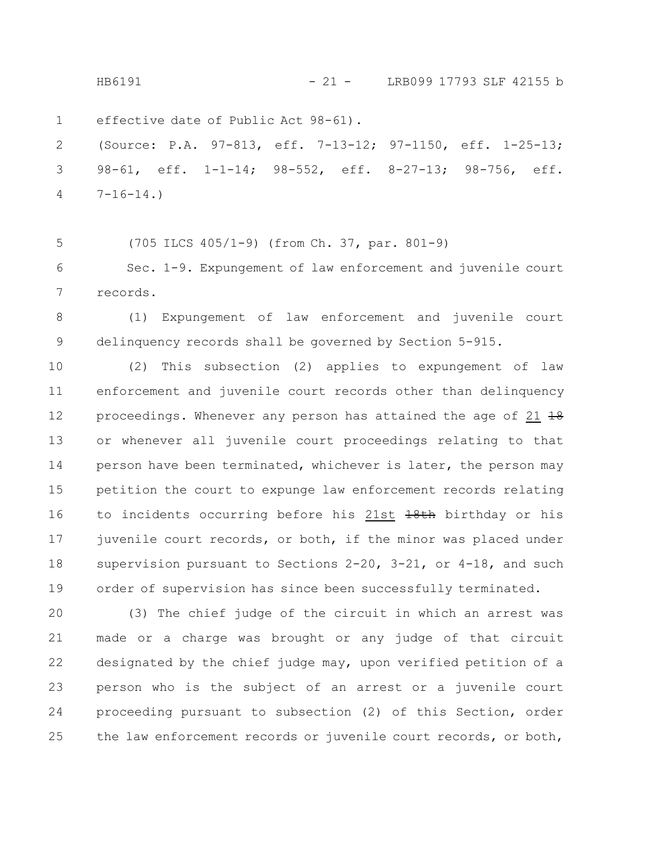HB6191 - 21 - LRB099 17793 SLF 42155 b

effective date of Public Act 98-61). 1

(Source: P.A. 97-813, eff. 7-13-12; 97-1150, eff. 1-25-13; 98-61, eff. 1-1-14; 98-552, eff. 8-27-13; 98-756, eff.  $7-16-14.$ 2 3 4

(705 ILCS 405/1-9) (from Ch. 37, par. 801-9) 5

Sec. 1-9. Expungement of law enforcement and juvenile court records. 6 7

(1) Expungement of law enforcement and juvenile court delinquency records shall be governed by Section 5-915. 8 9

(2) This subsection (2) applies to expungement of law enforcement and juvenile court records other than delinquency proceedings. Whenever any person has attained the age of  $21$   $\frac{19}{18}$ or whenever all juvenile court proceedings relating to that person have been terminated, whichever is later, the person may petition the court to expunge law enforcement records relating to incidents occurring before his 21st  $\frac{1}{8}$ th birthday or his juvenile court records, or both, if the minor was placed under supervision pursuant to Sections 2-20, 3-21, or 4-18, and such order of supervision has since been successfully terminated. 10 11 12 13 14 15 16 17 18 19

(3) The chief judge of the circuit in which an arrest was made or a charge was brought or any judge of that circuit designated by the chief judge may, upon verified petition of a person who is the subject of an arrest or a juvenile court proceeding pursuant to subsection (2) of this Section, order the law enforcement records or juvenile court records, or both, 20 21 22 23 24 25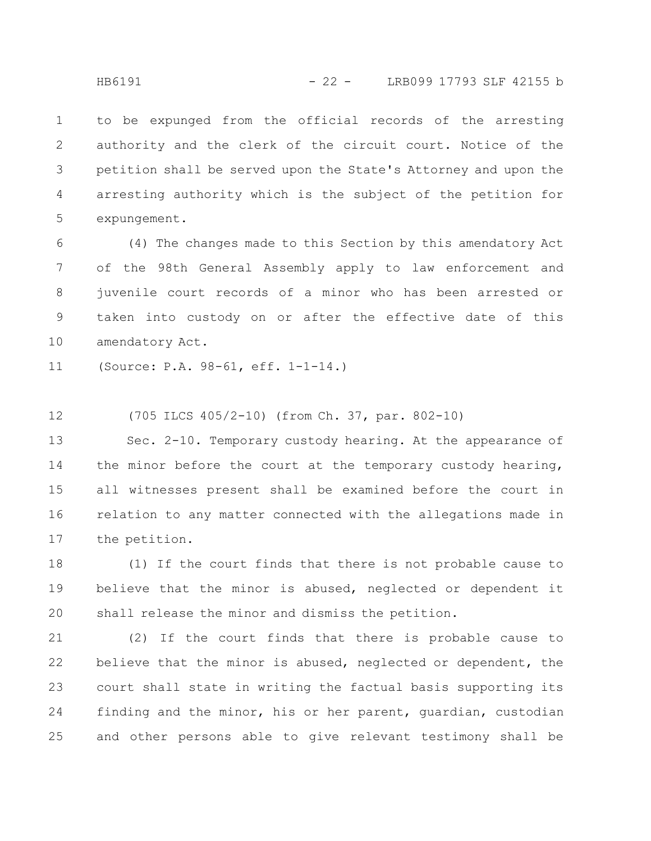to be expunged from the official records of the arresting authority and the clerk of the circuit court. Notice of the petition shall be served upon the State's Attorney and upon the arresting authority which is the subject of the petition for expungement. 1 2 3 4 5

(4) The changes made to this Section by this amendatory Act of the 98th General Assembly apply to law enforcement and juvenile court records of a minor who has been arrested or taken into custody on or after the effective date of this amendatory Act. 6 7 8 9 10

(Source: P.A. 98-61, eff. 1-1-14.) 11

(705 ILCS 405/2-10) (from Ch. 37, par. 802-10) 12

Sec. 2-10. Temporary custody hearing. At the appearance of the minor before the court at the temporary custody hearing, all witnesses present shall be examined before the court in relation to any matter connected with the allegations made in the petition. 13 14 15 16 17

(1) If the court finds that there is not probable cause to believe that the minor is abused, neglected or dependent it shall release the minor and dismiss the petition. 18 19 20

(2) If the court finds that there is probable cause to believe that the minor is abused, neglected or dependent, the court shall state in writing the factual basis supporting its finding and the minor, his or her parent, guardian, custodian and other persons able to give relevant testimony shall be 21 22 23 24 25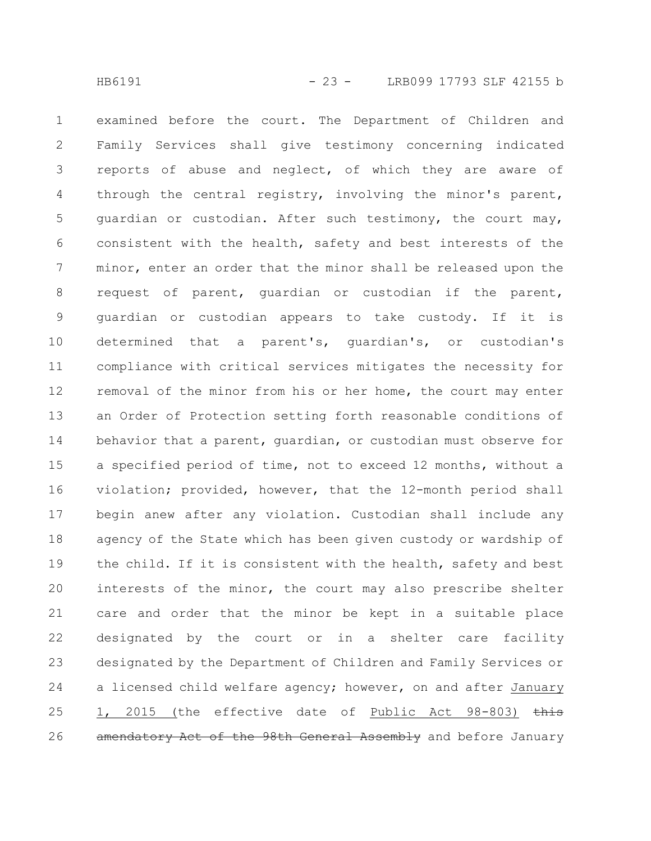examined before the court. The Department of Children and Family Services shall give testimony concerning indicated reports of abuse and neglect, of which they are aware of through the central registry, involving the minor's parent, guardian or custodian. After such testimony, the court may, consistent with the health, safety and best interests of the minor, enter an order that the minor shall be released upon the request of parent, guardian or custodian if the parent, guardian or custodian appears to take custody. If it is determined that a parent's, guardian's, or custodian's compliance with critical services mitigates the necessity for removal of the minor from his or her home, the court may enter an Order of Protection setting forth reasonable conditions of behavior that a parent, guardian, or custodian must observe for a specified period of time, not to exceed 12 months, without a violation; provided, however, that the 12-month period shall begin anew after any violation. Custodian shall include any agency of the State which has been given custody or wardship of the child. If it is consistent with the health, safety and best interests of the minor, the court may also prescribe shelter care and order that the minor be kept in a suitable place designated by the court or in a shelter care facility designated by the Department of Children and Family Services or a licensed child welfare agency; however, on and after January 1, 2015 (the effective date of Public Act 98-803) this amendatory Act of the 98th General Assembly and before January 1 2 3 4 5 6 7 8 9 10 11 12 13 14 15 16 17 18 19 20 21 22 23 24 25 26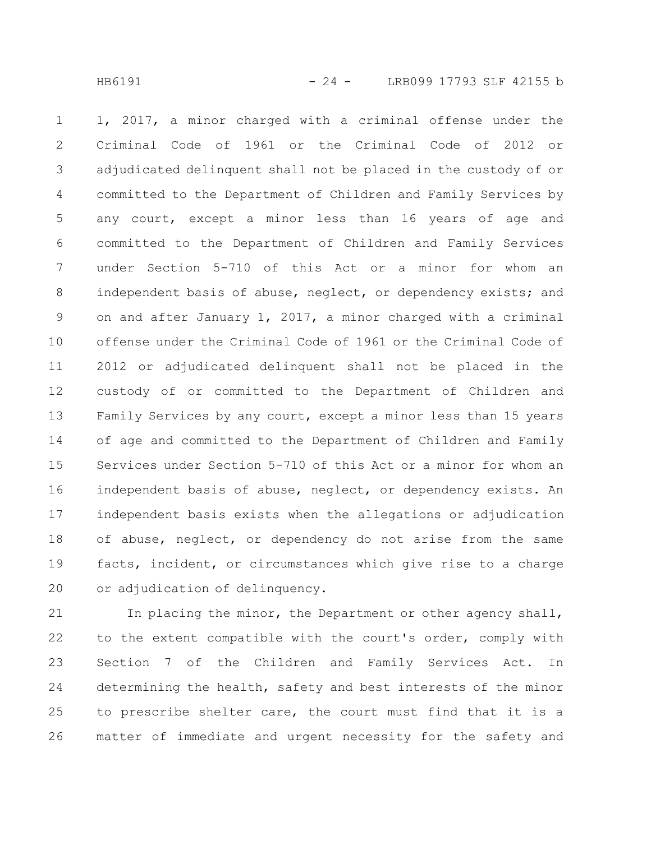1, 2017, a minor charged with a criminal offense under the Criminal Code of 1961 or the Criminal Code of 2012 or adjudicated delinquent shall not be placed in the custody of or committed to the Department of Children and Family Services by any court, except a minor less than 16 years of age and committed to the Department of Children and Family Services under Section 5-710 of this Act or a minor for whom an independent basis of abuse, neglect, or dependency exists; and on and after January 1, 2017, a minor charged with a criminal offense under the Criminal Code of 1961 or the Criminal Code of 2012 or adjudicated delinquent shall not be placed in the custody of or committed to the Department of Children and Family Services by any court, except a minor less than 15 years of age and committed to the Department of Children and Family Services under Section 5-710 of this Act or a minor for whom an independent basis of abuse, neglect, or dependency exists. An independent basis exists when the allegations or adjudication of abuse, neglect, or dependency do not arise from the same facts, incident, or circumstances which give rise to a charge or adjudication of delinquency. 1 2 3 4 5 6 7 8 9 10 11 12 13 14 15 16 17 18 19 20

In placing the minor, the Department or other agency shall, to the extent compatible with the court's order, comply with Section 7 of the Children and Family Services Act. In determining the health, safety and best interests of the minor to prescribe shelter care, the court must find that it is a matter of immediate and urgent necessity for the safety and 21 22 23 24 25 26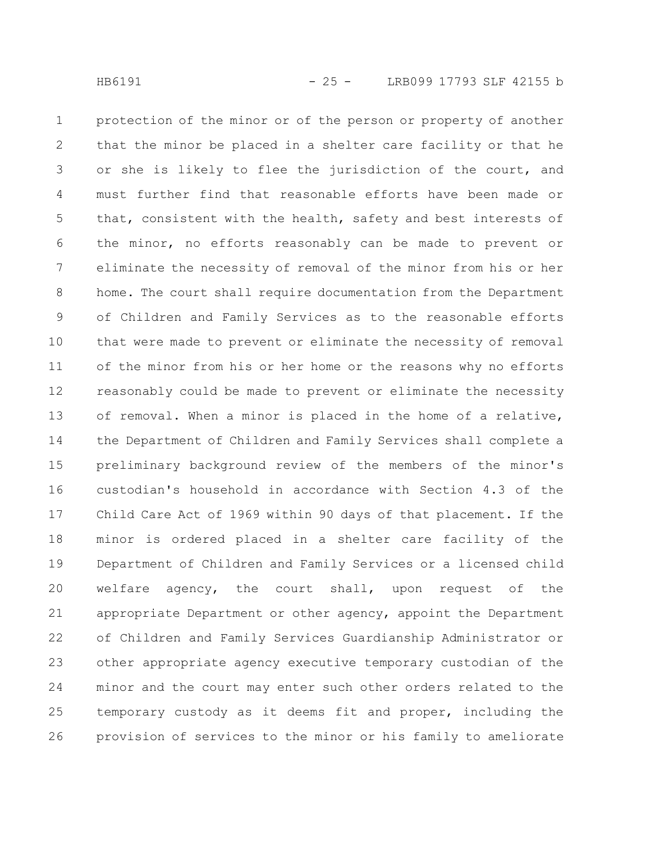protection of the minor or of the person or property of another that the minor be placed in a shelter care facility or that he or she is likely to flee the jurisdiction of the court, and must further find that reasonable efforts have been made or that, consistent with the health, safety and best interests of the minor, no efforts reasonably can be made to prevent or eliminate the necessity of removal of the minor from his or her home. The court shall require documentation from the Department of Children and Family Services as to the reasonable efforts that were made to prevent or eliminate the necessity of removal of the minor from his or her home or the reasons why no efforts reasonably could be made to prevent or eliminate the necessity of removal. When a minor is placed in the home of a relative, the Department of Children and Family Services shall complete a preliminary background review of the members of the minor's custodian's household in accordance with Section 4.3 of the Child Care Act of 1969 within 90 days of that placement. If the minor is ordered placed in a shelter care facility of the Department of Children and Family Services or a licensed child welfare agency, the court shall, upon request of the appropriate Department or other agency, appoint the Department of Children and Family Services Guardianship Administrator or other appropriate agency executive temporary custodian of the minor and the court may enter such other orders related to the temporary custody as it deems fit and proper, including the provision of services to the minor or his family to ameliorate 1 2 3 4 5 6 7 8 9 10 11 12 13 14 15 16 17 18 19 20 21 22 23 24 25 26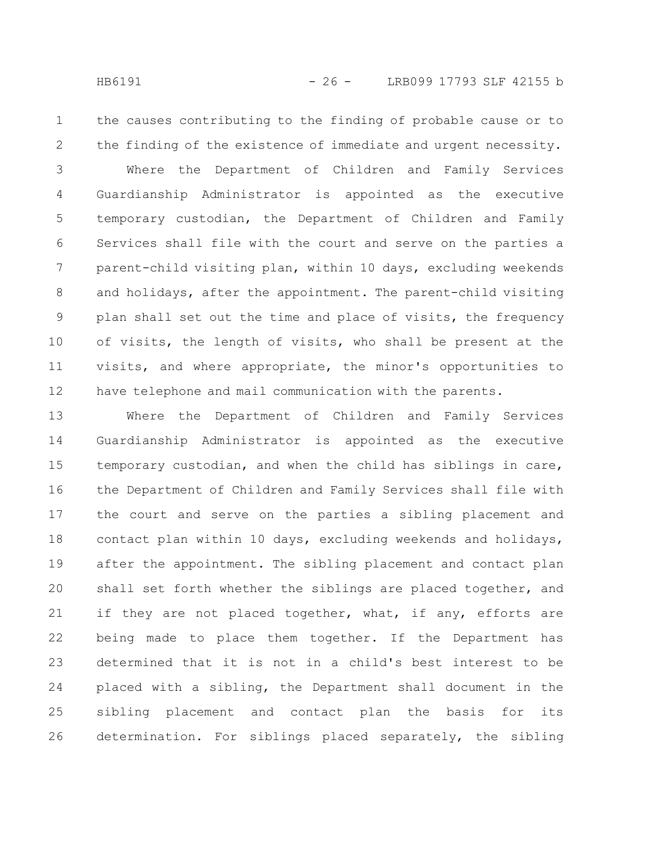1

2

the causes contributing to the finding of probable cause or to the finding of the existence of immediate and urgent necessity.

Where the Department of Children and Family Services Guardianship Administrator is appointed as the executive temporary custodian, the Department of Children and Family Services shall file with the court and serve on the parties a parent-child visiting plan, within 10 days, excluding weekends and holidays, after the appointment. The parent-child visiting plan shall set out the time and place of visits, the frequency of visits, the length of visits, who shall be present at the visits, and where appropriate, the minor's opportunities to have telephone and mail communication with the parents. 3 4 5 6 7 8 9 10 11 12

Where the Department of Children and Family Services Guardianship Administrator is appointed as the executive temporary custodian, and when the child has siblings in care, the Department of Children and Family Services shall file with the court and serve on the parties a sibling placement and contact plan within 10 days, excluding weekends and holidays, after the appointment. The sibling placement and contact plan shall set forth whether the siblings are placed together, and if they are not placed together, what, if any, efforts are being made to place them together. If the Department has determined that it is not in a child's best interest to be placed with a sibling, the Department shall document in the sibling placement and contact plan the basis for its determination. For siblings placed separately, the sibling 13 14 15 16 17 18 19 20 21 22 23 24 25 26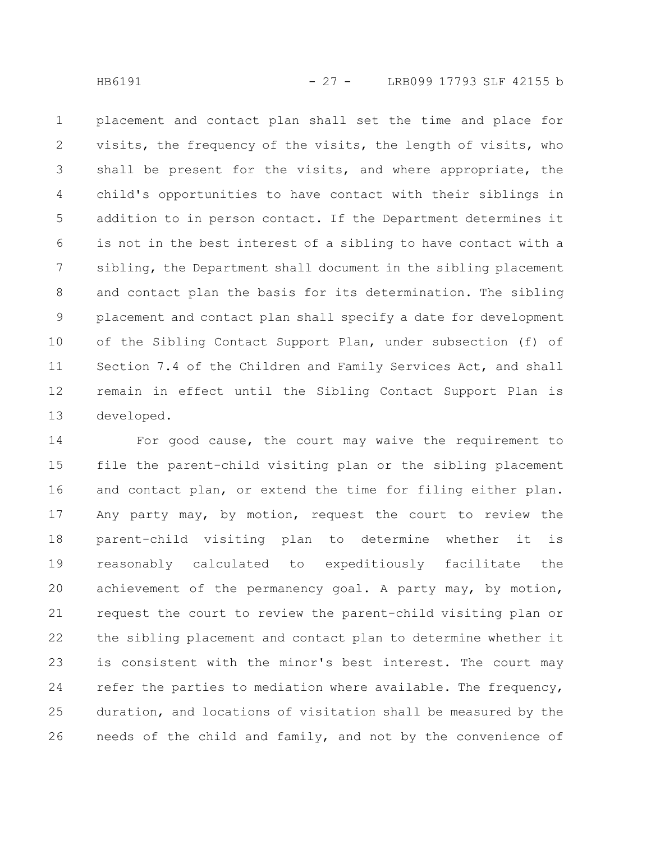placement and contact plan shall set the time and place for visits, the frequency of the visits, the length of visits, who shall be present for the visits, and where appropriate, the child's opportunities to have contact with their siblings in addition to in person contact. If the Department determines it is not in the best interest of a sibling to have contact with a sibling, the Department shall document in the sibling placement and contact plan the basis for its determination. The sibling placement and contact plan shall specify a date for development of the Sibling Contact Support Plan, under subsection (f) of Section 7.4 of the Children and Family Services Act, and shall remain in effect until the Sibling Contact Support Plan is developed. 1 2 3 4 5 6 7 8 9 10 11 12 13

For good cause, the court may waive the requirement to file the parent-child visiting plan or the sibling placement and contact plan, or extend the time for filing either plan. Any party may, by motion, request the court to review the parent-child visiting plan to determine whether it is reasonably calculated to expeditiously facilitate the achievement of the permanency goal. A party may, by motion, request the court to review the parent-child visiting plan or the sibling placement and contact plan to determine whether it is consistent with the minor's best interest. The court may refer the parties to mediation where available. The frequency, duration, and locations of visitation shall be measured by the needs of the child and family, and not by the convenience of 14 15 16 17 18 19 20 21 22 23 24 25 26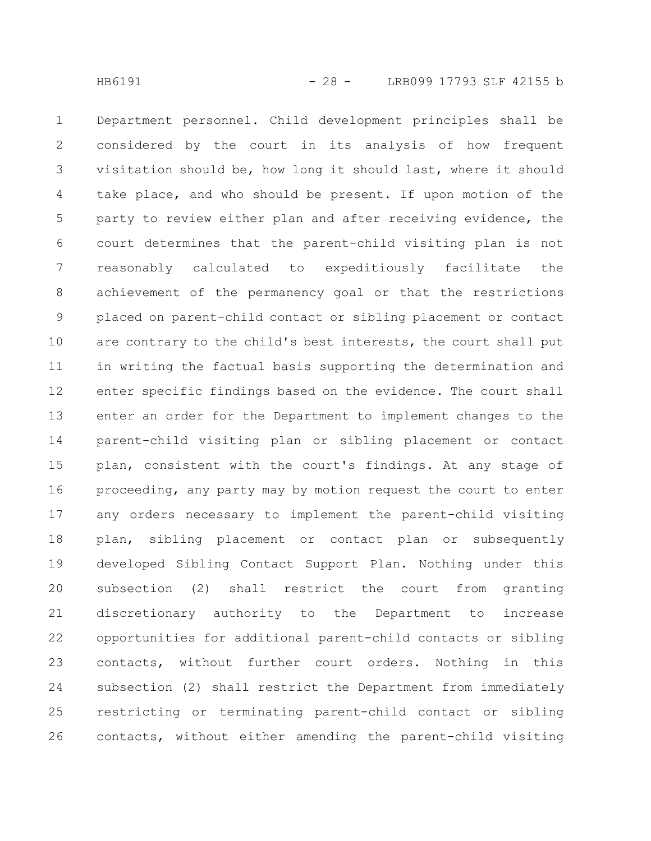Department personnel. Child development principles shall be considered by the court in its analysis of how frequent visitation should be, how long it should last, where it should take place, and who should be present. If upon motion of the party to review either plan and after receiving evidence, the court determines that the parent-child visiting plan is not reasonably calculated to expeditiously facilitate the achievement of the permanency goal or that the restrictions placed on parent-child contact or sibling placement or contact are contrary to the child's best interests, the court shall put in writing the factual basis supporting the determination and enter specific findings based on the evidence. The court shall enter an order for the Department to implement changes to the parent-child visiting plan or sibling placement or contact plan, consistent with the court's findings. At any stage of proceeding, any party may by motion request the court to enter any orders necessary to implement the parent-child visiting plan, sibling placement or contact plan or subsequently developed Sibling Contact Support Plan. Nothing under this subsection (2) shall restrict the court from granting discretionary authority to the Department to increase opportunities for additional parent-child contacts or sibling contacts, without further court orders. Nothing in this subsection (2) shall restrict the Department from immediately restricting or terminating parent-child contact or sibling contacts, without either amending the parent-child visiting 1 2 3 4 5 6 7 8 9 10 11 12 13 14 15 16 17 18 19 20 21 22 23 24 25 26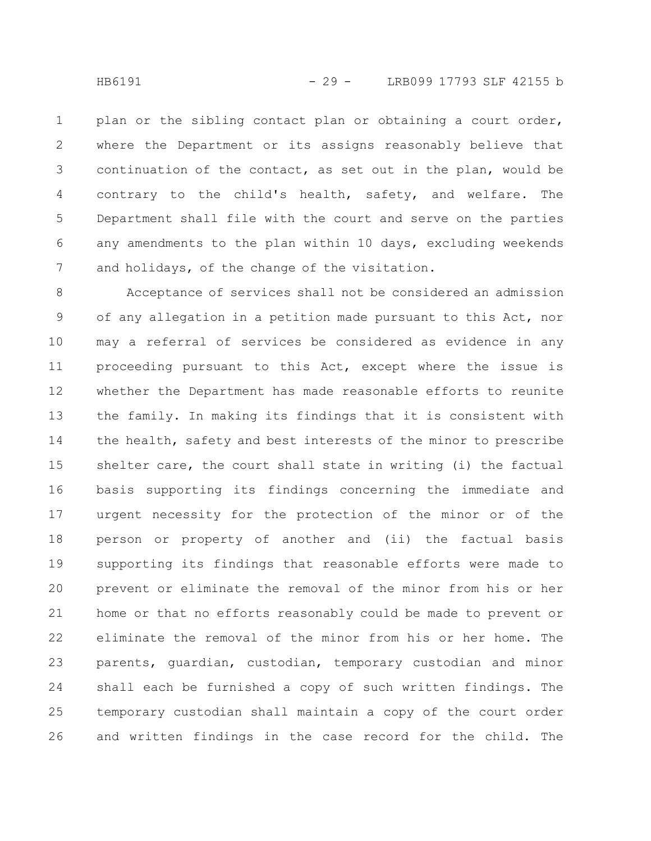plan or the sibling contact plan or obtaining a court order, where the Department or its assigns reasonably believe that continuation of the contact, as set out in the plan, would be contrary to the child's health, safety, and welfare. The Department shall file with the court and serve on the parties any amendments to the plan within 10 days, excluding weekends and holidays, of the change of the visitation. 1 2 3 4 5 6 7

Acceptance of services shall not be considered an admission of any allegation in a petition made pursuant to this Act, nor may a referral of services be considered as evidence in any proceeding pursuant to this Act, except where the issue is whether the Department has made reasonable efforts to reunite the family. In making its findings that it is consistent with the health, safety and best interests of the minor to prescribe shelter care, the court shall state in writing (i) the factual basis supporting its findings concerning the immediate and urgent necessity for the protection of the minor or of the person or property of another and (ii) the factual basis supporting its findings that reasonable efforts were made to prevent or eliminate the removal of the minor from his or her home or that no efforts reasonably could be made to prevent or eliminate the removal of the minor from his or her home. The parents, guardian, custodian, temporary custodian and minor shall each be furnished a copy of such written findings. The temporary custodian shall maintain a copy of the court order and written findings in the case record for the child. The 8 9 10 11 12 13 14 15 16 17 18 19 20 21 22 23 24 25 26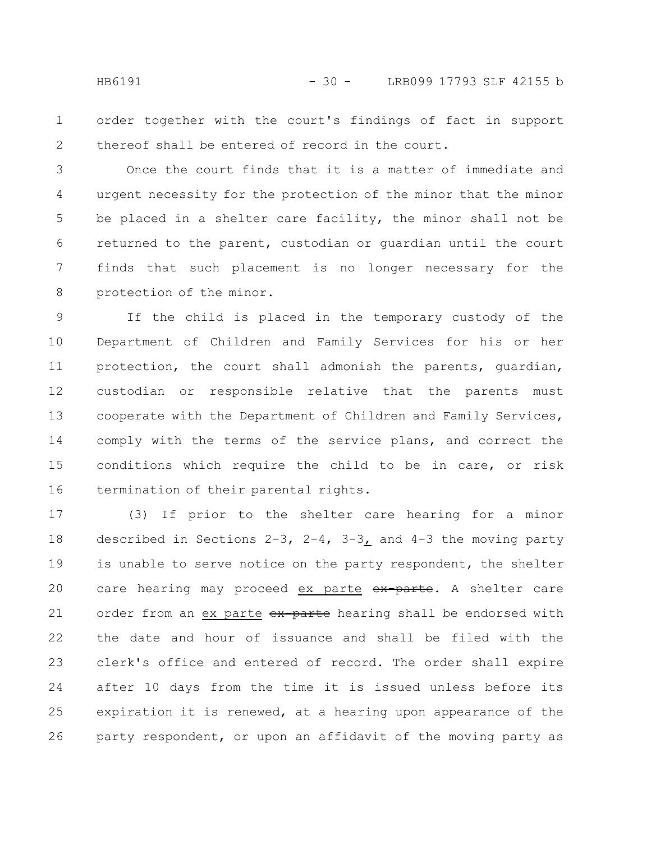order together with the court's findings of fact in support thereof shall be entered of record in the court. 1 2

Once the court finds that it is a matter of immediate and urgent necessity for the protection of the minor that the minor be placed in a shelter care facility, the minor shall not be returned to the parent, custodian or guardian until the court finds that such placement is no longer necessary for the protection of the minor. 3 4 5 6 7 8

If the child is placed in the temporary custody of the Department of Children and Family Services for his or her protection, the court shall admonish the parents, guardian, custodian or responsible relative that the parents must cooperate with the Department of Children and Family Services, comply with the terms of the service plans, and correct the conditions which require the child to be in care, or risk termination of their parental rights. 9 10 11 12 13 14 15 16

(3) If prior to the shelter care hearing for a minor described in Sections 2-3, 2-4, 3-3, and 4-3 the moving party is unable to serve notice on the party respondent, the shelter care hearing may proceed ex parte ex-parte. A shelter care order from an ex parte ex-parte hearing shall be endorsed with the date and hour of issuance and shall be filed with the clerk's office and entered of record. The order shall expire after 10 days from the time it is issued unless before its expiration it is renewed, at a hearing upon appearance of the party respondent, or upon an affidavit of the moving party as 17 18 19 20 21 22 23 24 25 26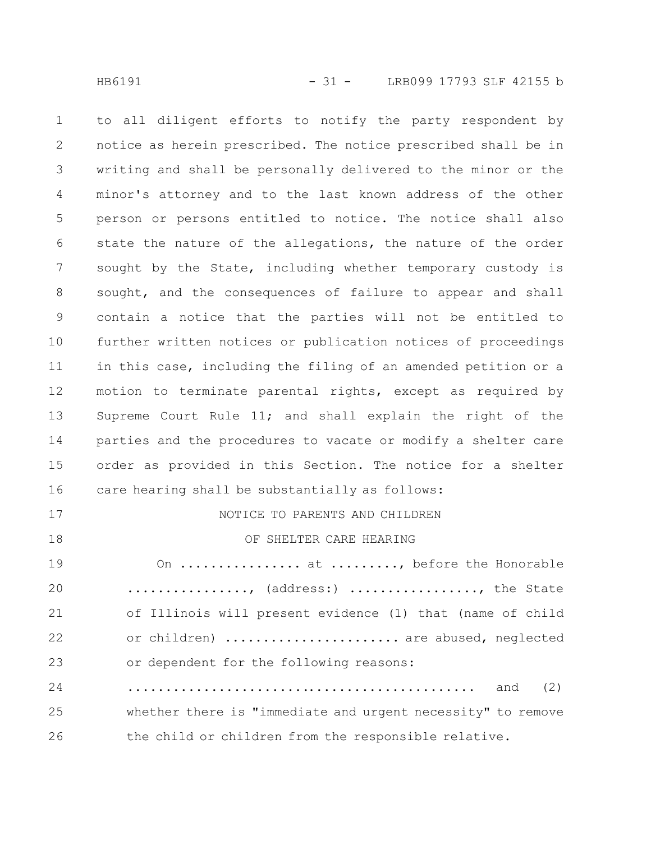to all diligent efforts to notify the party respondent by notice as herein prescribed. The notice prescribed shall be in writing and shall be personally delivered to the minor or the minor's attorney and to the last known address of the other person or persons entitled to notice. The notice shall also state the nature of the allegations, the nature of the order sought by the State, including whether temporary custody is sought, and the consequences of failure to appear and shall contain a notice that the parties will not be entitled to further written notices or publication notices of proceedings in this case, including the filing of an amended petition or a motion to terminate parental rights, except as required by Supreme Court Rule 11; and shall explain the right of the parties and the procedures to vacate or modify a shelter care order as provided in this Section. The notice for a shelter care hearing shall be substantially as follows: NOTICE TO PARENTS AND CHILDREN 1 2 3 4 5 6 7 8 9 10 11 12 13 14 15 16 17

OF SHELTER CARE HEARING On ................ at ........., before the Honorable ................, (address:) ................., the State of Illinois will present evidence (1) that (name of child or children) ....................... are abused, neglected or dependent for the following reasons: .............................................. and (2) whether there is "immediate and urgent necessity" to remove the child or children from the responsible relative. 18 19 20 21 22 23 24 25 26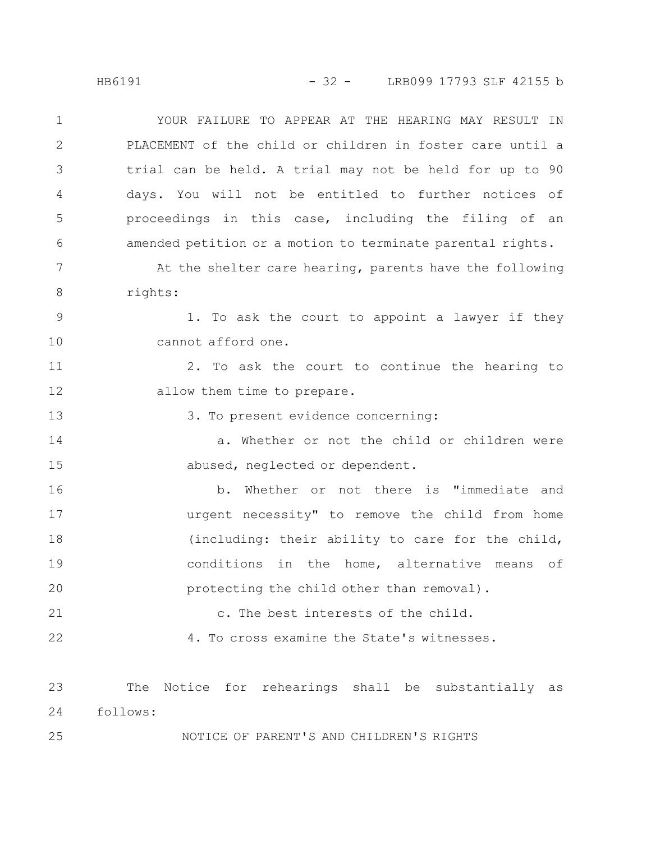HB6191 - 32 - LRB099 17793 SLF 42155 b

YOUR FAILURE TO APPEAR AT THE HEARING MAY RESULT IN PLACEMENT of the child or children in foster care until a trial can be held. A trial may not be held for up to 90 days. You will not be entitled to further notices of proceedings in this case, including the filing of an amended petition or a motion to terminate parental rights. At the shelter care hearing, parents have the following rights: 1. To ask the court to appoint a lawyer if they cannot afford one. 2. To ask the court to continue the hearing to allow them time to prepare. 3. To present evidence concerning: a. Whether or not the child or children were abused, neglected or dependent. b. Whether or not there is "immediate and urgent necessity" to remove the child from home (including: their ability to care for the child, conditions in the home, alternative means of protecting the child other than removal). c. The best interests of the child. 4. To cross examine the State's witnesses. The Notice for rehearings shall be substantially as follows: 1 2 3 4 5 6 7 8 9 10 11 12 13 14 15 16 17 18 19 20 21 22 23 24

NOTICE OF PARENT'S AND CHILDREN'S RIGHTS

25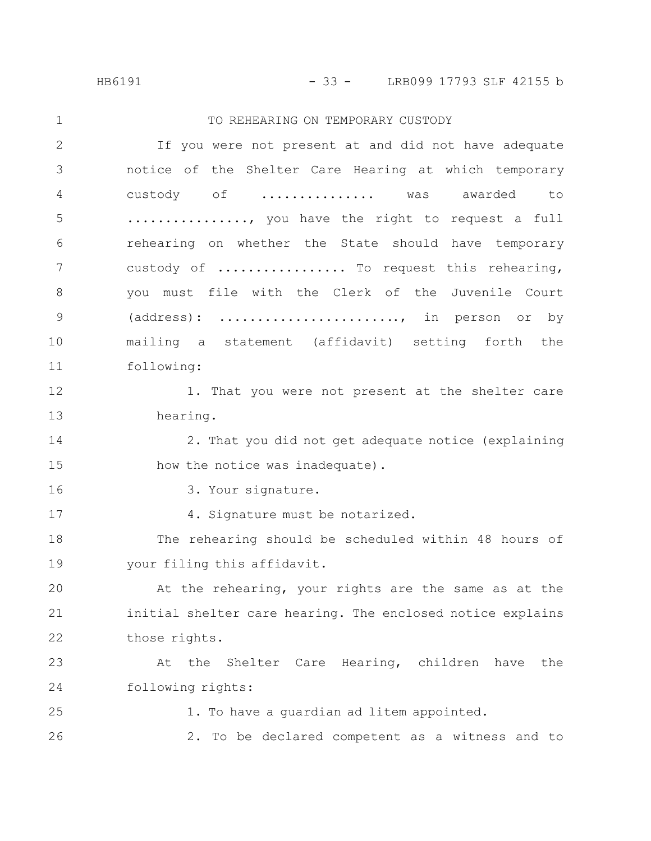HB6191 - 33 - LRB099 17793 SLF 42155 b

TO REHEARING ON TEMPORARY CUSTODY If you were not present at and did not have adequate notice of the Shelter Care Hearing at which temporary custody of ............... was awarded to ................, you have the right to request a full rehearing on whether the State should have temporary custody of .................. To request this rehearing, you must file with the Clerk of the Juvenile Court (address): ........................, in person or by mailing a statement (affidavit) setting forth the following: 1. That you were not present at the shelter care hearing. 2. That you did not get adequate notice (explaining how the notice was inadequate). 3. Your signature. 4. Signature must be notarized. The rehearing should be scheduled within 48 hours of your filing this affidavit. At the rehearing, your rights are the same as at the initial shelter care hearing. The enclosed notice explains those rights. At the Shelter Care Hearing, children have the following rights: 1. To have a guardian ad litem appointed. 2. To be declared competent as a witness and to 1 2 3 4 5 6 7 8 9 10 11 12 13 14 15 16 17 18 19 20 21 22 23 24 25 26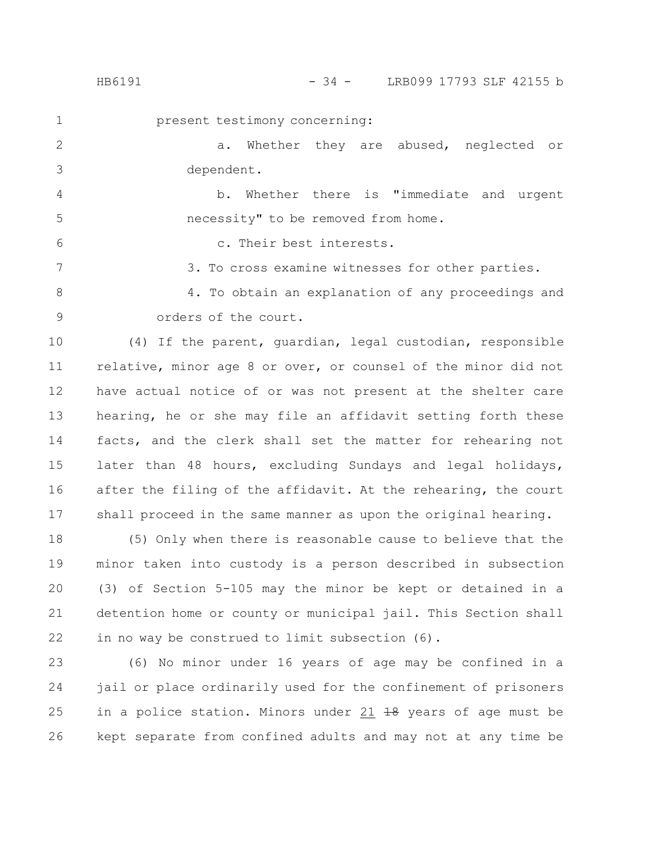1

6

present testimony concerning:

a. Whether they are abused, neglected or dependent. 2 3

b. Whether there is "immediate and urgent necessity" to be removed from home. 4 5

c. Their best interests.

3. To cross examine witnesses for other parties. 7

4. To obtain an explanation of any proceedings and orders of the court. 8 9

(4) If the parent, guardian, legal custodian, responsible relative, minor age 8 or over, or counsel of the minor did not have actual notice of or was not present at the shelter care hearing, he or she may file an affidavit setting forth these facts, and the clerk shall set the matter for rehearing not later than 48 hours, excluding Sundays and legal holidays, after the filing of the affidavit. At the rehearing, the court shall proceed in the same manner as upon the original hearing. 10 11 12 13 14 15 16 17

(5) Only when there is reasonable cause to believe that the minor taken into custody is a person described in subsection (3) of Section 5-105 may the minor be kept or detained in a detention home or county or municipal jail. This Section shall in no way be construed to limit subsection (6). 18 19 20 21 22

(6) No minor under 16 years of age may be confined in a jail or place ordinarily used for the confinement of prisoners in a police station. Minors under 21 18 years of age must be kept separate from confined adults and may not at any time be 23 24 25 26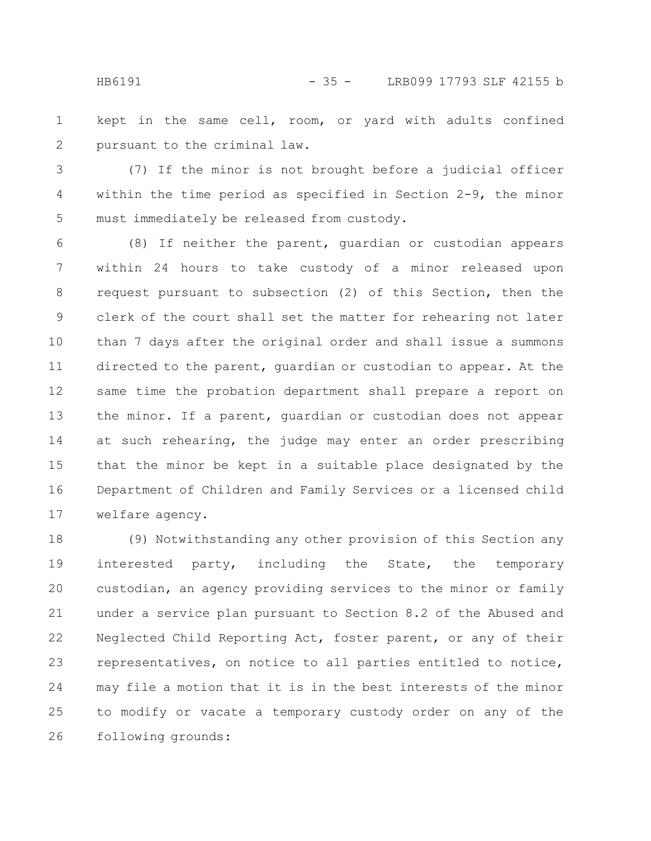HB6191 - 35 - LRB099 17793 SLF 42155 b

kept in the same cell, room, or yard with adults confined pursuant to the criminal law. 1 2

(7) If the minor is not brought before a judicial officer within the time period as specified in Section 2-9, the minor must immediately be released from custody. 3 4 5

(8) If neither the parent, guardian or custodian appears within 24 hours to take custody of a minor released upon request pursuant to subsection (2) of this Section, then the clerk of the court shall set the matter for rehearing not later than 7 days after the original order and shall issue a summons directed to the parent, guardian or custodian to appear. At the same time the probation department shall prepare a report on the minor. If a parent, guardian or custodian does not appear at such rehearing, the judge may enter an order prescribing that the minor be kept in a suitable place designated by the Department of Children and Family Services or a licensed child welfare agency. 6 7 8 9 10 11 12 13 14 15 16 17

(9) Notwithstanding any other provision of this Section any interested party, including the State, the temporary custodian, an agency providing services to the minor or family under a service plan pursuant to Section 8.2 of the Abused and Neglected Child Reporting Act, foster parent, or any of their representatives, on notice to all parties entitled to notice, may file a motion that it is in the best interests of the minor to modify or vacate a temporary custody order on any of the following grounds: 18 19 20 21 22 23 24 25 26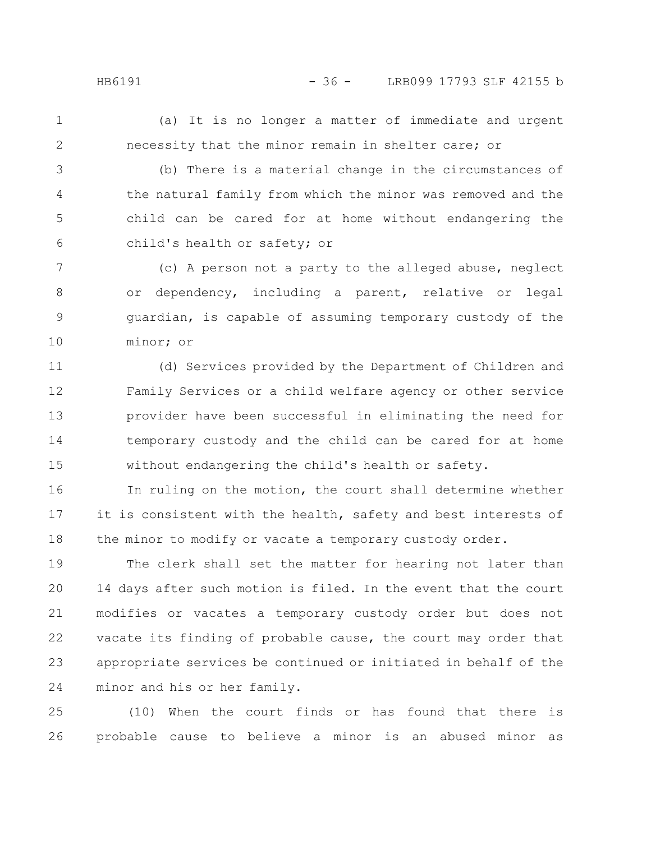1

2

(a) It is no longer a matter of immediate and urgent necessity that the minor remain in shelter care; or

(b) There is a material change in the circumstances of the natural family from which the minor was removed and the child can be cared for at home without endangering the child's health or safety; or 3 4 5 6

(c) A person not a party to the alleged abuse, neglect or dependency, including a parent, relative or legal guardian, is capable of assuming temporary custody of the minor; or 7 8 9 10

(d) Services provided by the Department of Children and Family Services or a child welfare agency or other service provider have been successful in eliminating the need for temporary custody and the child can be cared for at home without endangering the child's health or safety. 11 12 13 14 15

In ruling on the motion, the court shall determine whether it is consistent with the health, safety and best interests of the minor to modify or vacate a temporary custody order. 16 17 18

The clerk shall set the matter for hearing not later than 14 days after such motion is filed. In the event that the court modifies or vacates a temporary custody order but does not vacate its finding of probable cause, the court may order that appropriate services be continued or initiated in behalf of the minor and his or her family. 19 20 21 22 23 24

(10) When the court finds or has found that there is probable cause to believe a minor is an abused minor as 25 26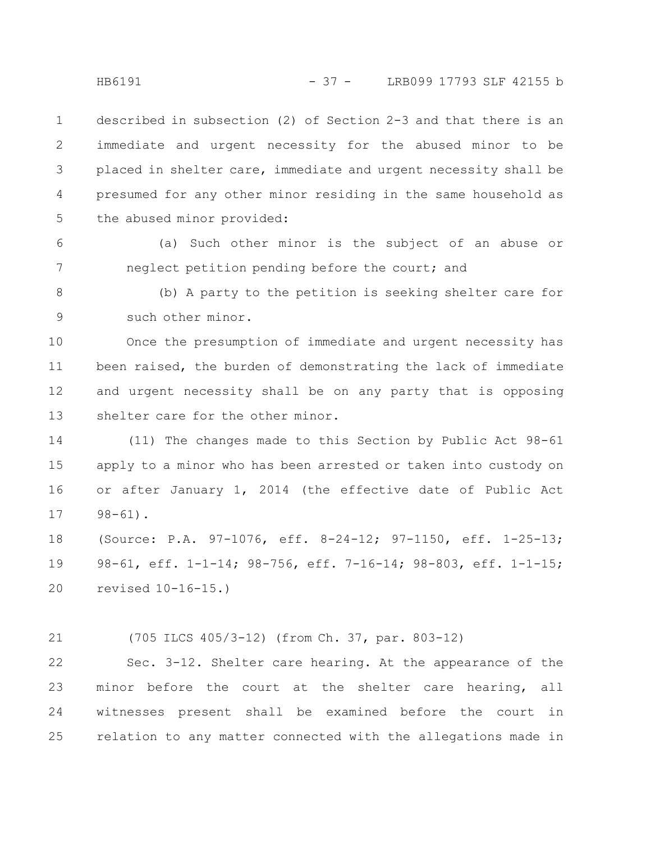described in subsection (2) of Section 2-3 and that there is an immediate and urgent necessity for the abused minor to be placed in shelter care, immediate and urgent necessity shall be presumed for any other minor residing in the same household as the abused minor provided: 1 2 3 4 5

(a) Such other minor is the subject of an abuse or neglect petition pending before the court; and 6 7

(b) A party to the petition is seeking shelter care for such other minor. 8 9

Once the presumption of immediate and urgent necessity has been raised, the burden of demonstrating the lack of immediate and urgent necessity shall be on any party that is opposing shelter care for the other minor. 10 11 12 13

(11) The changes made to this Section by Public Act 98-61 apply to a minor who has been arrested or taken into custody on or after January 1, 2014 (the effective date of Public Act 98-61). 14 15 16 17

(Source: P.A. 97-1076, eff. 8-24-12; 97-1150, eff. 1-25-13; 98-61, eff. 1-1-14; 98-756, eff. 7-16-14; 98-803, eff. 1-1-15; revised 10-16-15.) 18 19 20

(705 ILCS 405/3-12) (from Ch. 37, par. 803-12) 21

Sec. 3-12. Shelter care hearing. At the appearance of the minor before the court at the shelter care hearing, all witnesses present shall be examined before the court in relation to any matter connected with the allegations made in 22 23 24 25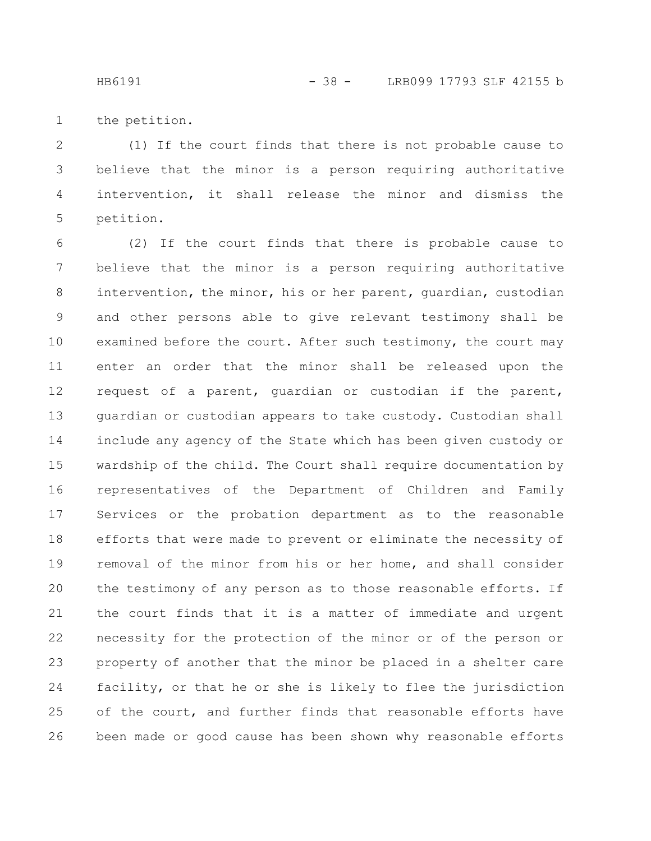the petition. 1

(1) If the court finds that there is not probable cause to believe that the minor is a person requiring authoritative intervention, it shall release the minor and dismiss the petition. 2 3 4 5

(2) If the court finds that there is probable cause to believe that the minor is a person requiring authoritative intervention, the minor, his or her parent, guardian, custodian and other persons able to give relevant testimony shall be examined before the court. After such testimony, the court may enter an order that the minor shall be released upon the request of a parent, guardian or custodian if the parent, guardian or custodian appears to take custody. Custodian shall include any agency of the State which has been given custody or wardship of the child. The Court shall require documentation by representatives of the Department of Children and Family Services or the probation department as to the reasonable efforts that were made to prevent or eliminate the necessity of removal of the minor from his or her home, and shall consider the testimony of any person as to those reasonable efforts. If the court finds that it is a matter of immediate and urgent necessity for the protection of the minor or of the person or property of another that the minor be placed in a shelter care facility, or that he or she is likely to flee the jurisdiction of the court, and further finds that reasonable efforts have been made or good cause has been shown why reasonable efforts 6 7 8 9 10 11 12 13 14 15 16 17 18 19 20 21 22 23 24 25 26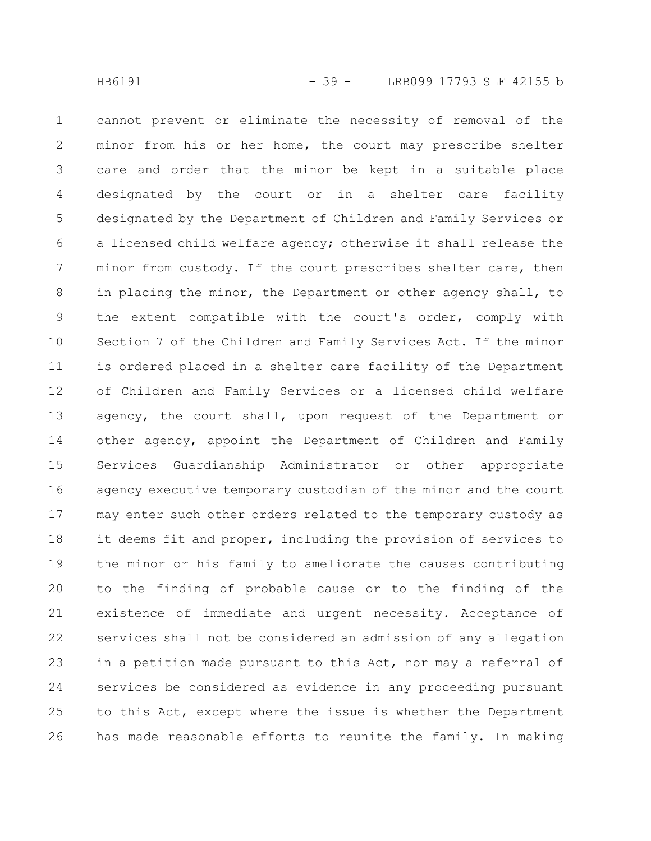cannot prevent or eliminate the necessity of removal of the minor from his or her home, the court may prescribe shelter care and order that the minor be kept in a suitable place designated by the court or in a shelter care facility designated by the Department of Children and Family Services or a licensed child welfare agency; otherwise it shall release the minor from custody. If the court prescribes shelter care, then in placing the minor, the Department or other agency shall, to the extent compatible with the court's order, comply with Section 7 of the Children and Family Services Act. If the minor is ordered placed in a shelter care facility of the Department of Children and Family Services or a licensed child welfare agency, the court shall, upon request of the Department or other agency, appoint the Department of Children and Family Services Guardianship Administrator or other appropriate agency executive temporary custodian of the minor and the court may enter such other orders related to the temporary custody as it deems fit and proper, including the provision of services to the minor or his family to ameliorate the causes contributing to the finding of probable cause or to the finding of the existence of immediate and urgent necessity. Acceptance of services shall not be considered an admission of any allegation in a petition made pursuant to this Act, nor may a referral of services be considered as evidence in any proceeding pursuant to this Act, except where the issue is whether the Department has made reasonable efforts to reunite the family. In making 1 2 3 4 5 6 7 8 9 10 11 12 13 14 15 16 17 18 19 20 21 22 23 24 25 26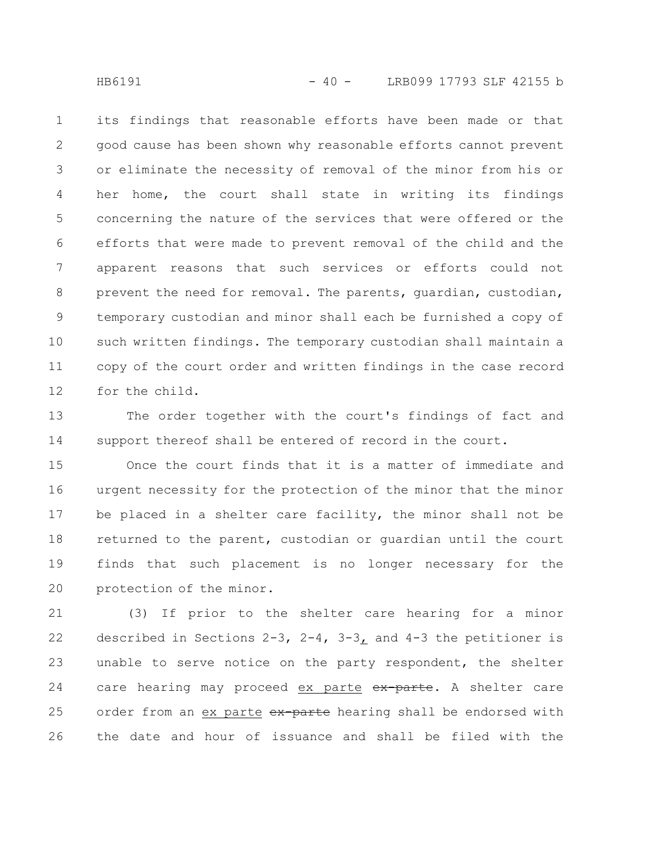its findings that reasonable efforts have been made or that good cause has been shown why reasonable efforts cannot prevent or eliminate the necessity of removal of the minor from his or her home, the court shall state in writing its findings concerning the nature of the services that were offered or the efforts that were made to prevent removal of the child and the apparent reasons that such services or efforts could not prevent the need for removal. The parents, guardian, custodian, temporary custodian and minor shall each be furnished a copy of such written findings. The temporary custodian shall maintain a copy of the court order and written findings in the case record for the child. 1 2 3 4 5 6 7 8 9 10 11 12

The order together with the court's findings of fact and support thereof shall be entered of record in the court. 13 14

Once the court finds that it is a matter of immediate and urgent necessity for the protection of the minor that the minor be placed in a shelter care facility, the minor shall not be returned to the parent, custodian or guardian until the court finds that such placement is no longer necessary for the protection of the minor. 15 16 17 18 19 20

(3) If prior to the shelter care hearing for a minor described in Sections 2-3, 2-4, 3-3, and 4-3 the petitioner is unable to serve notice on the party respondent, the shelter care hearing may proceed ex parte ex-parte. A shelter care order from an ex parte ex-parte hearing shall be endorsed with the date and hour of issuance and shall be filed with the 21 22 23 24 25 26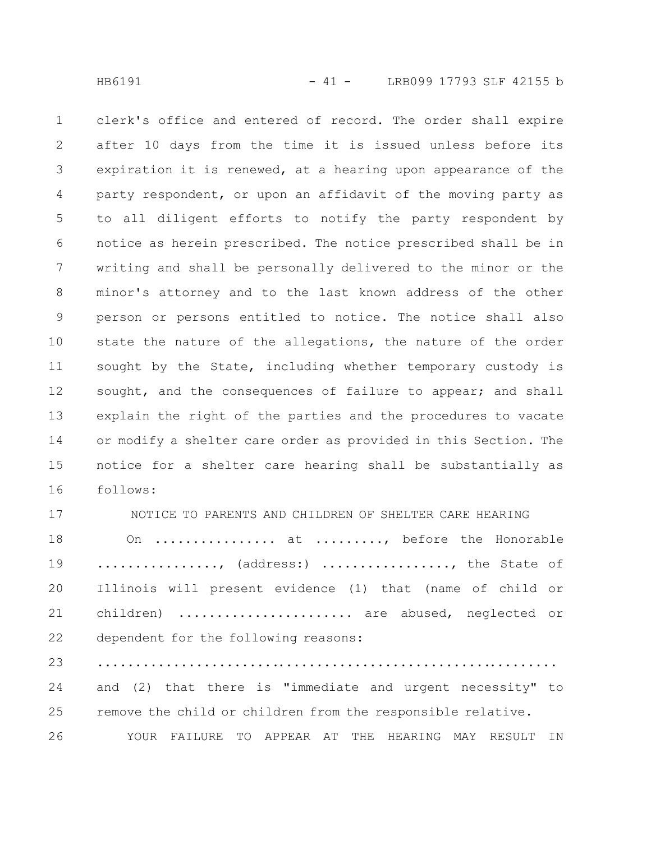clerk's office and entered of record. The order shall expire after 10 days from the time it is issued unless before its expiration it is renewed, at a hearing upon appearance of the party respondent, or upon an affidavit of the moving party as to all diligent efforts to notify the party respondent by notice as herein prescribed. The notice prescribed shall be in writing and shall be personally delivered to the minor or the minor's attorney and to the last known address of the other person or persons entitled to notice. The notice shall also state the nature of the allegations, the nature of the order sought by the State, including whether temporary custody is sought, and the consequences of failure to appear; and shall explain the right of the parties and the procedures to vacate or modify a shelter care order as provided in this Section. The notice for a shelter care hearing shall be substantially as follows: 1 2 3 4 5 6 7 8 9 10 11 12 13 14 15 16

NOTICE TO PARENTS AND CHILDREN OF SHELTER CARE HEARING On ................ at ........., before the Honorable ................, (address:) ................., the State of Illinois will present evidence (1) that (name of child or children) ...................... are abused, neglected or dependent for the following reasons: ............................................................. and (2) that there is "immediate and urgent necessity" to remove the child or children from the responsible relative. YOUR FAILURE TO APPEAR AT THE HEARING MAY RESULT IN 17 18 19 20 21 22 23 24 25 26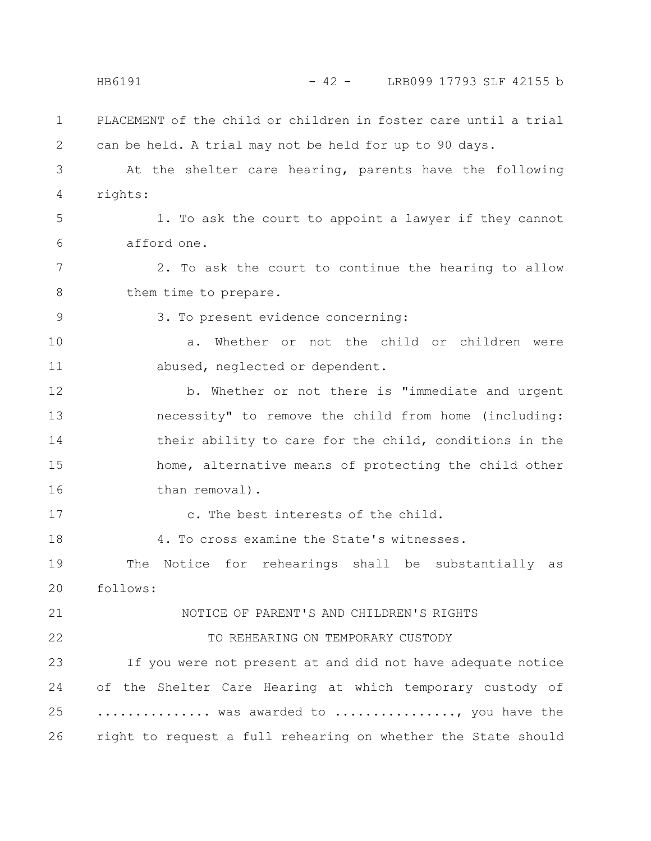PLACEMENT of the child or children in foster care until a trial can be held. A trial may not be held for up to 90 days. At the shelter care hearing, parents have the following rights: 1. To ask the court to appoint a lawyer if they cannot afford one. 2. To ask the court to continue the hearing to allow them time to prepare. 3. To present evidence concerning: a. Whether or not the child or children were abused, neglected or dependent. b. Whether or not there is "immediate and urgent necessity" to remove the child from home (including: their ability to care for the child, conditions in the home, alternative means of protecting the child other than removal). c. The best interests of the child. 4. To cross examine the State's witnesses. The Notice for rehearings shall be substantially as follows: NOTICE OF PARENT'S AND CHILDREN'S RIGHTS TO REHEARING ON TEMPORARY CUSTODY If you were not present at and did not have adequate notice of the Shelter Care Hearing at which temporary custody of ............... was awarded to ................., you have the right to request a full rehearing on whether the State should 1 2 3 4 5 6 7 8 9 10 11 12 13 14 15 16 17 18 19 20 21 22 23 24 25 26 HB6191 - 42 - LRB099 17793 SLF 42155 b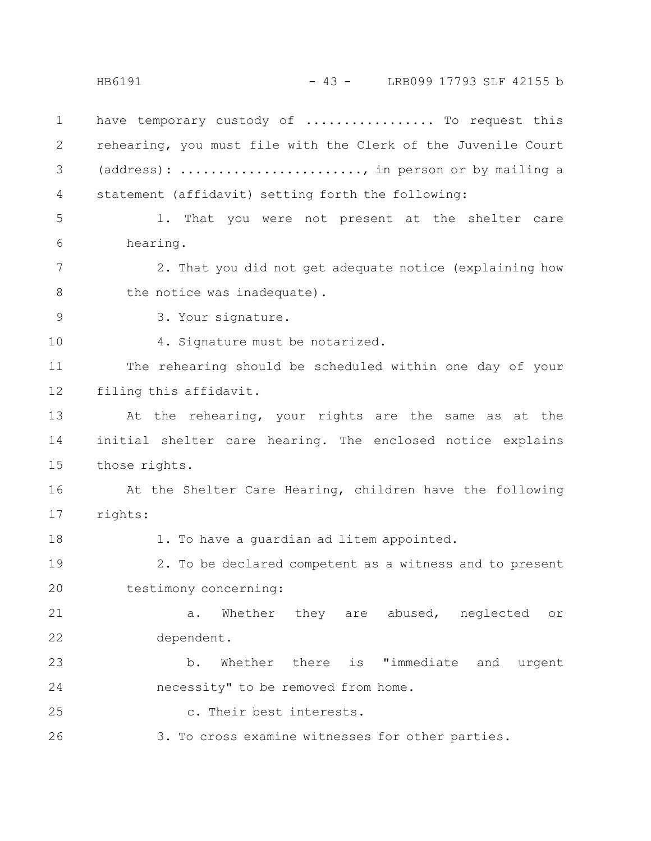HB6191 - 43 - LRB099 17793 SLF 42155 b

have temporary custody of ................. To request this rehearing, you must file with the Clerk of the Juvenile Court (address): ............................, in person or by mailing a statement (affidavit) setting forth the following: 1 2 3 4

1. That you were not present at the shelter care hearing. 5 6

2. That you did not get adequate notice (explaining how the notice was inadequate). 7 8

9

10

3. Your signature.

4. Signature must be notarized.

The rehearing should be scheduled within one day of your filing this affidavit. 11 12

At the rehearing, your rights are the same as at the initial shelter care hearing. The enclosed notice explains those rights. 13 14 15

At the Shelter Care Hearing, children have the following rights: 16 17

18

1. To have a guardian ad litem appointed.

2. To be declared competent as a witness and to present testimony concerning: 19 20

a. Whether they are abused, neglected or dependent. 21 22

b. Whether there is "immediate and urgent necessity" to be removed from home. 23 24

c. Their best interests. 25

3. To cross examine witnesses for other parties. 26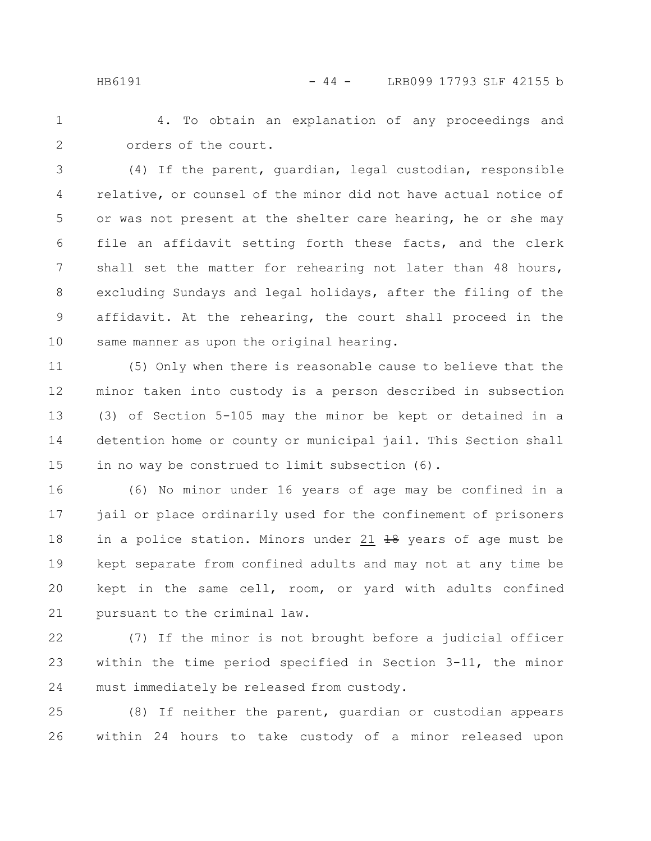4. To obtain an explanation of any proceedings and orders of the court. 1 2

(4) If the parent, guardian, legal custodian, responsible relative, or counsel of the minor did not have actual notice of or was not present at the shelter care hearing, he or she may file an affidavit setting forth these facts, and the clerk shall set the matter for rehearing not later than 48 hours, excluding Sundays and legal holidays, after the filing of the affidavit. At the rehearing, the court shall proceed in the same manner as upon the original hearing. 3 4 5 6 7 8 9 10

(5) Only when there is reasonable cause to believe that the minor taken into custody is a person described in subsection (3) of Section 5-105 may the minor be kept or detained in a detention home or county or municipal jail. This Section shall in no way be construed to limit subsection (6). 11 12 13 14 15

(6) No minor under 16 years of age may be confined in a jail or place ordinarily used for the confinement of prisoners in a police station. Minors under 21  $18$  years of age must be kept separate from confined adults and may not at any time be kept in the same cell, room, or yard with adults confined pursuant to the criminal law. 16 17 18 19 20 21

(7) If the minor is not brought before a judicial officer within the time period specified in Section 3-11, the minor must immediately be released from custody. 22 23 24

(8) If neither the parent, guardian or custodian appears within 24 hours to take custody of a minor released upon 25 26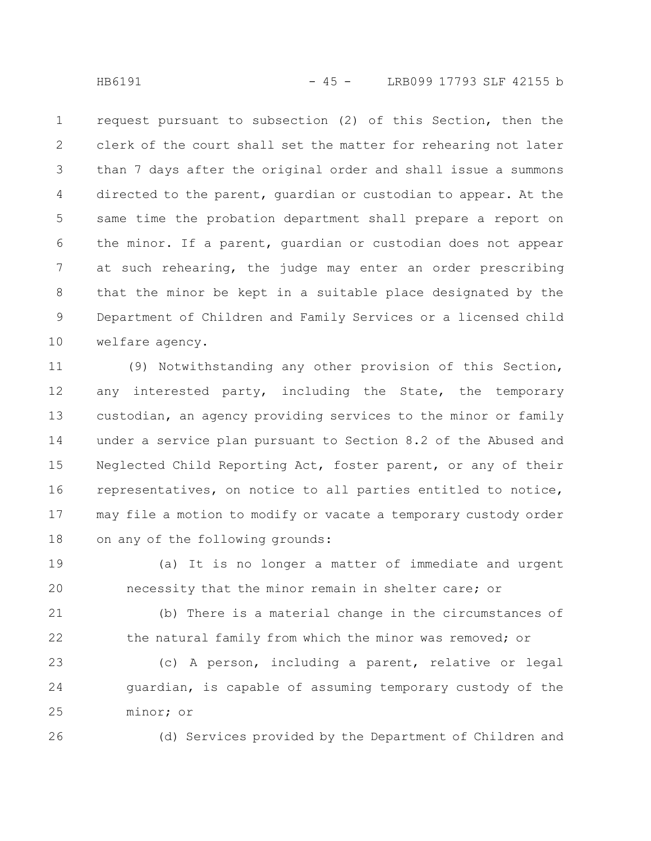request pursuant to subsection (2) of this Section, then the clerk of the court shall set the matter for rehearing not later than 7 days after the original order and shall issue a summons directed to the parent, guardian or custodian to appear. At the same time the probation department shall prepare a report on the minor. If a parent, guardian or custodian does not appear at such rehearing, the judge may enter an order prescribing that the minor be kept in a suitable place designated by the Department of Children and Family Services or a licensed child welfare agency. 1 2 3 4 5 6 7 8 9 10

(9) Notwithstanding any other provision of this Section, any interested party, including the State, the temporary custodian, an agency providing services to the minor or family under a service plan pursuant to Section 8.2 of the Abused and Neglected Child Reporting Act, foster parent, or any of their representatives, on notice to all parties entitled to notice, may file a motion to modify or vacate a temporary custody order on any of the following grounds: 11 12 13 14 15 16 17 18

(a) It is no longer a matter of immediate and urgent necessity that the minor remain in shelter care; or 19 20

(b) There is a material change in the circumstances of the natural family from which the minor was removed; or 21 22

(c) A person, including a parent, relative or legal guardian, is capable of assuming temporary custody of the minor; or 23 24 25

26

(d) Services provided by the Department of Children and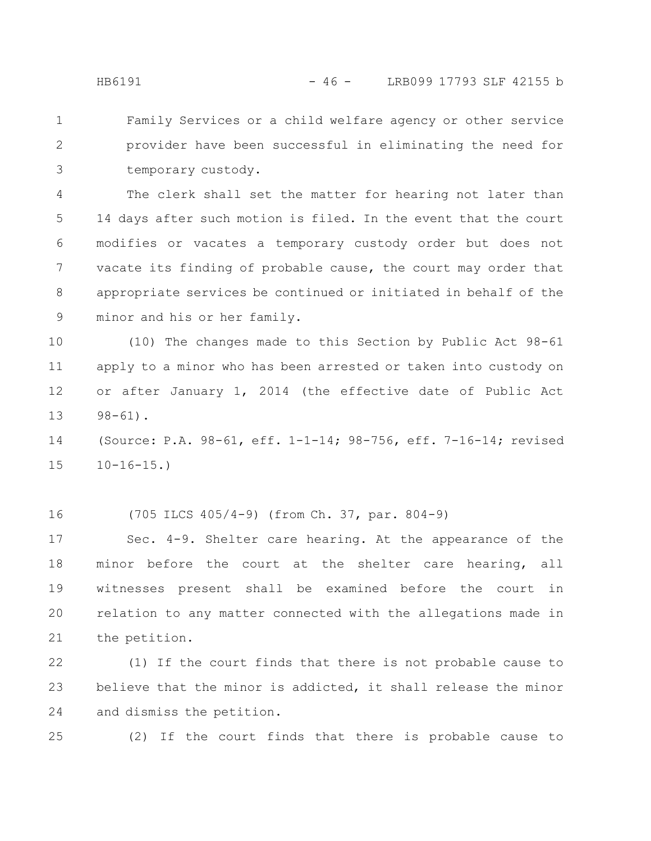Family Services or a child welfare agency or other service provider have been successful in eliminating the need for temporary custody. 1 2 3

The clerk shall set the matter for hearing not later than 14 days after such motion is filed. In the event that the court modifies or vacates a temporary custody order but does not vacate its finding of probable cause, the court may order that appropriate services be continued or initiated in behalf of the minor and his or her family. 4 5 6 7 8 9

(10) The changes made to this Section by Public Act 98-61 apply to a minor who has been arrested or taken into custody on or after January 1, 2014 (the effective date of Public Act  $98 - 61$ . 10 11 12 13

(Source: P.A. 98-61, eff. 1-1-14; 98-756, eff. 7-16-14; revised  $10-16-15.$ 14 15

16

(705 ILCS 405/4-9) (from Ch. 37, par. 804-9)

Sec. 4-9. Shelter care hearing. At the appearance of the minor before the court at the shelter care hearing, all witnesses present shall be examined before the court in relation to any matter connected with the allegations made in the petition. 17 18 19 20 21

(1) If the court finds that there is not probable cause to believe that the minor is addicted, it shall release the minor and dismiss the petition. 22 23 24

25

(2) If the court finds that there is probable cause to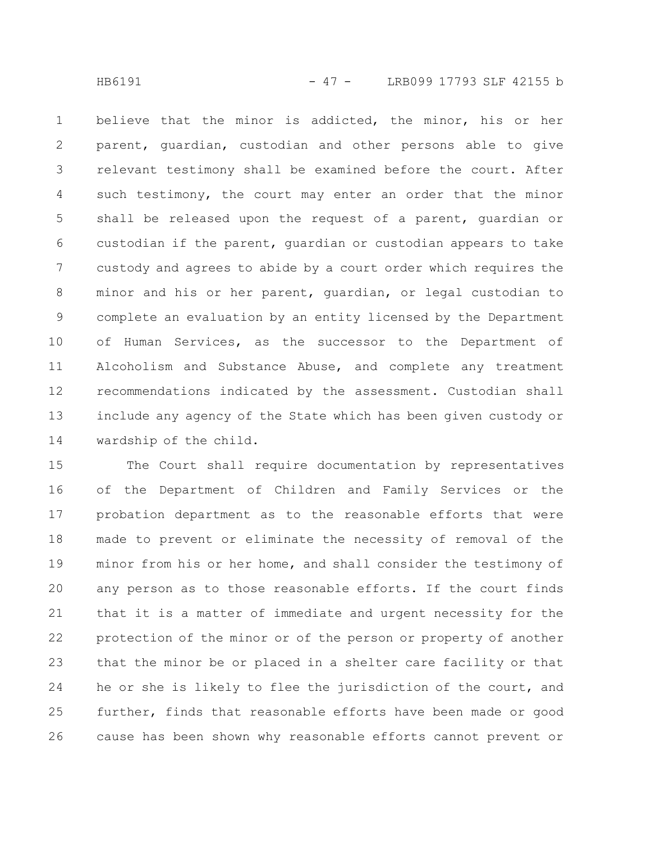believe that the minor is addicted, the minor, his or her parent, guardian, custodian and other persons able to give relevant testimony shall be examined before the court. After such testimony, the court may enter an order that the minor shall be released upon the request of a parent, guardian or custodian if the parent, guardian or custodian appears to take custody and agrees to abide by a court order which requires the minor and his or her parent, guardian, or legal custodian to complete an evaluation by an entity licensed by the Department of Human Services, as the successor to the Department of Alcoholism and Substance Abuse, and complete any treatment recommendations indicated by the assessment. Custodian shall include any agency of the State which has been given custody or wardship of the child. 1 2 3 4 5 6 7 8 9 10 11 12 13 14

The Court shall require documentation by representatives of the Department of Children and Family Services or the probation department as to the reasonable efforts that were made to prevent or eliminate the necessity of removal of the minor from his or her home, and shall consider the testimony of any person as to those reasonable efforts. If the court finds that it is a matter of immediate and urgent necessity for the protection of the minor or of the person or property of another that the minor be or placed in a shelter care facility or that he or she is likely to flee the jurisdiction of the court, and further, finds that reasonable efforts have been made or good cause has been shown why reasonable efforts cannot prevent or 15 16 17 18 19 20 21 22 23 24 25 26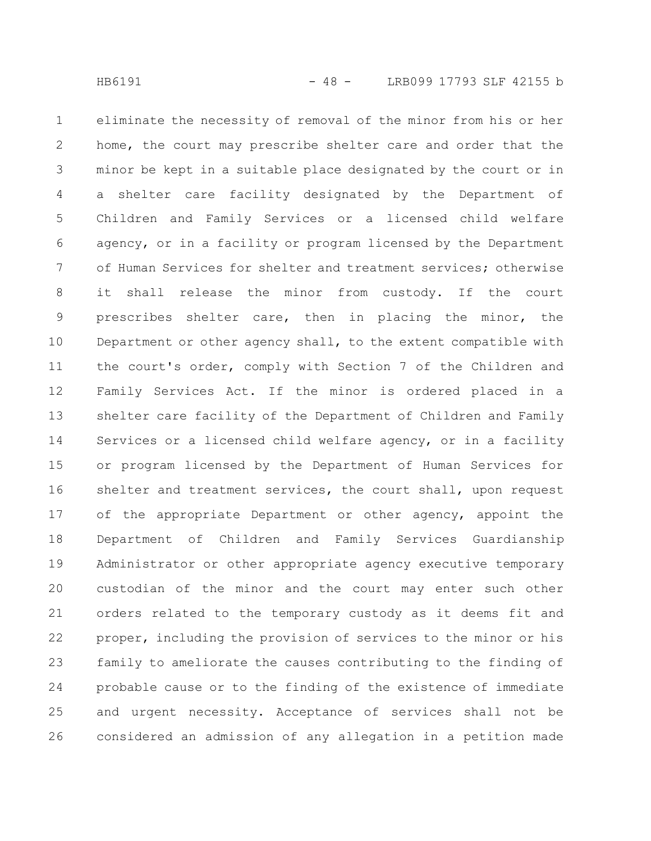home, the court may prescribe shelter care and order that the minor be kept in a suitable place designated by the court or in a shelter care facility designated by the Department of Children and Family Services or a licensed child welfare agency, or in a facility or program licensed by the Department of Human Services for shelter and treatment services; otherwise it shall release the minor from custody. If the court prescribes shelter care, then in placing the minor, the Department or other agency shall, to the extent compatible with the court's order, comply with Section 7 of the Children and Family Services Act. If the minor is ordered placed in a shelter care facility of the Department of Children and Family Services or a licensed child welfare agency, or in a facility or program licensed by the Department of Human Services for shelter and treatment services, the court shall, upon request of the appropriate Department or other agency, appoint the Department of Children and Family Services Guardianship Administrator or other appropriate agency executive temporary custodian of the minor and the court may enter such other orders related to the temporary custody as it deems fit and proper, including the provision of services to the minor or his family to ameliorate the causes contributing to the finding of probable cause or to the finding of the existence of immediate

eliminate the necessity of removal of the minor from his or her

considered an admission of any allegation in a petition made 26

and urgent necessity. Acceptance of services shall not be

1

2

3

4

5

6

7

8

9

10

11

12

13

14

15

16

17

18

19

20

21

22

23

24

25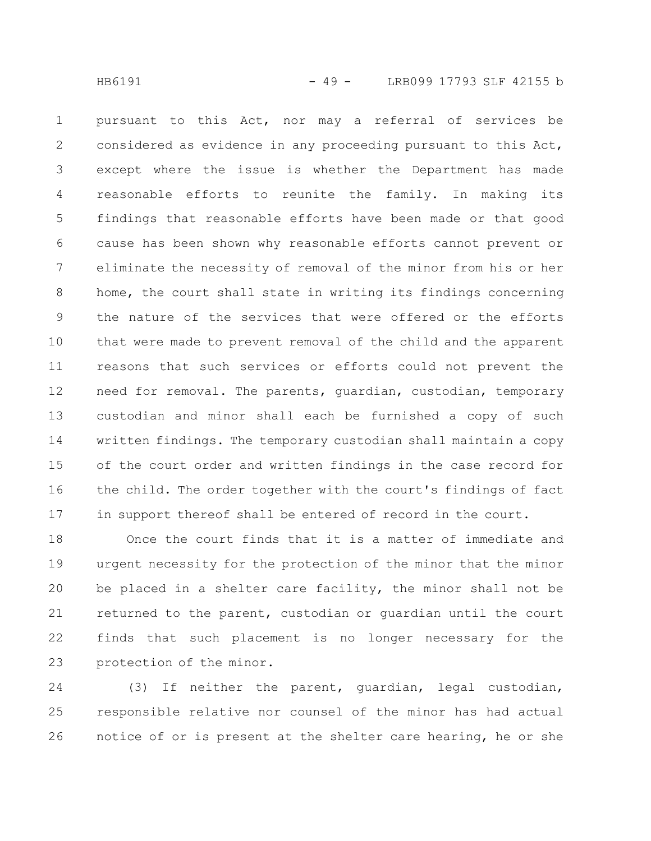pursuant to this Act, nor may a referral of services be considered as evidence in any proceeding pursuant to this Act, except where the issue is whether the Department has made reasonable efforts to reunite the family. In making its findings that reasonable efforts have been made or that good cause has been shown why reasonable efforts cannot prevent or eliminate the necessity of removal of the minor from his or her home, the court shall state in writing its findings concerning the nature of the services that were offered or the efforts that were made to prevent removal of the child and the apparent reasons that such services or efforts could not prevent the need for removal. The parents, guardian, custodian, temporary custodian and minor shall each be furnished a copy of such written findings. The temporary custodian shall maintain a copy of the court order and written findings in the case record for the child. The order together with the court's findings of fact in support thereof shall be entered of record in the court. 1 2 3 4 5 6 7 8 9 10 11 12 13 14 15 16 17

Once the court finds that it is a matter of immediate and urgent necessity for the protection of the minor that the minor be placed in a shelter care facility, the minor shall not be returned to the parent, custodian or guardian until the court finds that such placement is no longer necessary for the protection of the minor. 18 19 20 21 22 23

(3) If neither the parent, guardian, legal custodian, responsible relative nor counsel of the minor has had actual notice of or is present at the shelter care hearing, he or she 24 25 26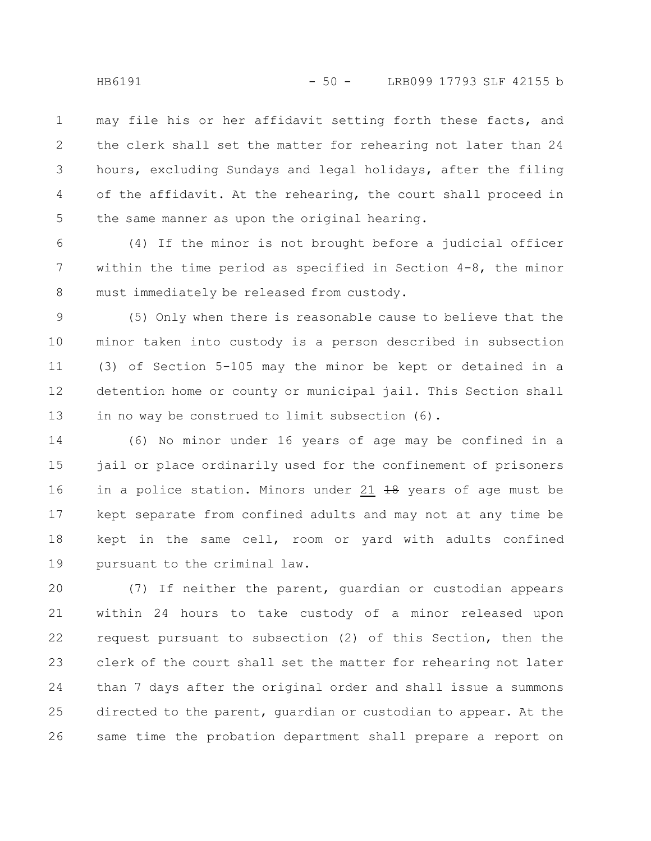may file his or her affidavit setting forth these facts, and the clerk shall set the matter for rehearing not later than 24 hours, excluding Sundays and legal holidays, after the filing of the affidavit. At the rehearing, the court shall proceed in the same manner as upon the original hearing. 1 2 3 4 5

(4) If the minor is not brought before a judicial officer within the time period as specified in Section 4-8, the minor must immediately be released from custody. 6 7 8

(5) Only when there is reasonable cause to believe that the minor taken into custody is a person described in subsection (3) of Section 5-105 may the minor be kept or detained in a detention home or county or municipal jail. This Section shall in no way be construed to limit subsection (6). 9 10 11 12 13

(6) No minor under 16 years of age may be confined in a jail or place ordinarily used for the confinement of prisoners in a police station. Minors under 21  $18$  years of age must be kept separate from confined adults and may not at any time be kept in the same cell, room or yard with adults confined pursuant to the criminal law. 14 15 16 17 18 19

(7) If neither the parent, guardian or custodian appears within 24 hours to take custody of a minor released upon request pursuant to subsection (2) of this Section, then the clerk of the court shall set the matter for rehearing not later than 7 days after the original order and shall issue a summons directed to the parent, guardian or custodian to appear. At the same time the probation department shall prepare a report on 20 21 22 23 24 25 26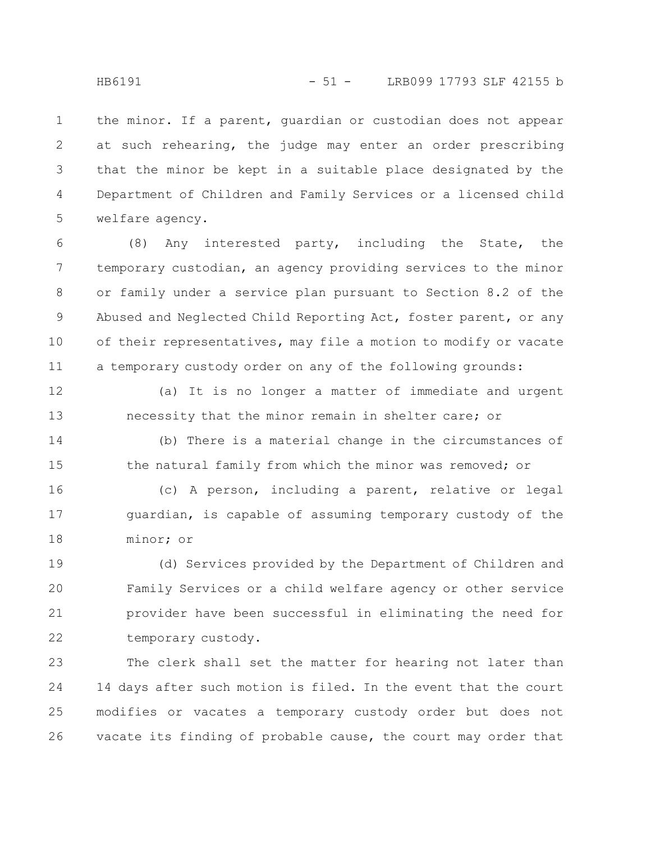the minor. If a parent, guardian or custodian does not appear at such rehearing, the judge may enter an order prescribing that the minor be kept in a suitable place designated by the Department of Children and Family Services or a licensed child welfare agency. 1 2 3 4 5

(8) Any interested party, including the State, the temporary custodian, an agency providing services to the minor or family under a service plan pursuant to Section 8.2 of the Abused and Neglected Child Reporting Act, foster parent, or any of their representatives, may file a motion to modify or vacate a temporary custody order on any of the following grounds: 6 7 8 9 10 11

12

13

(a) It is no longer a matter of immediate and urgent necessity that the minor remain in shelter care; or

(b) There is a material change in the circumstances of the natural family from which the minor was removed; or 14 15

(c) A person, including a parent, relative or legal guardian, is capable of assuming temporary custody of the minor; or 16 17 18

(d) Services provided by the Department of Children and Family Services or a child welfare agency or other service provider have been successful in eliminating the need for temporary custody. 19 20 21 22

The clerk shall set the matter for hearing not later than 14 days after such motion is filed. In the event that the court modifies or vacates a temporary custody order but does not vacate its finding of probable cause, the court may order that 23 24 25 26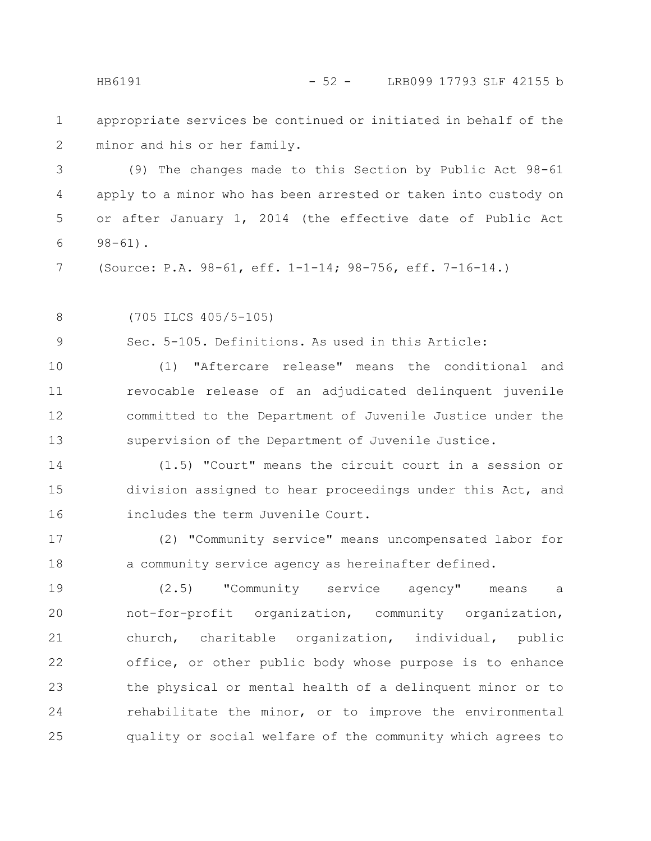appropriate services be continued or initiated in behalf of the minor and his or her family. 1 2

(9) The changes made to this Section by Public Act 98-61 apply to a minor who has been arrested or taken into custody on or after January 1, 2014 (the effective date of Public Act 98-61). 3 4 5 6

(Source: P.A. 98-61, eff. 1-1-14; 98-756, eff. 7-16-14.) 7

(705 ILCS 405/5-105) 8

Sec. 5-105. Definitions. As used in this Article: 9

(1) "Aftercare release" means the conditional and revocable release of an adjudicated delinquent juvenile committed to the Department of Juvenile Justice under the supervision of the Department of Juvenile Justice. 10 11 12 13

(1.5) "Court" means the circuit court in a session or division assigned to hear proceedings under this Act, and includes the term Juvenile Court. 14 15 16

(2) "Community service" means uncompensated labor for a community service agency as hereinafter defined. 17 18

(2.5) "Community service agency" means a not-for-profit organization, community organization, church, charitable organization, individual, public office, or other public body whose purpose is to enhance the physical or mental health of a delinquent minor or to rehabilitate the minor, or to improve the environmental quality or social welfare of the community which agrees to 19 20 21 22 23 24 25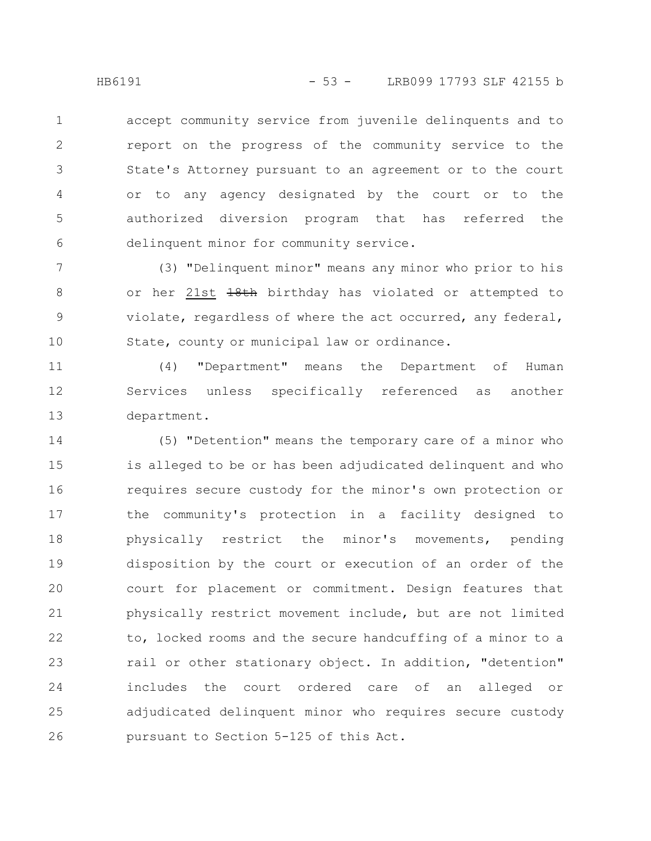accept community service from juvenile delinquents and to report on the progress of the community service to the State's Attorney pursuant to an agreement or to the court or to any agency designated by the court or to the authorized diversion program that has referred the delinquent minor for community service. 1 2 3 4 5 6

(3) "Delinquent minor" means any minor who prior to his or her 21st 18th birthday has violated or attempted to violate, regardless of where the act occurred, any federal, State, county or municipal law or ordinance. 7 8 9 10

(4) "Department" means the Department of Human Services unless specifically referenced as another department. 11 12 13

(5) "Detention" means the temporary care of a minor who is alleged to be or has been adjudicated delinquent and who requires secure custody for the minor's own protection or the community's protection in a facility designed to physically restrict the minor's movements, pending disposition by the court or execution of an order of the court for placement or commitment. Design features that physically restrict movement include, but are not limited to, locked rooms and the secure handcuffing of a minor to a rail or other stationary object. In addition, "detention" includes the court ordered care of an alleged or adjudicated delinquent minor who requires secure custody pursuant to Section 5-125 of this Act. 14 15 16 17 18 19 20 21 22 23 24 25 26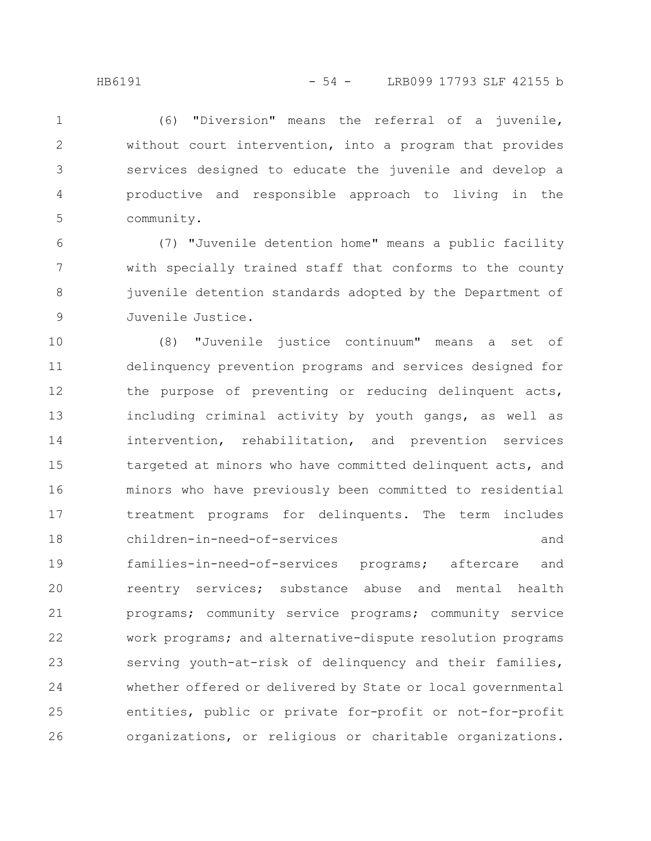(6) "Diversion" means the referral of a juvenile, without court intervention, into a program that provides services designed to educate the juvenile and develop a productive and responsible approach to living in the community. 1 2 3 4 5

(7) "Juvenile detention home" means a public facility with specially trained staff that conforms to the county juvenile detention standards adopted by the Department of Juvenile Justice. 6 7 8 9

(8) "Juvenile justice continuum" means a set of delinquency prevention programs and services designed for the purpose of preventing or reducing delinquent acts, including criminal activity by youth gangs, as well as intervention, rehabilitation, and prevention services targeted at minors who have committed delinquent acts, and minors who have previously been committed to residential treatment programs for delinquents. The term includes children-in-need-of-services and families-in-need-of-services programs; aftercare and reentry services; substance abuse and mental health programs; community service programs; community service work programs; and alternative-dispute resolution programs serving youth-at-risk of delinquency and their families, whether offered or delivered by State or local governmental entities, public or private for-profit or not-for-profit organizations, or religious or charitable organizations. 10 11 12 13 14 15 16 17 18 19 20 21 22 23 24 25 26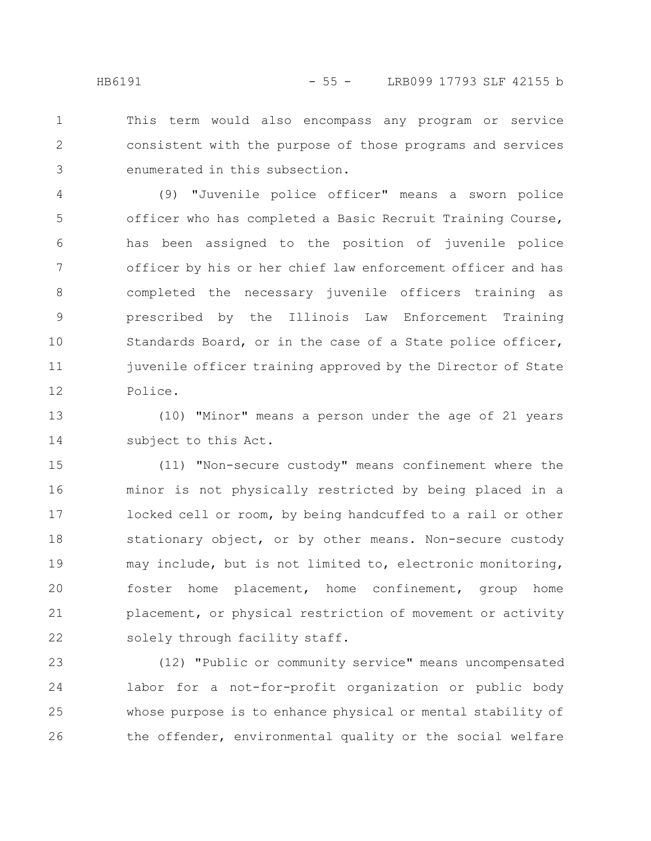This term would also encompass any program or service consistent with the purpose of those programs and services enumerated in this subsection. 1 2 3

(9) "Juvenile police officer" means a sworn police officer who has completed a Basic Recruit Training Course, has been assigned to the position of juvenile police officer by his or her chief law enforcement officer and has completed the necessary juvenile officers training as prescribed by the Illinois Law Enforcement Training Standards Board, or in the case of a State police officer, juvenile officer training approved by the Director of State Police. 4 5 6 7 8 9 10 11 12

(10) "Minor" means a person under the age of 21 years subject to this Act. 13 14

(11) "Non-secure custody" means confinement where the minor is not physically restricted by being placed in a locked cell or room, by being handcuffed to a rail or other stationary object, or by other means. Non-secure custody may include, but is not limited to, electronic monitoring, foster home placement, home confinement, group home placement, or physical restriction of movement or activity solely through facility staff. 15 16 17 18 19 20 21 22

(12) "Public or community service" means uncompensated labor for a not-for-profit organization or public body whose purpose is to enhance physical or mental stability of the offender, environmental quality or the social welfare 23 24 25 26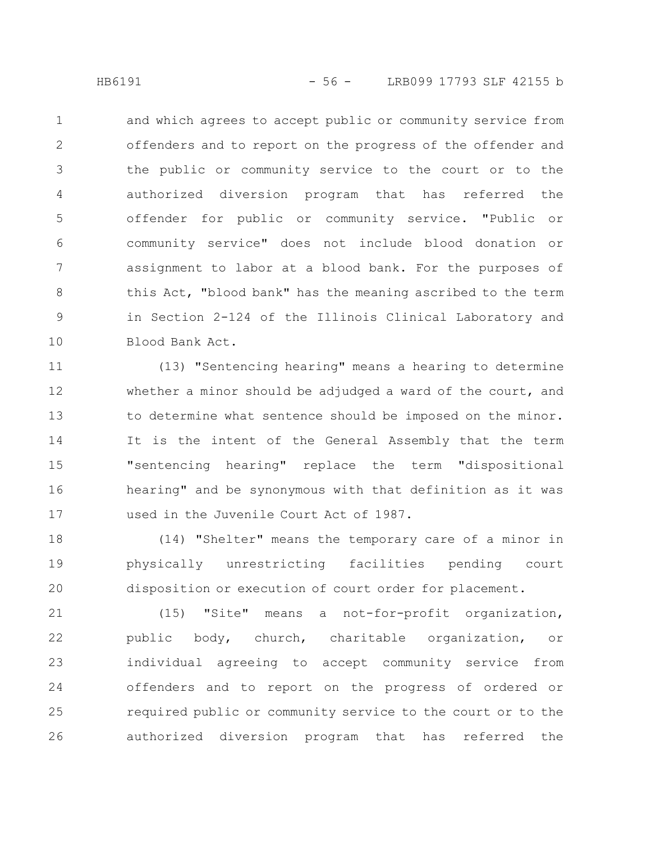and which agrees to accept public or community service from offenders and to report on the progress of the offender and the public or community service to the court or to the authorized diversion program that has referred the offender for public or community service. "Public or community service" does not include blood donation or assignment to labor at a blood bank. For the purposes of this Act, "blood bank" has the meaning ascribed to the term in Section 2-124 of the Illinois Clinical Laboratory and Blood Bank Act. 1 2 3 4 5 6 7 8 9 10

(13) "Sentencing hearing" means a hearing to determine whether a minor should be adjudged a ward of the court, and to determine what sentence should be imposed on the minor. It is the intent of the General Assembly that the term "sentencing hearing" replace the term "dispositional hearing" and be synonymous with that definition as it was used in the Juvenile Court Act of 1987. 11 12 13 14 15 16 17

(14) "Shelter" means the temporary care of a minor in physically unrestricting facilities pending court disposition or execution of court order for placement. 18 19 20

(15) "Site" means a not-for-profit organization, public body, church, charitable organization, or individual agreeing to accept community service from offenders and to report on the progress of ordered or required public or community service to the court or to the authorized diversion program that has referred the 21 22 23 24 25 26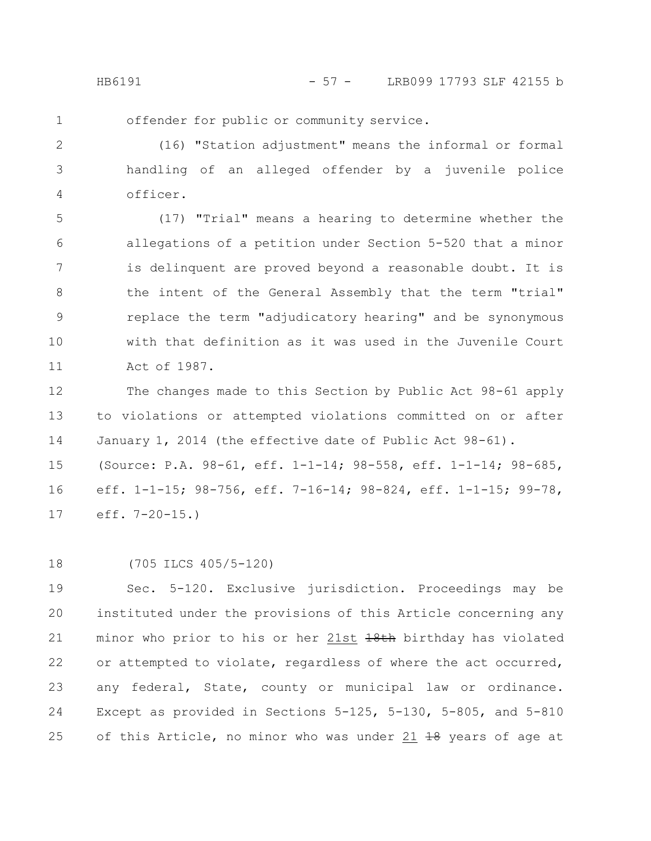offender for public or community service. 1

(16) "Station adjustment" means the informal or formal handling of an alleged offender by a juvenile police officer. 2 3 4

(17) "Trial" means a hearing to determine whether the allegations of a petition under Section 5-520 that a minor is delinquent are proved beyond a reasonable doubt. It is the intent of the General Assembly that the term "trial" replace the term "adjudicatory hearing" and be synonymous with that definition as it was used in the Juvenile Court Act of 1987. 5 6 7 8 9 10 11

The changes made to this Section by Public Act 98-61 apply to violations or attempted violations committed on or after January 1, 2014 (the effective date of Public Act 98-61). (Source: P.A. 98-61, eff. 1-1-14; 98-558, eff. 1-1-14; 98-685, eff. 1-1-15; 98-756, eff. 7-16-14; 98-824, eff. 1-1-15; 99-78, eff. 7-20-15.) 12 13 14 15 16 17

18

(705 ILCS 405/5-120)

Sec. 5-120. Exclusive jurisdiction. Proceedings may be instituted under the provisions of this Article concerning any minor who prior to his or her 21st 18th birthday has violated or attempted to violate, regardless of where the act occurred, any federal, State, county or municipal law or ordinance. Except as provided in Sections 5-125, 5-130, 5-805, and 5-810 of this Article, no minor who was under 21 18 years of age at 19 20 21 22 23 24 25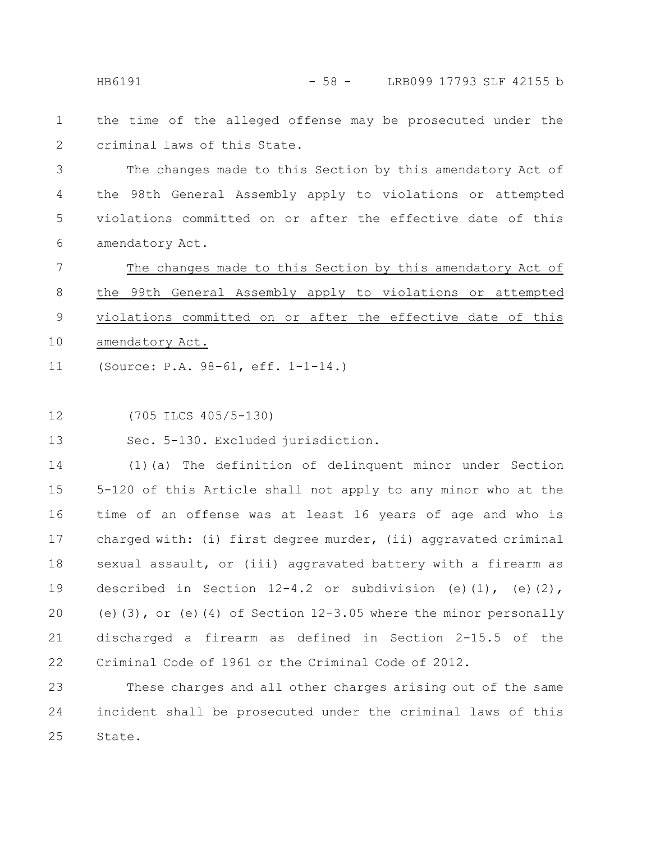HB6191 - 58 - LRB099 17793 SLF 42155 b

the time of the alleged offense may be prosecuted under the criminal laws of this State. 1 2

The changes made to this Section by this amendatory Act of the 98th General Assembly apply to violations or attempted violations committed on or after the effective date of this amendatory Act. 3 4 5 6

The changes made to this Section by this amendatory Act of the 99th General Assembly apply to violations or attempted violations committed on or after the effective date of this amendatory Act. (Source: P.A. 98-61, eff. 1-1-14.) 7 8 9 10 11

(705 ILCS 405/5-130) 12

Sec. 5-130. Excluded jurisdiction. 13

(1)(a) The definition of delinquent minor under Section 5-120 of this Article shall not apply to any minor who at the time of an offense was at least 16 years of age and who is charged with: (i) first degree murder, (ii) aggravated criminal sexual assault, or (iii) aggravated battery with a firearm as described in Section  $12-4.2$  or subdivision (e)(1), (e)(2), (e)(3), or (e)(4) of Section 12-3.05 where the minor personally discharged a firearm as defined in Section 2-15.5 of the Criminal Code of 1961 or the Criminal Code of 2012. 14 15 16 17 18 19 20 21 22

These charges and all other charges arising out of the same incident shall be prosecuted under the criminal laws of this State. 23 24 25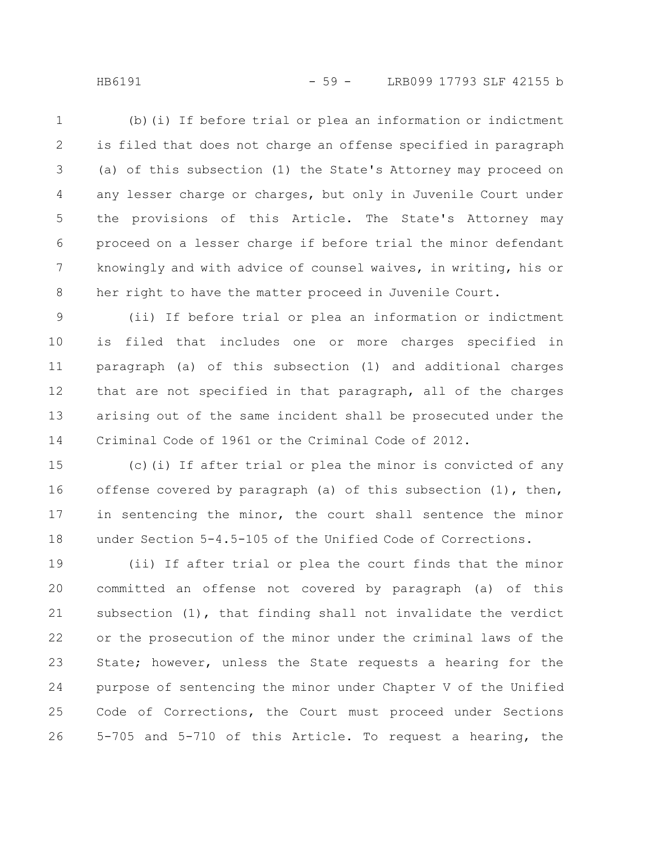(b)(i) If before trial or plea an information or indictment is filed that does not charge an offense specified in paragraph (a) of this subsection (1) the State's Attorney may proceed on any lesser charge or charges, but only in Juvenile Court under the provisions of this Article. The State's Attorney may proceed on a lesser charge if before trial the minor defendant knowingly and with advice of counsel waives, in writing, his or her right to have the matter proceed in Juvenile Court. 1 2 3 4 5 6 7 8

(ii) If before trial or plea an information or indictment is filed that includes one or more charges specified in paragraph (a) of this subsection (1) and additional charges that are not specified in that paragraph, all of the charges arising out of the same incident shall be prosecuted under the Criminal Code of 1961 or the Criminal Code of 2012. 9 10 11 12 13 14

(c)(i) If after trial or plea the minor is convicted of any offense covered by paragraph (a) of this subsection (1), then, in sentencing the minor, the court shall sentence the minor under Section 5-4.5-105 of the Unified Code of Corrections. 15 16 17 18

(ii) If after trial or plea the court finds that the minor committed an offense not covered by paragraph (a) of this subsection (1), that finding shall not invalidate the verdict or the prosecution of the minor under the criminal laws of the State; however, unless the State requests a hearing for the purpose of sentencing the minor under Chapter V of the Unified Code of Corrections, the Court must proceed under Sections 5-705 and 5-710 of this Article. To request a hearing, the 19 20 21 22 23 24 25 26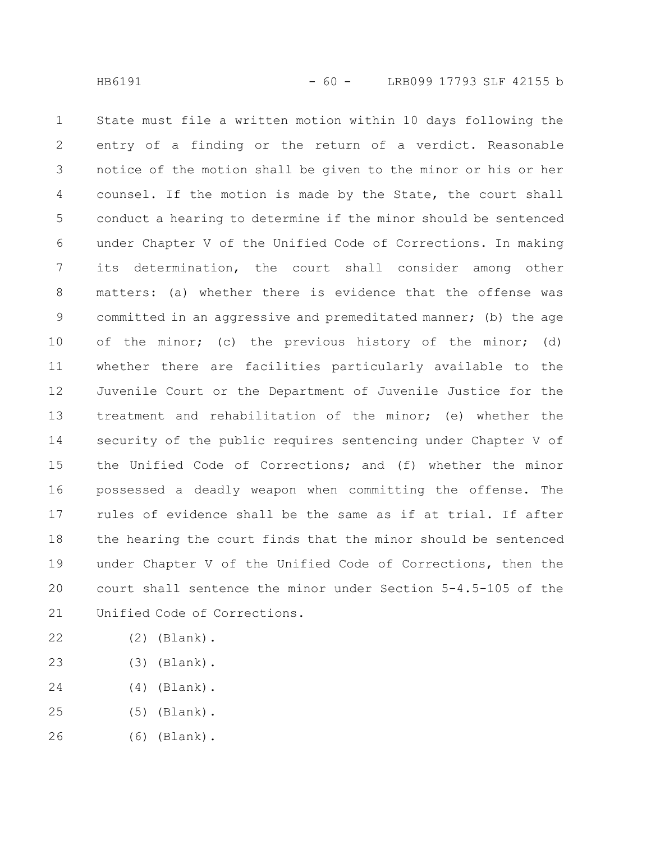State must file a written motion within 10 days following the entry of a finding or the return of a verdict. Reasonable notice of the motion shall be given to the minor or his or her counsel. If the motion is made by the State, the court shall conduct a hearing to determine if the minor should be sentenced under Chapter V of the Unified Code of Corrections. In making its determination, the court shall consider among other matters: (a) whether there is evidence that the offense was committed in an aggressive and premeditated manner; (b) the age of the minor; (c) the previous history of the minor; (d) whether there are facilities particularly available to the Juvenile Court or the Department of Juvenile Justice for the treatment and rehabilitation of the minor; (e) whether the security of the public requires sentencing under Chapter V of the Unified Code of Corrections; and (f) whether the minor possessed a deadly weapon when committing the offense. The rules of evidence shall be the same as if at trial. If after the hearing the court finds that the minor should be sentenced under Chapter V of the Unified Code of Corrections, then the court shall sentence the minor under Section 5-4.5-105 of the Unified Code of Corrections. 1 2 3 4 5 6 7 8 9 10 11 12 13 14 15 16 17 18 19 20 21

- (2) (Blank). 22
- (3) (Blank). 23
- (4) (Blank). 24
- (5) (Blank). 25
- (6) (Blank). 26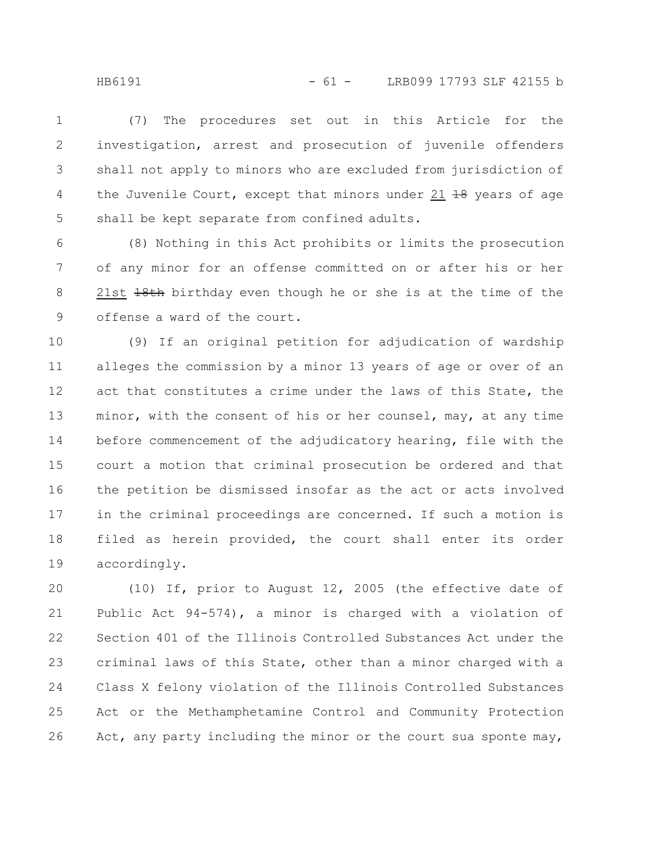(7) The procedures set out in this Article for the investigation, arrest and prosecution of juvenile offenders shall not apply to minors who are excluded from jurisdiction of the Juvenile Court, except that minors under 21  $\frac{19}{18}$  years of age shall be kept separate from confined adults. 1 2 3 4 5

(8) Nothing in this Act prohibits or limits the prosecution of any minor for an offense committed on or after his or her 21st  $18th$  birthday even though he or she is at the time of the offense a ward of the court. 6 7 8 9

(9) If an original petition for adjudication of wardship alleges the commission by a minor 13 years of age or over of an act that constitutes a crime under the laws of this State, the minor, with the consent of his or her counsel, may, at any time before commencement of the adjudicatory hearing, file with the court a motion that criminal prosecution be ordered and that the petition be dismissed insofar as the act or acts involved in the criminal proceedings are concerned. If such a motion is filed as herein provided, the court shall enter its order accordingly. 10 11 12 13 14 15 16 17 18 19

(10) If, prior to August 12, 2005 (the effective date of Public Act 94-574), a minor is charged with a violation of Section 401 of the Illinois Controlled Substances Act under the criminal laws of this State, other than a minor charged with a Class X felony violation of the Illinois Controlled Substances Act or the Methamphetamine Control and Community Protection Act, any party including the minor or the court sua sponte may, 20 21 22 23 24 25 26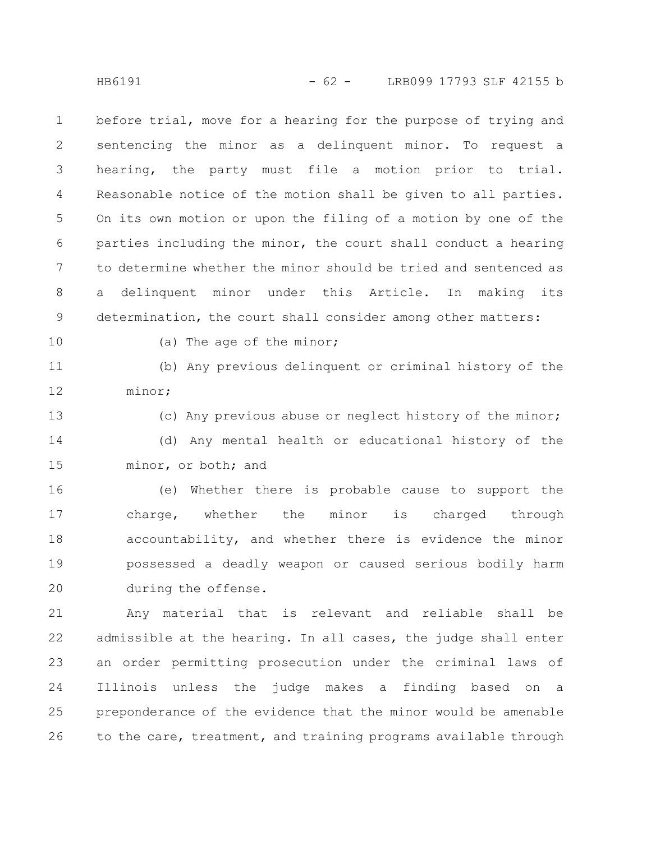before trial, move for a hearing for the purpose of trying and sentencing the minor as a delinquent minor. To request a hearing, the party must file a motion prior to trial. Reasonable notice of the motion shall be given to all parties. On its own motion or upon the filing of a motion by one of the parties including the minor, the court shall conduct a hearing to determine whether the minor should be tried and sentenced as a delinquent minor under this Article. In making its determination, the court shall consider among other matters: 1 2 3 4 5 6 7 8 9

10

(a) The age of the minor;

(b) Any previous delinquent or criminal history of the minor; 11 12

(c) Any previous abuse or neglect history of the minor; (d) Any mental health or educational history of the minor, or both; and 13 14 15

(e) Whether there is probable cause to support the charge, whether the minor is charged through accountability, and whether there is evidence the minor possessed a deadly weapon or caused serious bodily harm during the offense. 16 17 18 19 20

Any material that is relevant and reliable shall be admissible at the hearing. In all cases, the judge shall enter an order permitting prosecution under the criminal laws of Illinois unless the judge makes a finding based on a preponderance of the evidence that the minor would be amenable to the care, treatment, and training programs available through 21 22 23 24 25 26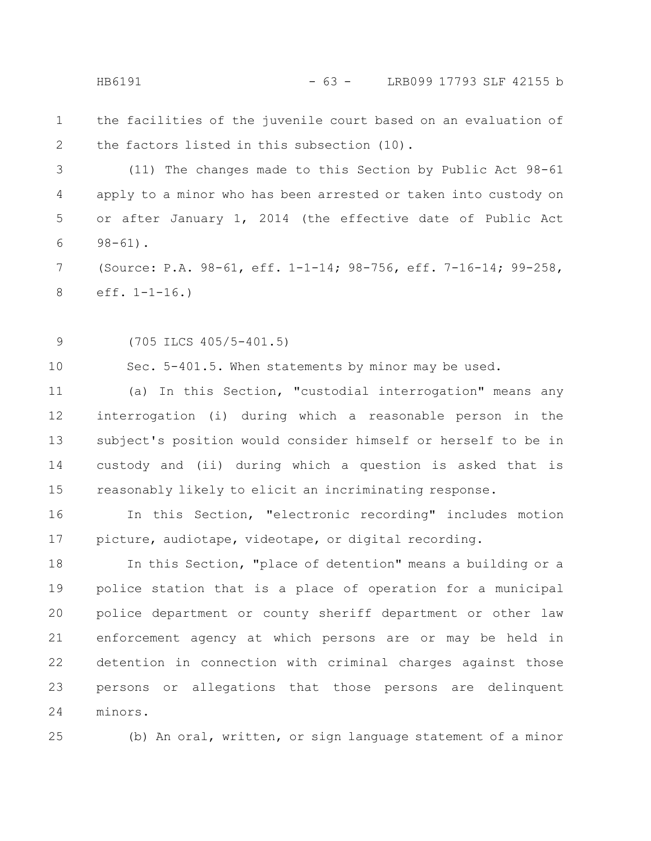the facilities of the juvenile court based on an evaluation of the factors listed in this subsection (10). 1 2

(11) The changes made to this Section by Public Act 98-61 apply to a minor who has been arrested or taken into custody on or after January 1, 2014 (the effective date of Public Act  $98 - 61$ . 3 4 5 6

(Source: P.A. 98-61, eff. 1-1-14; 98-756, eff. 7-16-14; 99-258, eff. 1-1-16.) 7 8

(705 ILCS 405/5-401.5) 9

Sec. 5-401.5. When statements by minor may be used.

(a) In this Section, "custodial interrogation" means any interrogation (i) during which a reasonable person in the subject's position would consider himself or herself to be in custody and (ii) during which a question is asked that is reasonably likely to elicit an incriminating response. 11 12 13 14 15

In this Section, "electronic recording" includes motion picture, audiotape, videotape, or digital recording. 16 17

In this Section, "place of detention" means a building or a police station that is a place of operation for a municipal police department or county sheriff department or other law enforcement agency at which persons are or may be held in detention in connection with criminal charges against those persons or allegations that those persons are delinquent minors. 18 19 20 21 22 23 24

25

10

(b) An oral, written, or sign language statement of a minor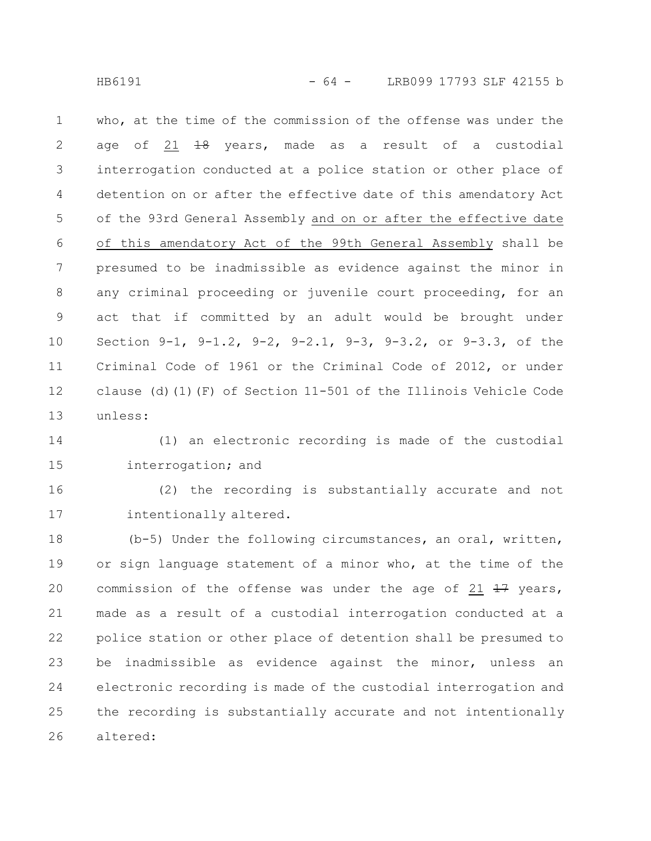HB6191 - 64 - LRB099 17793 SLF 42155 b

who, at the time of the commission of the offense was under the age of 21 <del>18</del> years, made as a result of a custodial interrogation conducted at a police station or other place of detention on or after the effective date of this amendatory Act of the 93rd General Assembly and on or after the effective date of this amendatory Act of the 99th General Assembly shall be presumed to be inadmissible as evidence against the minor in any criminal proceeding or juvenile court proceeding, for an act that if committed by an adult would be brought under Section 9-1, 9-1.2, 9-2, 9-2.1, 9-3, 9-3.2, or 9-3.3, of the Criminal Code of 1961 or the Criminal Code of 2012, or under clause (d)(1)(F) of Section 11-501 of the Illinois Vehicle Code unless: 1 2 3 4 5 6 7 8 9 10 11 12 13

(1) an electronic recording is made of the custodial interrogation; and 14 15

(2) the recording is substantially accurate and not intentionally altered. 16 17

(b-5) Under the following circumstances, an oral, written, or sign language statement of a minor who, at the time of the commission of the offense was under the age of 21  $\frac{17}{17}$  years, made as a result of a custodial interrogation conducted at a police station or other place of detention shall be presumed to be inadmissible as evidence against the minor, unless an electronic recording is made of the custodial interrogation and the recording is substantially accurate and not intentionally altered: 18 19 20 21 22 23 24 25 26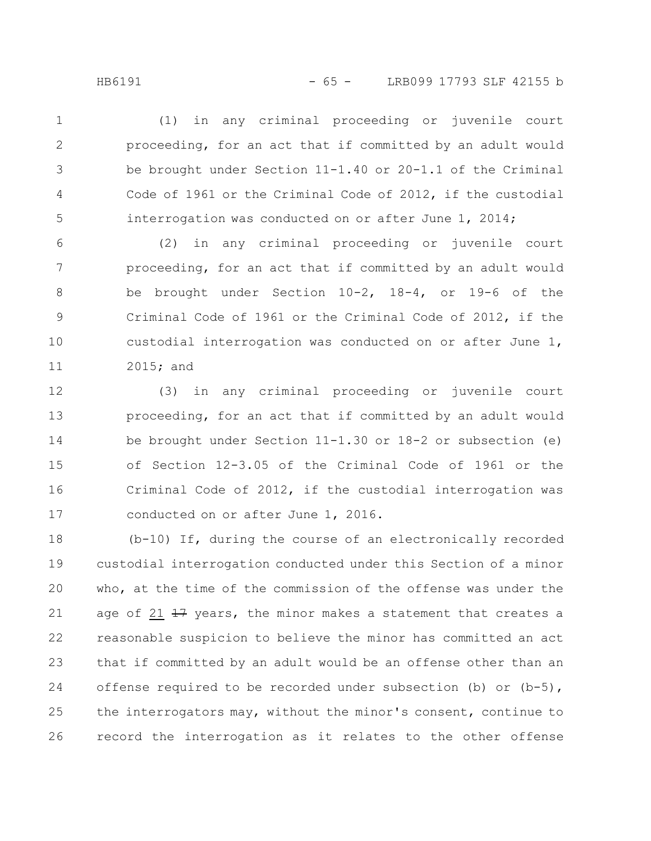(1) in any criminal proceeding or juvenile court proceeding, for an act that if committed by an adult would be brought under Section 11-1.40 or 20-1.1 of the Criminal Code of 1961 or the Criminal Code of 2012, if the custodial interrogation was conducted on or after June 1, 2014; 1 2 3 4 5

(2) in any criminal proceeding or juvenile court proceeding, for an act that if committed by an adult would be brought under Section 10-2, 18-4, or 19-6 of the Criminal Code of 1961 or the Criminal Code of 2012, if the custodial interrogation was conducted on or after June 1, 2015; and 6 7 8 9 10 11

(3) in any criminal proceeding or juvenile court proceeding, for an act that if committed by an adult would be brought under Section 11-1.30 or 18-2 or subsection (e) of Section 12-3.05 of the Criminal Code of 1961 or the Criminal Code of 2012, if the custodial interrogation was conducted on or after June 1, 2016. 12 13 14 15 16 17

(b-10) If, during the course of an electronically recorded custodial interrogation conducted under this Section of a minor who, at the time of the commission of the offense was under the age of 21 47 years, the minor makes a statement that creates a reasonable suspicion to believe the minor has committed an act that if committed by an adult would be an offense other than an offense required to be recorded under subsection (b) or  $(b-5)$ , the interrogators may, without the minor's consent, continue to record the interrogation as it relates to the other offense 18 19 20 21 22 23 24 25 26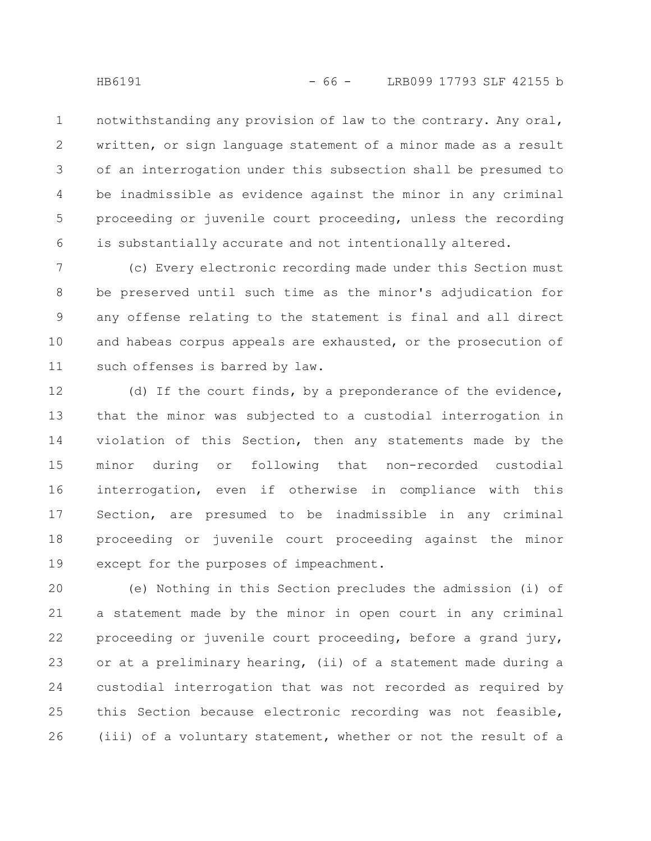notwithstanding any provision of law to the contrary. Any oral, written, or sign language statement of a minor made as a result of an interrogation under this subsection shall be presumed to be inadmissible as evidence against the minor in any criminal proceeding or juvenile court proceeding, unless the recording is substantially accurate and not intentionally altered. 1 2 3 4 5 6

(c) Every electronic recording made under this Section must be preserved until such time as the minor's adjudication for any offense relating to the statement is final and all direct and habeas corpus appeals are exhausted, or the prosecution of such offenses is barred by law. 7 8 9 10 11

(d) If the court finds, by a preponderance of the evidence, that the minor was subjected to a custodial interrogation in violation of this Section, then any statements made by the minor during or following that non-recorded custodial interrogation, even if otherwise in compliance with this Section, are presumed to be inadmissible in any criminal proceeding or juvenile court proceeding against the minor except for the purposes of impeachment. 12 13 14 15 16 17 18 19

(e) Nothing in this Section precludes the admission (i) of a statement made by the minor in open court in any criminal proceeding or juvenile court proceeding, before a grand jury, or at a preliminary hearing, (ii) of a statement made during a custodial interrogation that was not recorded as required by this Section because electronic recording was not feasible, (iii) of a voluntary statement, whether or not the result of a 20 21 22 23 24 25 26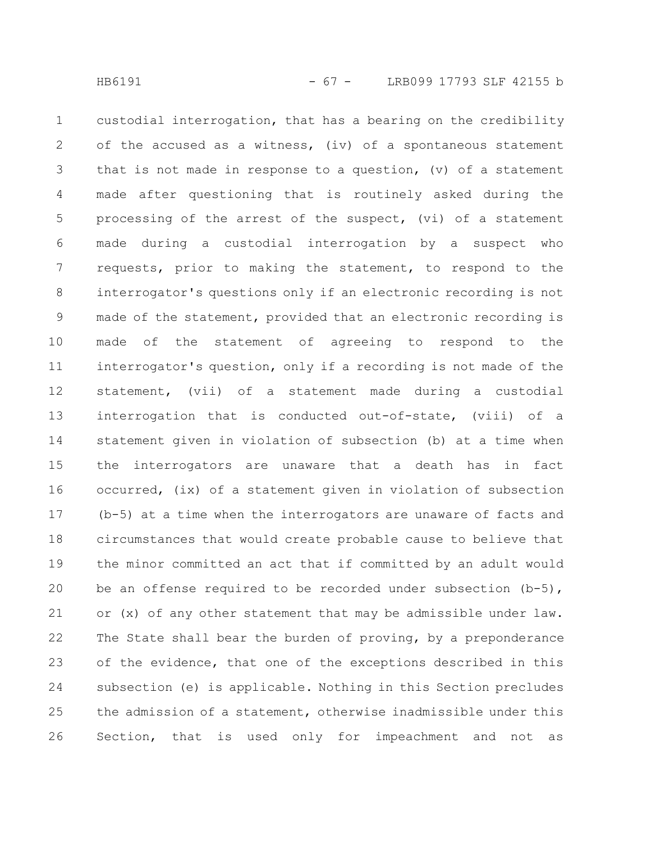custodial interrogation, that has a bearing on the credibility of the accused as a witness, (iv) of a spontaneous statement that is not made in response to a question, (v) of a statement made after questioning that is routinely asked during the processing of the arrest of the suspect, (vi) of a statement made during a custodial interrogation by a suspect who requests, prior to making the statement, to respond to the interrogator's questions only if an electronic recording is not made of the statement, provided that an electronic recording is made of the statement of agreeing to respond to the interrogator's question, only if a recording is not made of the statement, (vii) of a statement made during a custodial interrogation that is conducted out-of-state, (viii) of a statement given in violation of subsection (b) at a time when the interrogators are unaware that a death has in fact occurred, (ix) of a statement given in violation of subsection (b-5) at a time when the interrogators are unaware of facts and circumstances that would create probable cause to believe that the minor committed an act that if committed by an adult would be an offense required to be recorded under subsection  $(b-5)$ , or (x) of any other statement that may be admissible under law. The State shall bear the burden of proving, by a preponderance of the evidence, that one of the exceptions described in this subsection (e) is applicable. Nothing in this Section precludes the admission of a statement, otherwise inadmissible under this Section, that is used only for impeachment and not as 1 2 3 4 5 6 7 8 9 10 11 12 13 14 15 16 17 18 19 20 21 22 23 24 25 26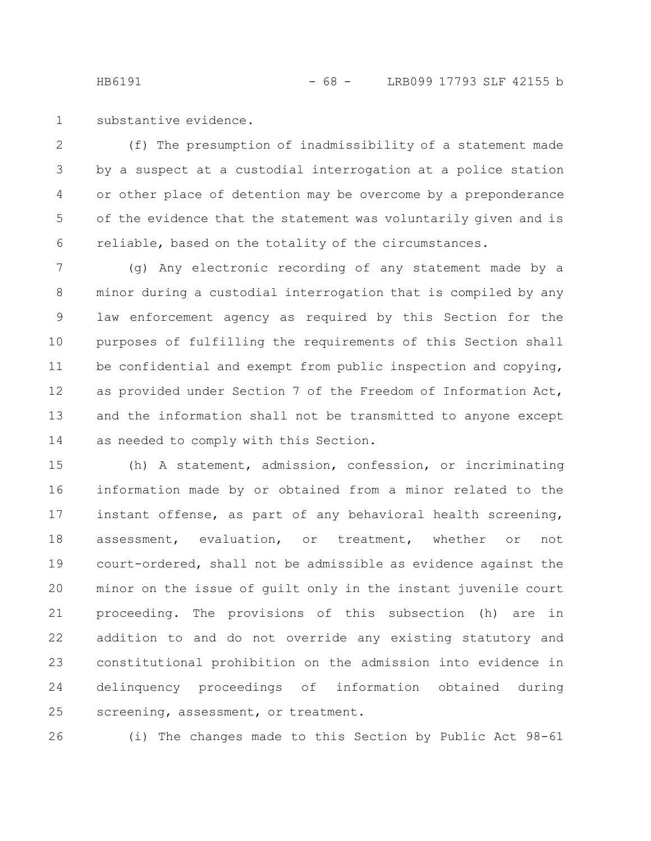substantive evidence. 1

(f) The presumption of inadmissibility of a statement made by a suspect at a custodial interrogation at a police station or other place of detention may be overcome by a preponderance of the evidence that the statement was voluntarily given and is reliable, based on the totality of the circumstances. 2 3 4 5 6

(g) Any electronic recording of any statement made by a minor during a custodial interrogation that is compiled by any law enforcement agency as required by this Section for the purposes of fulfilling the requirements of this Section shall be confidential and exempt from public inspection and copying, as provided under Section 7 of the Freedom of Information Act, and the information shall not be transmitted to anyone except as needed to comply with this Section. 7 8 9 10 11 12 13 14

(h) A statement, admission, confession, or incriminating information made by or obtained from a minor related to the instant offense, as part of any behavioral health screening, assessment, evaluation, or treatment, whether or not court-ordered, shall not be admissible as evidence against the minor on the issue of guilt only in the instant juvenile court proceeding. The provisions of this subsection (h) are in addition to and do not override any existing statutory and constitutional prohibition on the admission into evidence in delinquency proceedings of information obtained during screening, assessment, or treatment. 15 16 17 18 19 20 21 22 23 24 25

26

(i) The changes made to this Section by Public Act 98-61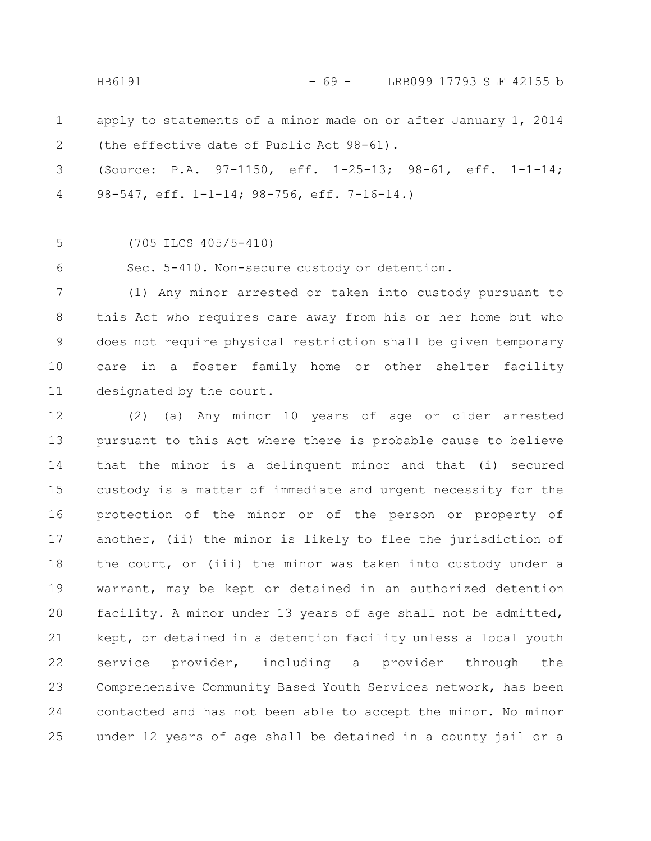HB6191 - 69 - LRB099 17793 SLF 42155 b

apply to statements of a minor made on or after January 1, 2014 (the effective date of Public Act 98-61). 1 2

(Source: P.A. 97-1150, eff. 1-25-13; 98-61, eff. 1-1-14; 98-547, eff. 1-1-14; 98-756, eff. 7-16-14.) 3 4

(705 ILCS 405/5-410) 5

Sec. 5-410. Non-secure custody or detention. 6

(1) Any minor arrested or taken into custody pursuant to this Act who requires care away from his or her home but who does not require physical restriction shall be given temporary care in a foster family home or other shelter facility designated by the court. 7 8 9 10 11

(2) (a) Any minor 10 years of age or older arrested pursuant to this Act where there is probable cause to believe that the minor is a delinquent minor and that (i) secured custody is a matter of immediate and urgent necessity for the protection of the minor or of the person or property of another, (ii) the minor is likely to flee the jurisdiction of the court, or (iii) the minor was taken into custody under a warrant, may be kept or detained in an authorized detention facility. A minor under 13 years of age shall not be admitted, kept, or detained in a detention facility unless a local youth service provider, including a provider through the Comprehensive Community Based Youth Services network, has been contacted and has not been able to accept the minor. No minor under 12 years of age shall be detained in a county jail or a 12 13 14 15 16 17 18 19 20 21 22 23 24 25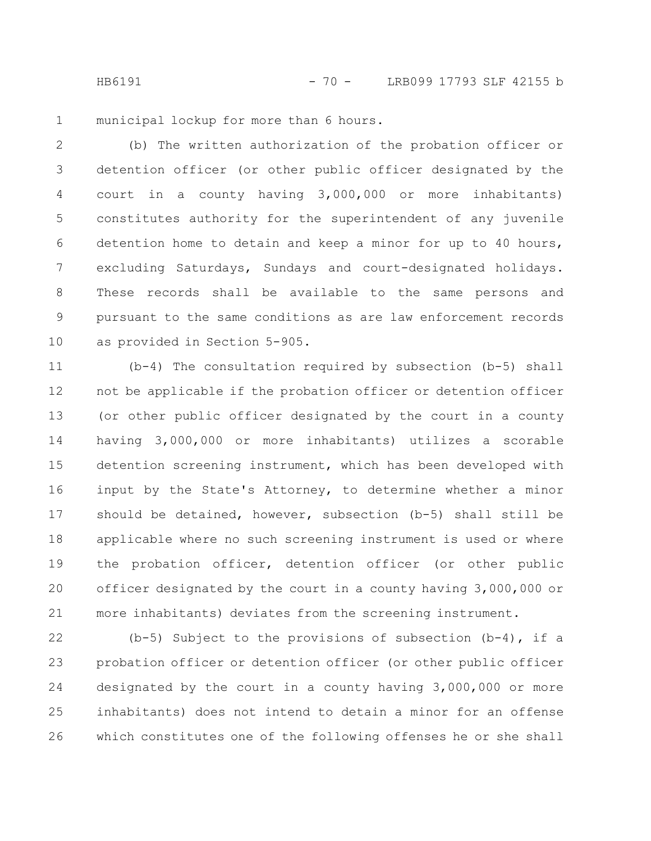HB6191 - 70 - LRB099 17793 SLF 42155 b

municipal lockup for more than 6 hours. 1

(b) The written authorization of the probation officer or detention officer (or other public officer designated by the court in a county having 3,000,000 or more inhabitants) constitutes authority for the superintendent of any juvenile detention home to detain and keep a minor for up to 40 hours, excluding Saturdays, Sundays and court-designated holidays. These records shall be available to the same persons and pursuant to the same conditions as are law enforcement records as provided in Section 5-905. 2 3 4 5 6 7 8 9 10

(b-4) The consultation required by subsection (b-5) shall not be applicable if the probation officer or detention officer (or other public officer designated by the court in a county having 3,000,000 or more inhabitants) utilizes a scorable detention screening instrument, which has been developed with input by the State's Attorney, to determine whether a minor should be detained, however, subsection (b-5) shall still be applicable where no such screening instrument is used or where the probation officer, detention officer (or other public officer designated by the court in a county having 3,000,000 or more inhabitants) deviates from the screening instrument. 11 12 13 14 15 16 17 18 19 20 21

(b-5) Subject to the provisions of subsection (b-4), if a probation officer or detention officer (or other public officer designated by the court in a county having 3,000,000 or more inhabitants) does not intend to detain a minor for an offense which constitutes one of the following offenses he or she shall 22 23 24 25 26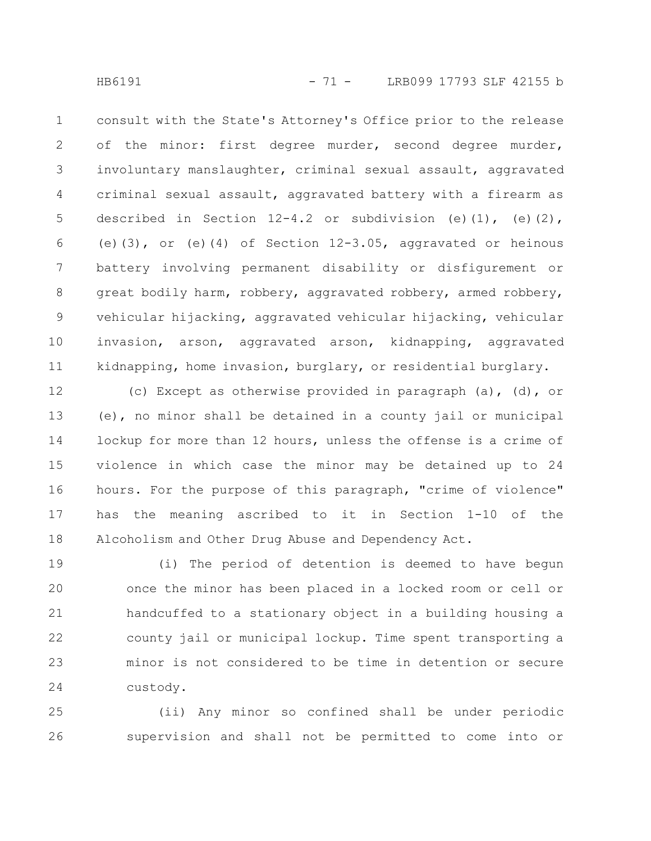consult with the State's Attorney's Office prior to the release of the minor: first degree murder, second degree murder, involuntary manslaughter, criminal sexual assault, aggravated criminal sexual assault, aggravated battery with a firearm as described in Section  $12-4.2$  or subdivision (e)(1), (e)(2), (e)(3), or (e)(4) of Section  $12-3.05$ , aggravated or heinous battery involving permanent disability or disfigurement or great bodily harm, robbery, aggravated robbery, armed robbery, vehicular hijacking, aggravated vehicular hijacking, vehicular invasion, arson, aggravated arson, kidnapping, aggravated kidnapping, home invasion, burglary, or residential burglary. 1 2 3 4 5 6 7 8 9 10 11

(c) Except as otherwise provided in paragraph (a), (d), or (e), no minor shall be detained in a county jail or municipal lockup for more than 12 hours, unless the offense is a crime of violence in which case the minor may be detained up to 24 hours. For the purpose of this paragraph, "crime of violence" has the meaning ascribed to it in Section 1-10 of the Alcoholism and Other Drug Abuse and Dependency Act. 12 13 14 15 16 17 18

(i) The period of detention is deemed to have begun once the minor has been placed in a locked room or cell or handcuffed to a stationary object in a building housing a county jail or municipal lockup. Time spent transporting a minor is not considered to be time in detention or secure custody. 19 20 21 22 23 24

(ii) Any minor so confined shall be under periodic supervision and shall not be permitted to come into or 25 26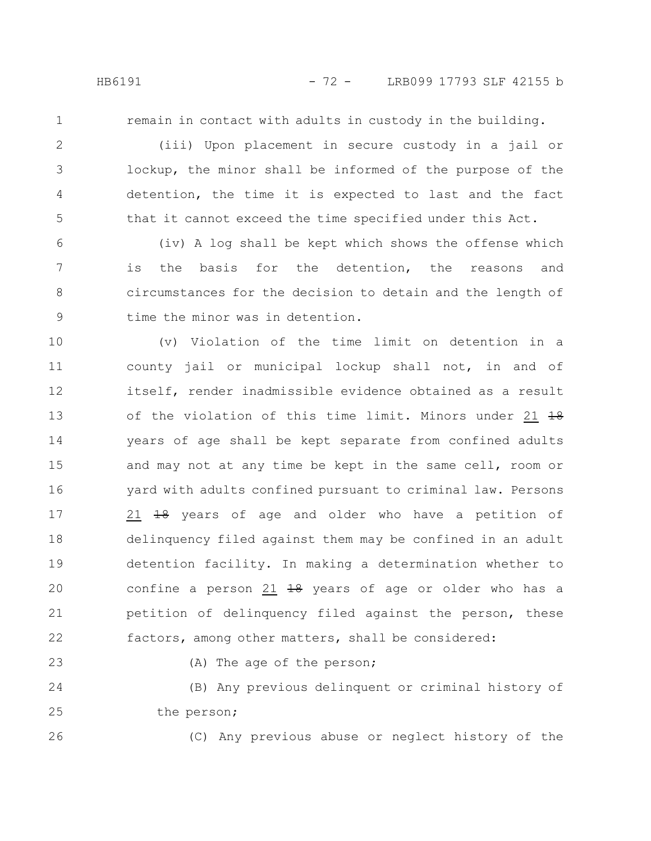1

2

3

4

5

remain in contact with adults in custody in the building.

(iii) Upon placement in secure custody in a jail or lockup, the minor shall be informed of the purpose of the detention, the time it is expected to last and the fact that it cannot exceed the time specified under this Act.

(iv) A log shall be kept which shows the offense which is the basis for the detention, the reasons and circumstances for the decision to detain and the length of time the minor was in detention. 6 7 8 9

(v) Violation of the time limit on detention in a county jail or municipal lockup shall not, in and of itself, render inadmissible evidence obtained as a result of the violation of this time limit. Minors under 21 18 years of age shall be kept separate from confined adults and may not at any time be kept in the same cell, room or yard with adults confined pursuant to criminal law. Persons 21 <del>18</del> years of age and older who have a petition of delinquency filed against them may be confined in an adult detention facility. In making a determination whether to confine a person  $21$   $18$  years of age or older who has a petition of delinquency filed against the person, these factors, among other matters, shall be considered: 10 11 12 13 14 15 16 17 18 19 20 21 22

(A) The age of the person;

(B) Any previous delinquent or criminal history of the person; 24 25

26

23

(C) Any previous abuse or neglect history of the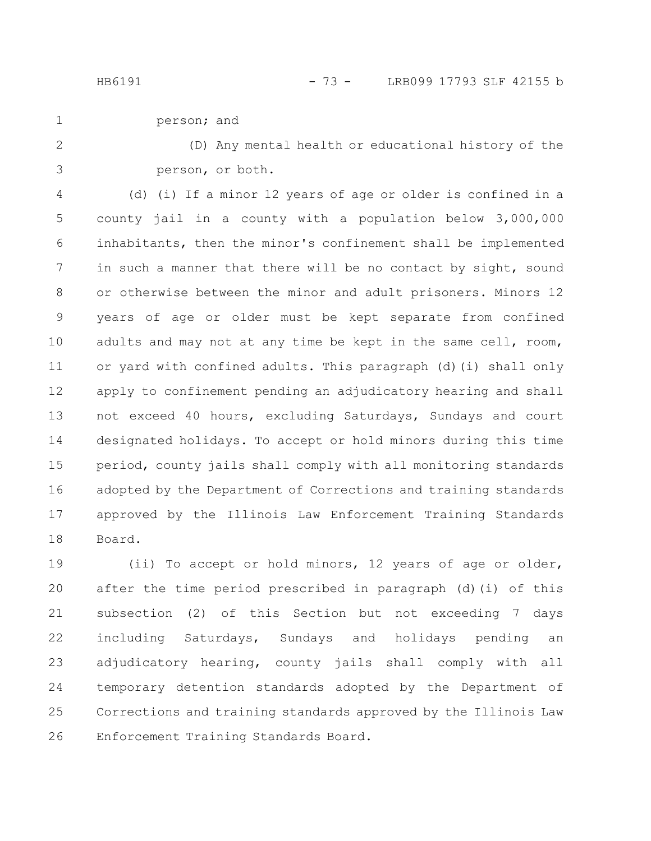person; and 1

(D) Any mental health or educational history of the person, or both. 2 3

(d) (i) If a minor 12 years of age or older is confined in a county jail in a county with a population below 3,000,000 inhabitants, then the minor's confinement shall be implemented in such a manner that there will be no contact by sight, sound or otherwise between the minor and adult prisoners. Minors 12 years of age or older must be kept separate from confined adults and may not at any time be kept in the same cell, room, or yard with confined adults. This paragraph (d)(i) shall only apply to confinement pending an adjudicatory hearing and shall not exceed 40 hours, excluding Saturdays, Sundays and court designated holidays. To accept or hold minors during this time period, county jails shall comply with all monitoring standards adopted by the Department of Corrections and training standards approved by the Illinois Law Enforcement Training Standards Board. 4 5 6 7 8 9 10 11 12 13 14 15 16 17 18

(ii) To accept or hold minors, 12 years of age or older, after the time period prescribed in paragraph (d)(i) of this subsection (2) of this Section but not exceeding 7 days including Saturdays, Sundays and holidays pending an adjudicatory hearing, county jails shall comply with all temporary detention standards adopted by the Department of Corrections and training standards approved by the Illinois Law Enforcement Training Standards Board. 19 20 21 22 23 24 25 26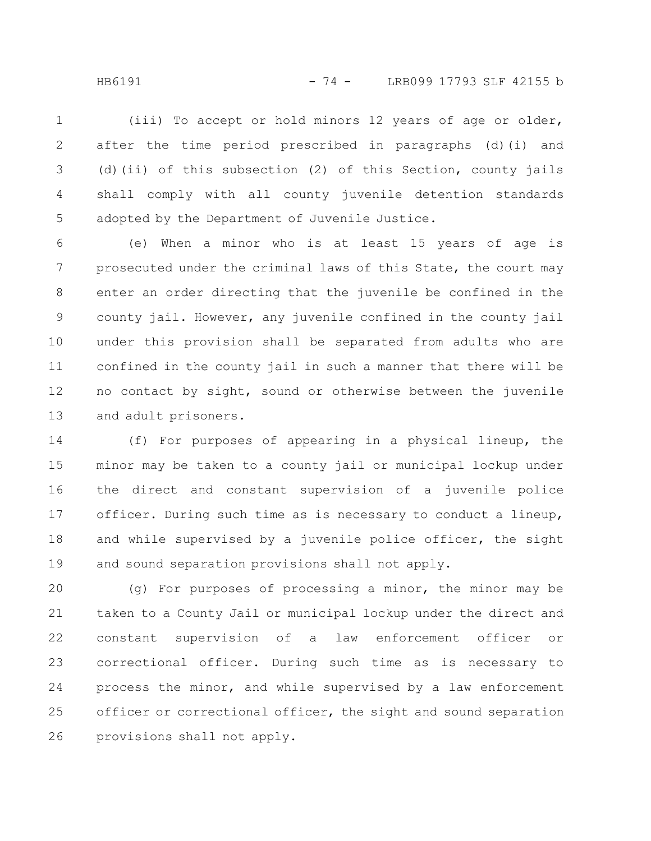HB6191 - 74 - LRB099 17793 SLF 42155 b

(iii) To accept or hold minors 12 years of age or older, after the time period prescribed in paragraphs (d)(i) and (d)(ii) of this subsection (2) of this Section, county jails shall comply with all county juvenile detention standards adopted by the Department of Juvenile Justice. 1 2 3 4 5

(e) When a minor who is at least 15 years of age is prosecuted under the criminal laws of this State, the court may enter an order directing that the juvenile be confined in the county jail. However, any juvenile confined in the county jail under this provision shall be separated from adults who are confined in the county jail in such a manner that there will be no contact by sight, sound or otherwise between the juvenile and adult prisoners. 6 7 8 9 10 11 12 13

(f) For purposes of appearing in a physical lineup, the minor may be taken to a county jail or municipal lockup under the direct and constant supervision of a juvenile police officer. During such time as is necessary to conduct a lineup, and while supervised by a juvenile police officer, the sight and sound separation provisions shall not apply. 14 15 16 17 18 19

(g) For purposes of processing a minor, the minor may be taken to a County Jail or municipal lockup under the direct and constant supervision of a law enforcement officer or correctional officer. During such time as is necessary to process the minor, and while supervised by a law enforcement officer or correctional officer, the sight and sound separation provisions shall not apply. 20 21 22 23 24 25 26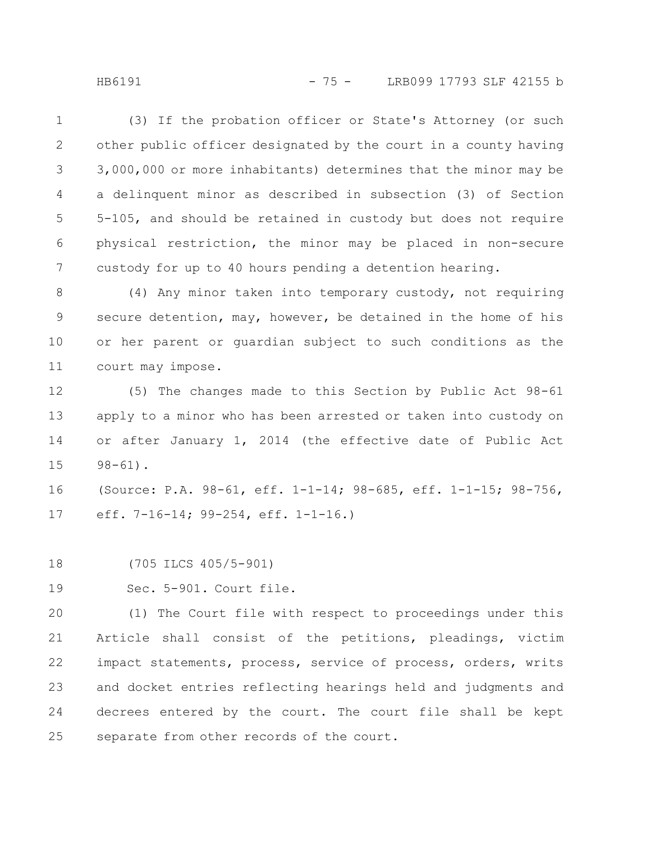HB6191 - 75 - LRB099 17793 SLF 42155 b

(3) If the probation officer or State's Attorney (or such other public officer designated by the court in a county having 3,000,000 or more inhabitants) determines that the minor may be a delinquent minor as described in subsection (3) of Section 5-105, and should be retained in custody but does not require physical restriction, the minor may be placed in non-secure custody for up to 40 hours pending a detention hearing. 1 2 3 4 5 6 7

(4) Any minor taken into temporary custody, not requiring secure detention, may, however, be detained in the home of his or her parent or guardian subject to such conditions as the court may impose. 8 9 10 11

(5) The changes made to this Section by Public Act 98-61 apply to a minor who has been arrested or taken into custody on or after January 1, 2014 (the effective date of Public Act 98-61). 12 13 14 15

(Source: P.A. 98-61, eff. 1-1-14; 98-685, eff. 1-1-15; 98-756, eff. 7-16-14; 99-254, eff. 1-1-16.) 16 17

(705 ILCS 405/5-901) 18

Sec. 5-901. Court file. 19

(1) The Court file with respect to proceedings under this Article shall consist of the petitions, pleadings, victim impact statements, process, service of process, orders, writs and docket entries reflecting hearings held and judgments and decrees entered by the court. The court file shall be kept separate from other records of the court. 20 21 22 23 24 25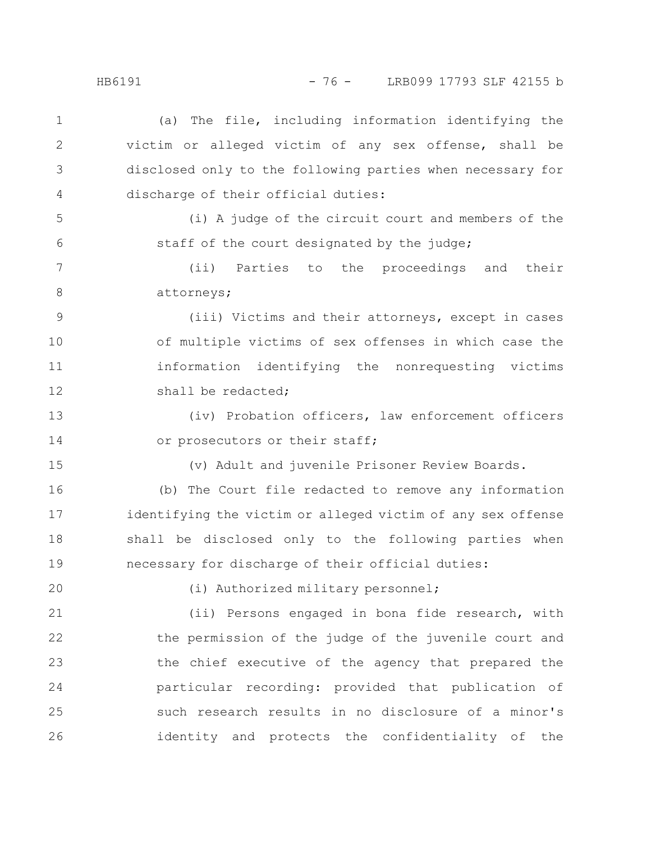(a) The file, including information identifying the victim or alleged victim of any sex offense, shall be disclosed only to the following parties when necessary for discharge of their official duties: (i) A judge of the circuit court and members of the staff of the court designated by the judge; (ii) Parties to the proceedings and their attorneys; (iii) Victims and their attorneys, except in cases of multiple victims of sex offenses in which case the information identifying the nonrequesting victims shall be redacted; (iv) Probation officers, law enforcement officers or prosecutors or their staff; (v) Adult and juvenile Prisoner Review Boards. (b) The Court file redacted to remove any information identifying the victim or alleged victim of any sex offense shall be disclosed only to the following parties when necessary for discharge of their official duties: (i) Authorized military personnel; (ii) Persons engaged in bona fide research, with the permission of the judge of the juvenile court and the chief executive of the agency that prepared the particular recording: provided that publication of such research results in no disclosure of a minor's identity and protects the confidentiality of the 1 2 3 4 5 6 7 8 9 10 11 12 13 14 15 16 17 18 19 20 21 22 23 24 25 26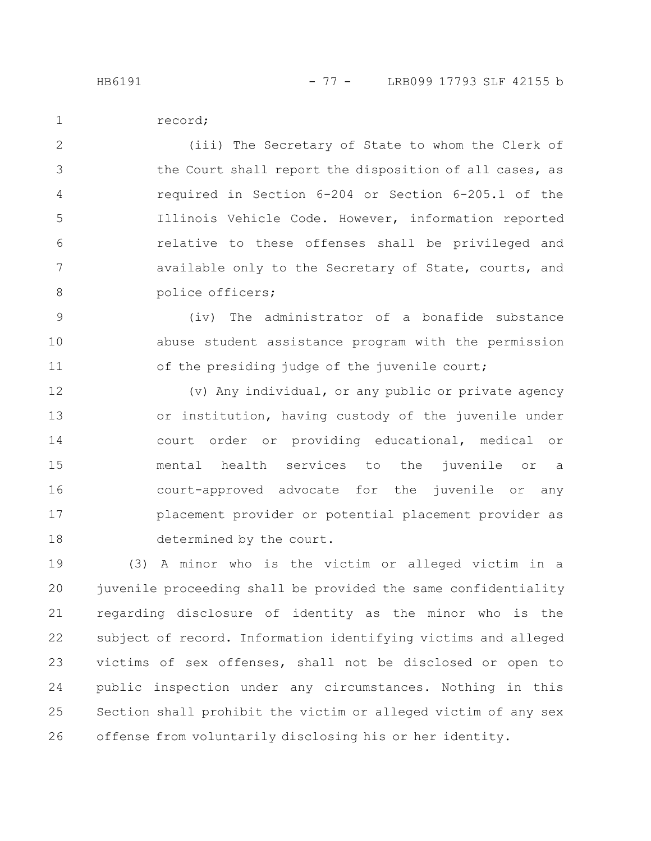record; 1

(iii) The Secretary of State to whom the Clerk of the Court shall report the disposition of all cases, as required in Section 6-204 or Section 6-205.1 of the Illinois Vehicle Code. However, information reported relative to these offenses shall be privileged and available only to the Secretary of State, courts, and police officers; 2 3 4 5 6 7 8

(iv) The administrator of a bonafide substance abuse student assistance program with the permission of the presiding judge of the juvenile court; 9 10 11

(v) Any individual, or any public or private agency or institution, having custody of the juvenile under court order or providing educational, medical or mental health services to the juvenile or a court-approved advocate for the juvenile or any placement provider or potential placement provider as determined by the court. 12 13 14 15 16 17 18

(3) A minor who is the victim or alleged victim in a juvenile proceeding shall be provided the same confidentiality regarding disclosure of identity as the minor who is the subject of record. Information identifying victims and alleged victims of sex offenses, shall not be disclosed or open to public inspection under any circumstances. Nothing in this Section shall prohibit the victim or alleged victim of any sex offense from voluntarily disclosing his or her identity. 19 20 21 22 23 24 25 26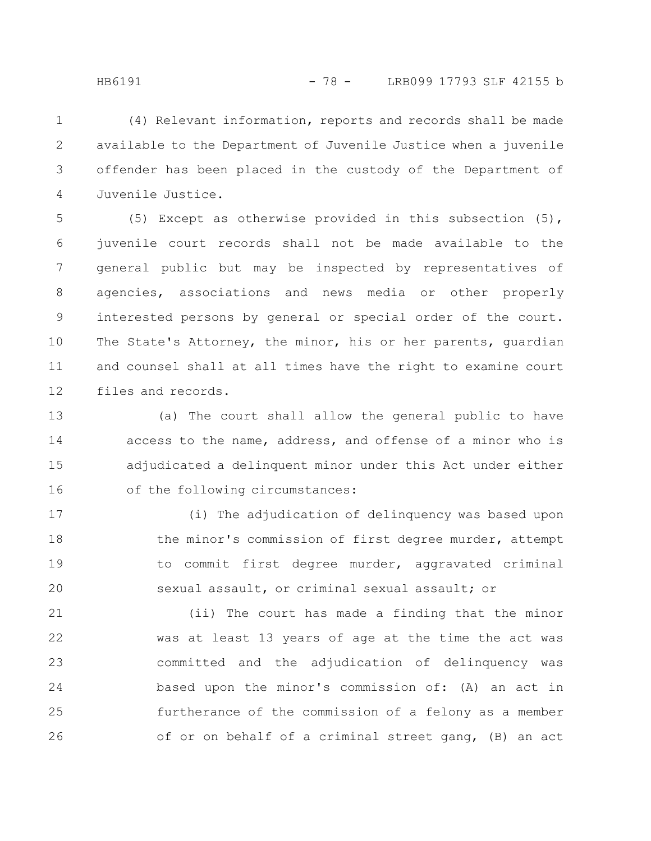(4) Relevant information, reports and records shall be made available to the Department of Juvenile Justice when a juvenile offender has been placed in the custody of the Department of Juvenile Justice. 1 2 3 4

(5) Except as otherwise provided in this subsection (5), juvenile court records shall not be made available to the general public but may be inspected by representatives of agencies, associations and news media or other properly interested persons by general or special order of the court. The State's Attorney, the minor, his or her parents, guardian and counsel shall at all times have the right to examine court files and records. 5 6 7 8 9 10 11 12

(a) The court shall allow the general public to have access to the name, address, and offense of a minor who is adjudicated a delinquent minor under this Act under either of the following circumstances: 13 14 15 16

(i) The adjudication of delinquency was based upon the minor's commission of first degree murder, attempt to commit first degree murder, aggravated criminal sexual assault, or criminal sexual assault; or 17 18 19 20

(ii) The court has made a finding that the minor was at least 13 years of age at the time the act was committed and the adjudication of delinquency was based upon the minor's commission of: (A) an act in furtherance of the commission of a felony as a member of or on behalf of a criminal street gang, (B) an act 21 22 23 24 25 26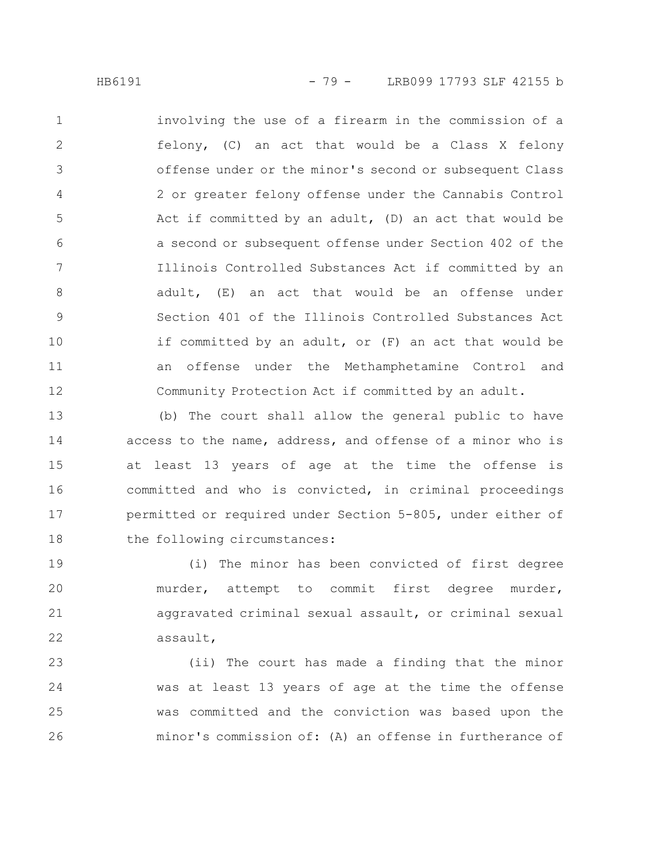involving the use of a firearm in the commission of a felony, (C) an act that would be a Class X felony offense under or the minor's second or subsequent Class 2 or greater felony offense under the Cannabis Control Act if committed by an adult, (D) an act that would be a second or subsequent offense under Section 402 of the Illinois Controlled Substances Act if committed by an adult, (E) an act that would be an offense under Section 401 of the Illinois Controlled Substances Act if committed by an adult, or (F) an act that would be an offense under the Methamphetamine Control and Community Protection Act if committed by an adult. 1 2 3 4 5 6 7 8 9 10 11 12

(b) The court shall allow the general public to have access to the name, address, and offense of a minor who is at least 13 years of age at the time the offense is committed and who is convicted, in criminal proceedings permitted or required under Section 5-805, under either of the following circumstances: 13 14 15 16 17 18

(i) The minor has been convicted of first degree murder, attempt to commit first degree murder, aggravated criminal sexual assault, or criminal sexual assault, 19 20 21 22

(ii) The court has made a finding that the minor was at least 13 years of age at the time the offense was committed and the conviction was based upon the minor's commission of: (A) an offense in furtherance of 23 24 25 26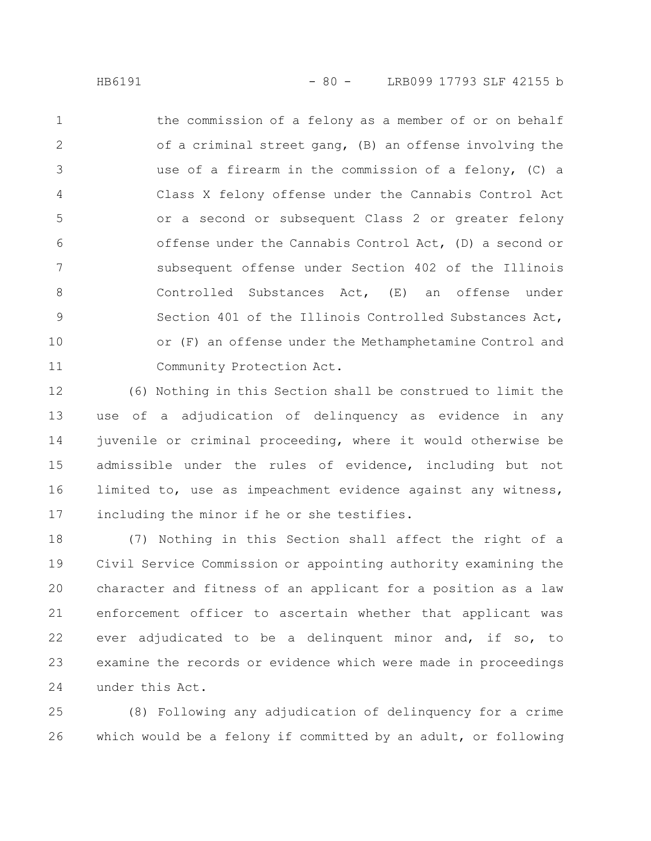the commission of a felony as a member of or on behalf of a criminal street gang, (B) an offense involving the use of a firearm in the commission of a felony, (C) a Class X felony offense under the Cannabis Control Act or a second or subsequent Class 2 or greater felony offense under the Cannabis Control Act, (D) a second or subsequent offense under Section 402 of the Illinois Controlled Substances Act, (E) an offense under Section 401 of the Illinois Controlled Substances Act, or (F) an offense under the Methamphetamine Control and Community Protection Act. 1 2 3 4 5 6 7 8 9 10 11

(6) Nothing in this Section shall be construed to limit the use of a adjudication of delinquency as evidence in any juvenile or criminal proceeding, where it would otherwise be admissible under the rules of evidence, including but not limited to, use as impeachment evidence against any witness, including the minor if he or she testifies. 12 13 14 15 16 17

(7) Nothing in this Section shall affect the right of a Civil Service Commission or appointing authority examining the character and fitness of an applicant for a position as a law enforcement officer to ascertain whether that applicant was ever adjudicated to be a delinquent minor and, if so, to examine the records or evidence which were made in proceedings under this Act. 18 19 20 21 22 23 24

(8) Following any adjudication of delinquency for a crime which would be a felony if committed by an adult, or following 25 26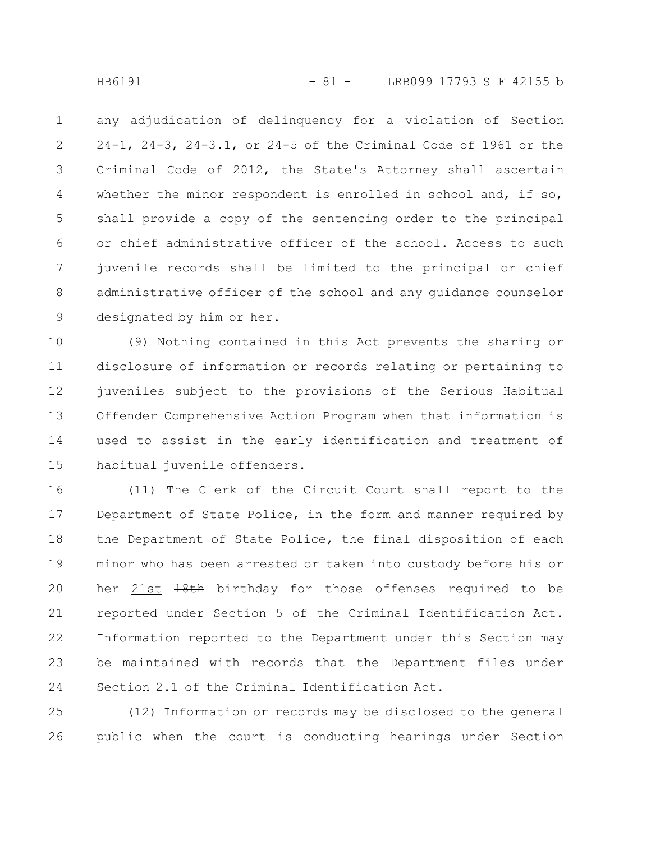any adjudication of delinquency for a violation of Section 24-1, 24-3, 24-3.1, or 24-5 of the Criminal Code of 1961 or the Criminal Code of 2012, the State's Attorney shall ascertain whether the minor respondent is enrolled in school and, if so, shall provide a copy of the sentencing order to the principal or chief administrative officer of the school. Access to such juvenile records shall be limited to the principal or chief administrative officer of the school and any guidance counselor designated by him or her. 1 2 3 4 5 6 7 8 9

(9) Nothing contained in this Act prevents the sharing or disclosure of information or records relating or pertaining to juveniles subject to the provisions of the Serious Habitual Offender Comprehensive Action Program when that information is used to assist in the early identification and treatment of habitual juvenile offenders. 10 11 12 13 14 15

(11) The Clerk of the Circuit Court shall report to the Department of State Police, in the form and manner required by the Department of State Police, the final disposition of each minor who has been arrested or taken into custody before his or her 21st  $18th$  birthday for those offenses required to be reported under Section 5 of the Criminal Identification Act. Information reported to the Department under this Section may be maintained with records that the Department files under Section 2.1 of the Criminal Identification Act. 16 17 18 19 20 21 22 23 24

(12) Information or records may be disclosed to the general public when the court is conducting hearings under Section 25 26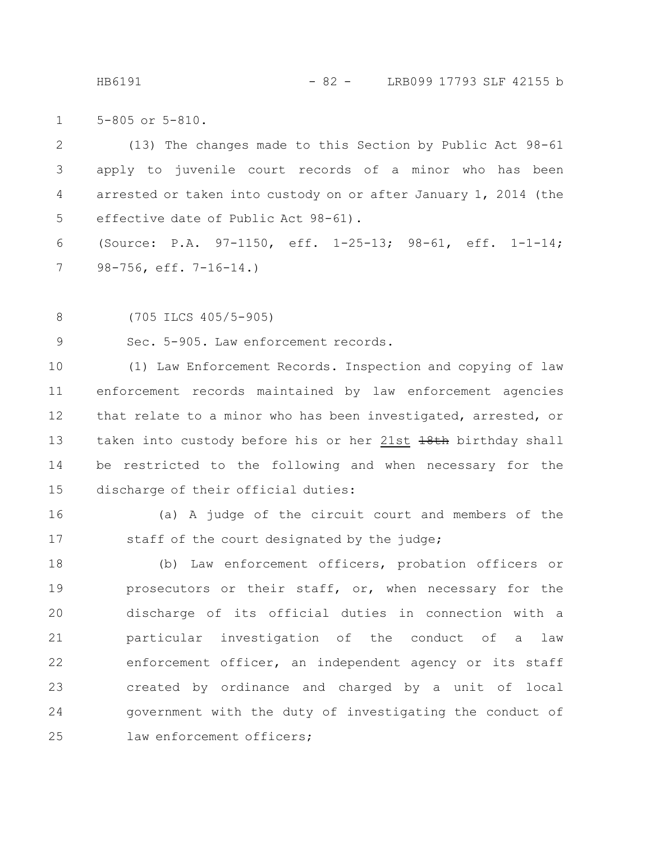HB6191 - 82 - LRB099 17793 SLF 42155 b

5-805 or 5-810. 1

(13) The changes made to this Section by Public Act 98-61 apply to juvenile court records of a minor who has been arrested or taken into custody on or after January 1, 2014 (the effective date of Public Act 98-61). 2 3 4 5

(Source: P.A. 97-1150, eff. 1-25-13; 98-61, eff. 1-1-14; 98-756, eff. 7-16-14.) 6 7

(705 ILCS 405/5-905) 8

Sec. 5-905. Law enforcement records. 9

(1) Law Enforcement Records. Inspection and copying of law enforcement records maintained by law enforcement agencies that relate to a minor who has been investigated, arrested, or taken into custody before his or her 21st 18th birthday shall be restricted to the following and when necessary for the discharge of their official duties: 10 11 12 13 14 15

16

(a) A judge of the circuit court and members of the staff of the court designated by the judge; 17

(b) Law enforcement officers, probation officers or prosecutors or their staff, or, when necessary for the discharge of its official duties in connection with a particular investigation of the conduct of a law enforcement officer, an independent agency or its staff created by ordinance and charged by a unit of local government with the duty of investigating the conduct of law enforcement officers: 18 19 20 21 22 23 24 25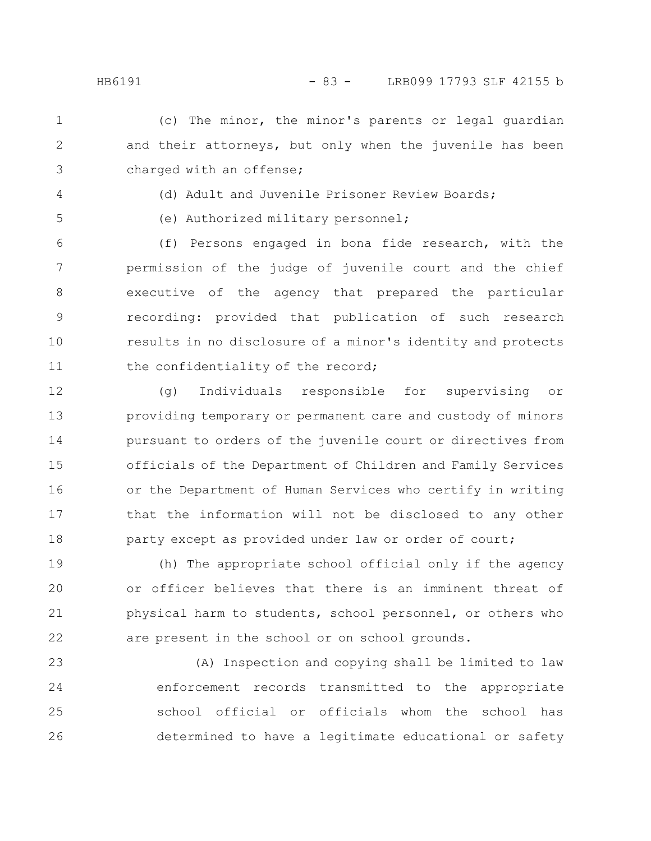(c) The minor, the minor's parents or legal guardian and their attorneys, but only when the juvenile has been charged with an offense; 1 2 3

- 4
- 5

(d) Adult and Juvenile Prisoner Review Boards;

(e) Authorized military personnel;

(f) Persons engaged in bona fide research, with the permission of the judge of juvenile court and the chief executive of the agency that prepared the particular recording: provided that publication of such research results in no disclosure of a minor's identity and protects the confidentiality of the record; 6 7 8 9 10 11

(g) Individuals responsible for supervising or providing temporary or permanent care and custody of minors pursuant to orders of the juvenile court or directives from officials of the Department of Children and Family Services or the Department of Human Services who certify in writing that the information will not be disclosed to any other party except as provided under law or order of court; 12 13 14 15 16 17 18

(h) The appropriate school official only if the agency or officer believes that there is an imminent threat of physical harm to students, school personnel, or others who are present in the school or on school grounds. 19 20 21 22

(A) Inspection and copying shall be limited to law enforcement records transmitted to the appropriate school official or officials whom the school has determined to have a legitimate educational or safety 23 24 25 26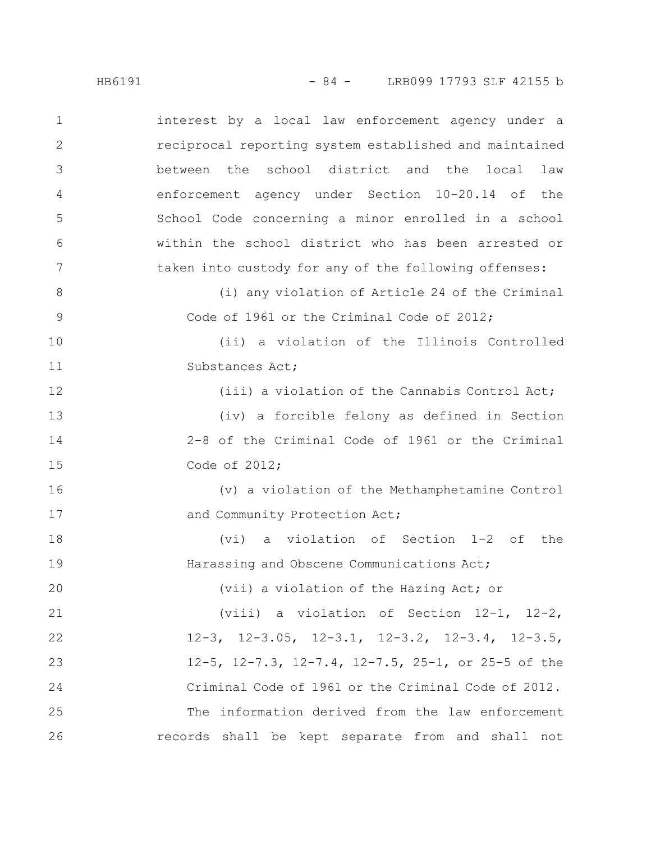interest by a local law enforcement agency under a reciprocal reporting system established and maintained between the school district and the local law enforcement agency under Section 10-20.14 of the School Code concerning a minor enrolled in a school within the school district who has been arrested or taken into custody for any of the following offenses: (i) any violation of Article 24 of the Criminal Code of 1961 or the Criminal Code of 2012; (ii) a violation of the Illinois Controlled Substances Act; (iii) a violation of the Cannabis Control Act; (iv) a forcible felony as defined in Section 2-8 of the Criminal Code of 1961 or the Criminal Code of 2012; (v) a violation of the Methamphetamine Control and Community Protection Act; (vi) a violation of Section 1-2 of the Harassing and Obscene Communications Act; (vii) a violation of the Hazing Act; or (viii) a violation of Section 12-1, 12-2, 12-3, 12-3.05, 12-3.1, 12-3.2, 12-3.4, 12-3.5, 12-5, 12-7.3, 12-7.4, 12-7.5, 25-1, or 25-5 of the Criminal Code of 1961 or the Criminal Code of 2012. The information derived from the law enforcement records shall be kept separate from and shall not 1 2 3 4 5 6 7 8 9 10 11 12 13 14 15 16 17 18 19 20 21 22 23 24 25 26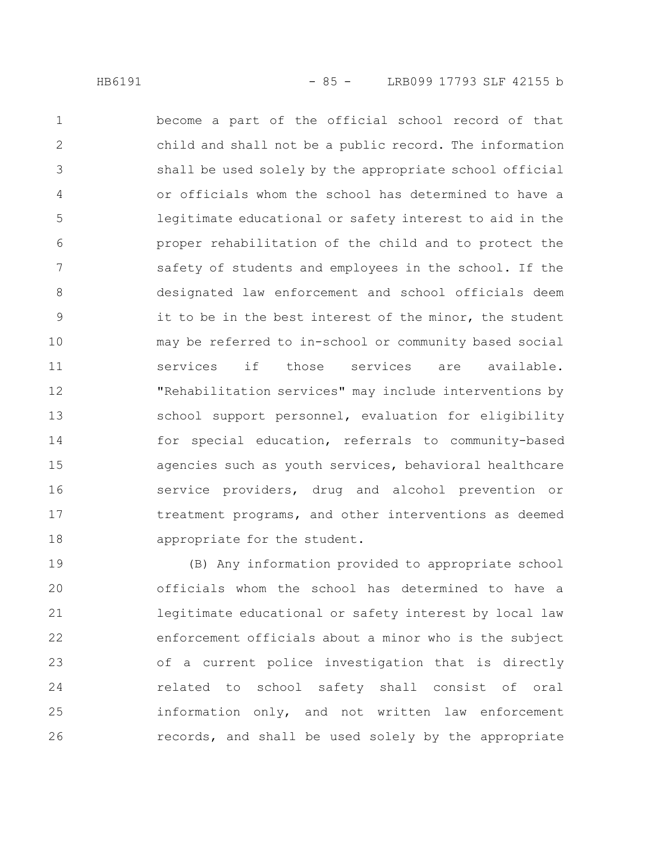become a part of the official school record of that child and shall not be a public record. The information shall be used solely by the appropriate school official or officials whom the school has determined to have a legitimate educational or safety interest to aid in the proper rehabilitation of the child and to protect the safety of students and employees in the school. If the designated law enforcement and school officials deem it to be in the best interest of the minor, the student may be referred to in-school or community based social services if those services are available. "Rehabilitation services" may include interventions by school support personnel, evaluation for eligibility for special education, referrals to community-based agencies such as youth services, behavioral healthcare service providers, drug and alcohol prevention or treatment programs, and other interventions as deemed appropriate for the student. 1 2 3 4 5 6 7 8 9 10 11 12 13 14 15 16 17 18

(B) Any information provided to appropriate school officials whom the school has determined to have a legitimate educational or safety interest by local law enforcement officials about a minor who is the subject of a current police investigation that is directly related to school safety shall consist of oral information only, and not written law enforcement records, and shall be used solely by the appropriate 19 20 21 22 23 24 25 26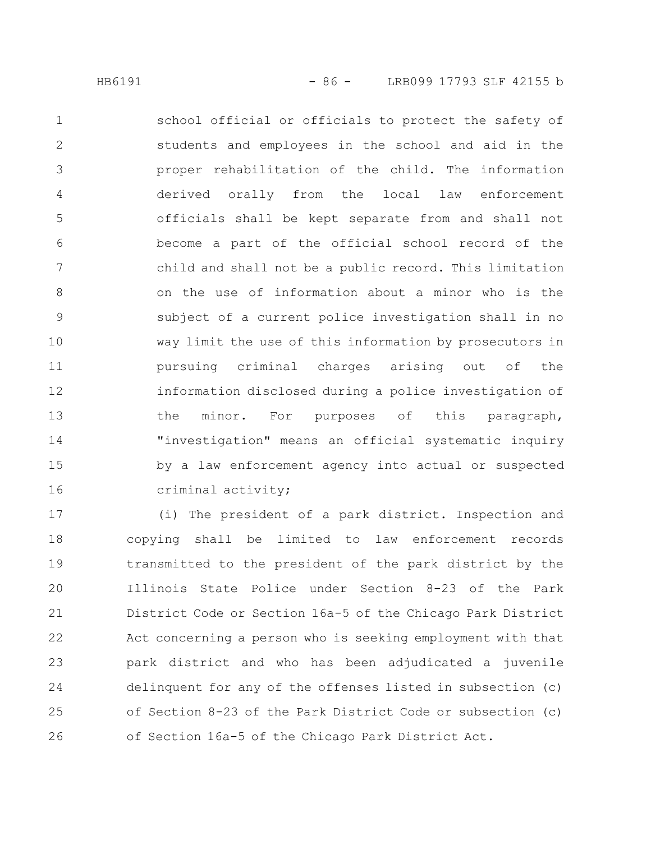school official or officials to protect the safety of students and employees in the school and aid in the proper rehabilitation of the child. The information derived orally from the local law enforcement officials shall be kept separate from and shall not become a part of the official school record of the child and shall not be a public record. This limitation on the use of information about a minor who is the subject of a current police investigation shall in no way limit the use of this information by prosecutors in pursuing criminal charges arising out of the information disclosed during a police investigation of the minor. For purposes of this paragraph, "investigation" means an official systematic inquiry by a law enforcement agency into actual or suspected criminal activity; 1 2 3 4 5 6 7 8 9 10 11 12 13 14 15 16

(i) The president of a park district. Inspection and copying shall be limited to law enforcement records transmitted to the president of the park district by the Illinois State Police under Section 8-23 of the Park District Code or Section 16a-5 of the Chicago Park District Act concerning a person who is seeking employment with that park district and who has been adjudicated a juvenile delinquent for any of the offenses listed in subsection (c) of Section 8-23 of the Park District Code or subsection (c) of Section 16a-5 of the Chicago Park District Act. 17 18 19 20 21 22 23 24 25 26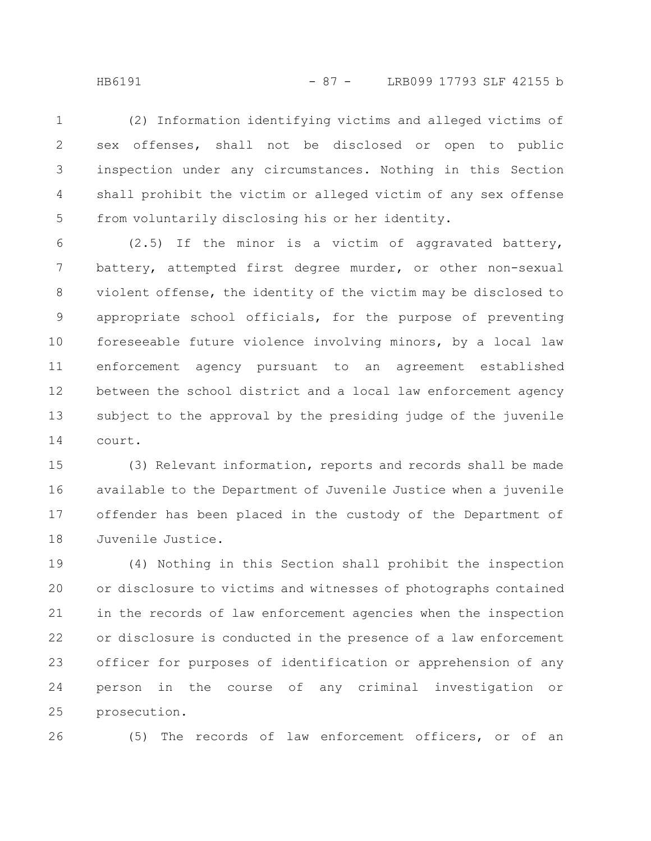HB6191 - 87 - LRB099 17793 SLF 42155 b

(2) Information identifying victims and alleged victims of sex offenses, shall not be disclosed or open to public inspection under any circumstances. Nothing in this Section shall prohibit the victim or alleged victim of any sex offense from voluntarily disclosing his or her identity. 1 2 3 4 5

(2.5) If the minor is a victim of aggravated battery, battery, attempted first degree murder, or other non-sexual violent offense, the identity of the victim may be disclosed to appropriate school officials, for the purpose of preventing foreseeable future violence involving minors, by a local law enforcement agency pursuant to an agreement established between the school district and a local law enforcement agency subject to the approval by the presiding judge of the juvenile court. 6 7 8 9 10 11 12 13 14

(3) Relevant information, reports and records shall be made available to the Department of Juvenile Justice when a juvenile offender has been placed in the custody of the Department of Juvenile Justice. 15 16 17 18

(4) Nothing in this Section shall prohibit the inspection or disclosure to victims and witnesses of photographs contained in the records of law enforcement agencies when the inspection or disclosure is conducted in the presence of a law enforcement officer for purposes of identification or apprehension of any person in the course of any criminal investigation or prosecution. 19 20 21 22 23 24 25

26

(5) The records of law enforcement officers, or of an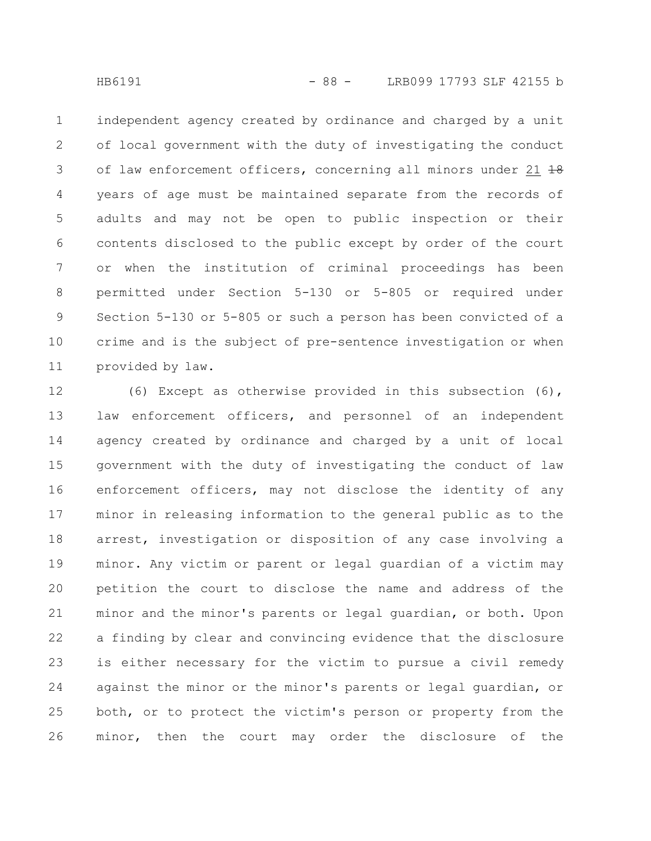independent agency created by ordinance and charged by a unit of local government with the duty of investigating the conduct of law enforcement officers, concerning all minors under 21 18 years of age must be maintained separate from the records of adults and may not be open to public inspection or their contents disclosed to the public except by order of the court or when the institution of criminal proceedings has been permitted under Section 5-130 or 5-805 or required under Section 5-130 or 5-805 or such a person has been convicted of a crime and is the subject of pre-sentence investigation or when provided by law. 1 2 3 4 5 6 7 8 9 10 11

(6) Except as otherwise provided in this subsection (6), law enforcement officers, and personnel of an independent agency created by ordinance and charged by a unit of local government with the duty of investigating the conduct of law enforcement officers, may not disclose the identity of any minor in releasing information to the general public as to the arrest, investigation or disposition of any case involving a minor. Any victim or parent or legal guardian of a victim may petition the court to disclose the name and address of the minor and the minor's parents or legal guardian, or both. Upon a finding by clear and convincing evidence that the disclosure is either necessary for the victim to pursue a civil remedy against the minor or the minor's parents or legal guardian, or both, or to protect the victim's person or property from the minor, then the court may order the disclosure of the 12 13 14 15 16 17 18 19 20 21 22 23 24 25 26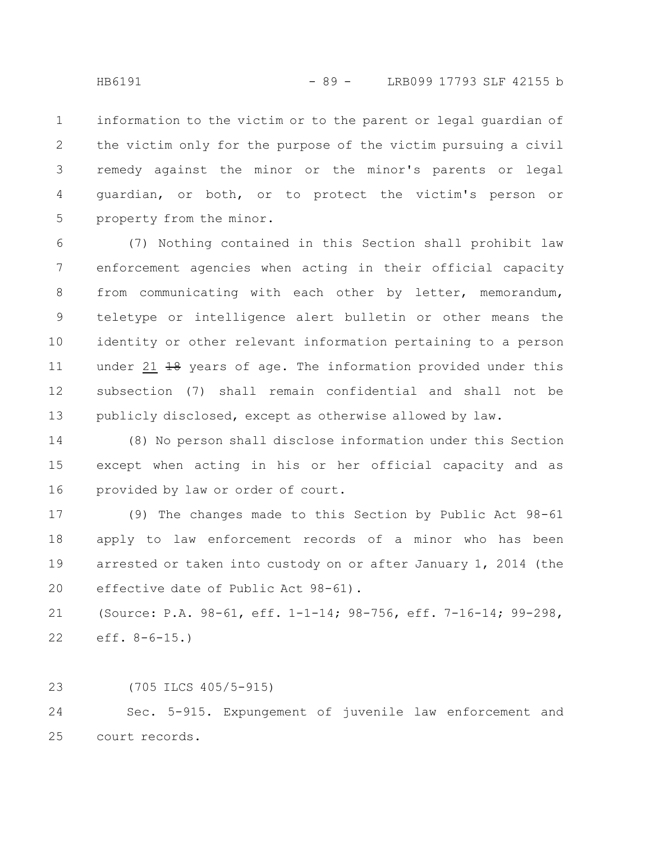information to the victim or to the parent or legal guardian of the victim only for the purpose of the victim pursuing a civil remedy against the minor or the minor's parents or legal guardian, or both, or to protect the victim's person or property from the minor. 1 2 3 4 5

(7) Nothing contained in this Section shall prohibit law enforcement agencies when acting in their official capacity from communicating with each other by letter, memorandum, teletype or intelligence alert bulletin or other means the identity or other relevant information pertaining to a person under 21 <del>18</del> years of age. The information provided under this subsection (7) shall remain confidential and shall not be publicly disclosed, except as otherwise allowed by law. 6 7 8 9 10 11 12 13

(8) No person shall disclose information under this Section except when acting in his or her official capacity and as provided by law or order of court. 14 15 16

(9) The changes made to this Section by Public Act 98-61 apply to law enforcement records of a minor who has been arrested or taken into custody on or after January 1, 2014 (the effective date of Public Act 98-61). 17 18 19 20

(Source: P.A. 98-61, eff. 1-1-14; 98-756, eff. 7-16-14; 99-298, eff. 8-6-15.) 21 22

(705 ILCS 405/5-915) 23

Sec. 5-915. Expungement of juvenile law enforcement and court records. 24 25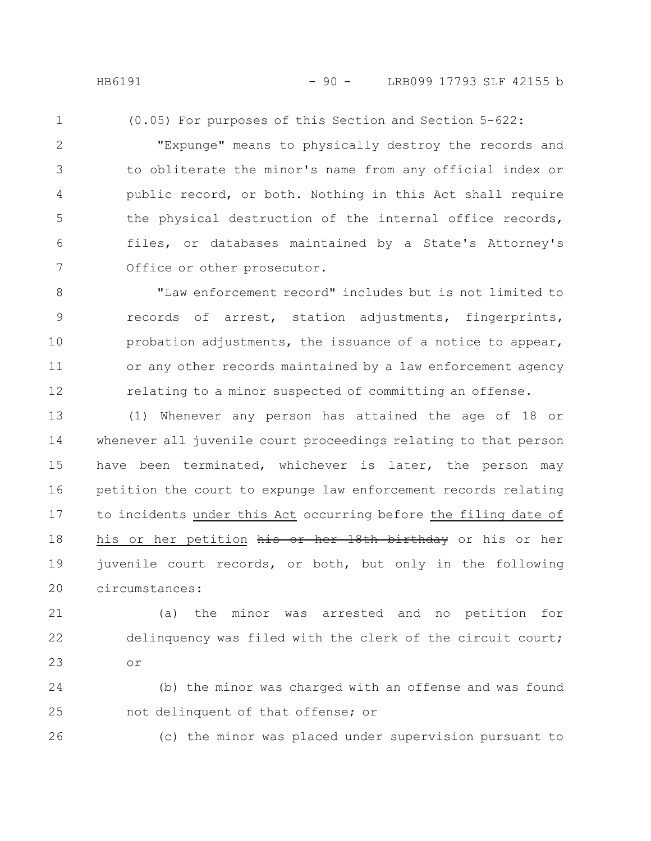HB6191 - 90 - LRB099 17793 SLF 42155 b

- 
- 1

(0.05) For purposes of this Section and Section 5-622:

"Expunge" means to physically destroy the records and to obliterate the minor's name from any official index or public record, or both. Nothing in this Act shall require the physical destruction of the internal office records, files, or databases maintained by a State's Attorney's Office or other prosecutor. 2 3 4 5 6 7

"Law enforcement record" includes but is not limited to records of arrest, station adjustments, fingerprints, probation adjustments, the issuance of a notice to appear, or any other records maintained by a law enforcement agency relating to a minor suspected of committing an offense. 8 9 10 11 12

(1) Whenever any person has attained the age of 18 or whenever all juvenile court proceedings relating to that person have been terminated, whichever is later, the person may petition the court to expunge law enforcement records relating to incidents under this Act occurring before the filing date of his or her petition his or her 18th birthday or his or her juvenile court records, or both, but only in the following circumstances: 13 14 15 16 17 18 19 20

(a) the minor was arrested and no petition for delinquency was filed with the clerk of the circuit court; or 21 22 23

(b) the minor was charged with an offense and was found not delinquent of that offense; or 24 25

26

(c) the minor was placed under supervision pursuant to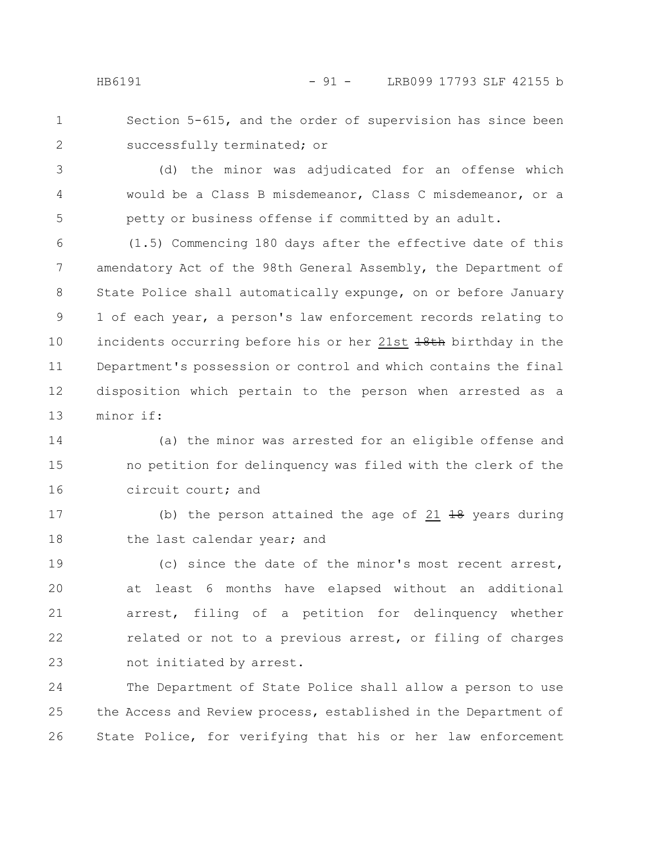Section 5-615, and the order of supervision has since been successfully terminated; or 1 2

(d) the minor was adjudicated for an offense which would be a Class B misdemeanor, Class C misdemeanor, or a petty or business offense if committed by an adult. 3 4 5

(1.5) Commencing 180 days after the effective date of this amendatory Act of the 98th General Assembly, the Department of State Police shall automatically expunge, on or before January 1 of each year, a person's law enforcement records relating to incidents occurring before his or her 21st 18th birthday in the Department's possession or control and which contains the final disposition which pertain to the person when arrested as a minor if: 6 7 8 9 10 11 12 13

(a) the minor was arrested for an eligible offense and no petition for delinquency was filed with the clerk of the circuit court; and 14 15 16

(b) the person attained the age of  $21$   $18$  years during the last calendar year; and 17 18

(c) since the date of the minor's most recent arrest, at least 6 months have elapsed without an additional arrest, filing of a petition for delinquency whether related or not to a previous arrest, or filing of charges not initiated by arrest. 19 20 21 22 23

The Department of State Police shall allow a person to use the Access and Review process, established in the Department of State Police, for verifying that his or her law enforcement 24 25 26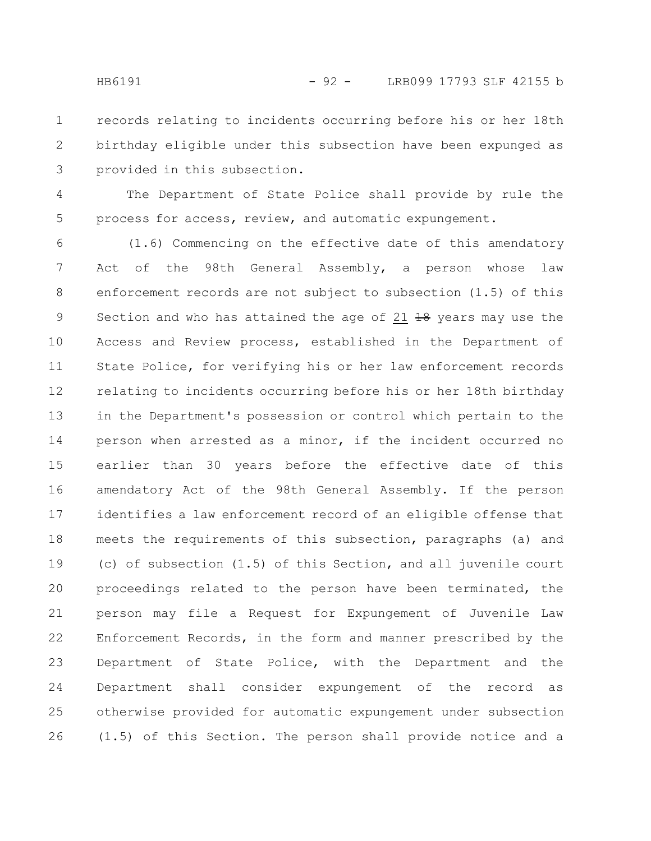records relating to incidents occurring before his or her 18th birthday eligible under this subsection have been expunged as provided in this subsection. 1 2 3

The Department of State Police shall provide by rule the process for access, review, and automatic expungement. 4 5

(1.6) Commencing on the effective date of this amendatory Act of the 98th General Assembly, a person whose law enforcement records are not subject to subsection (1.5) of this Section and who has attained the age of 21  $\frac{10}{18}$  years may use the Access and Review process, established in the Department of State Police, for verifying his or her law enforcement records relating to incidents occurring before his or her 18th birthday in the Department's possession or control which pertain to the person when arrested as a minor, if the incident occurred no earlier than 30 years before the effective date of this amendatory Act of the 98th General Assembly. If the person identifies a law enforcement record of an eligible offense that meets the requirements of this subsection, paragraphs (a) and (c) of subsection (1.5) of this Section, and all juvenile court proceedings related to the person have been terminated, the person may file a Request for Expungement of Juvenile Law Enforcement Records, in the form and manner prescribed by the Department of State Police, with the Department and the Department shall consider expungement of the record as otherwise provided for automatic expungement under subsection (1.5) of this Section. The person shall provide notice and a 6 7 8 9 10 11 12 13 14 15 16 17 18 19 20 21 22 23 24 25 26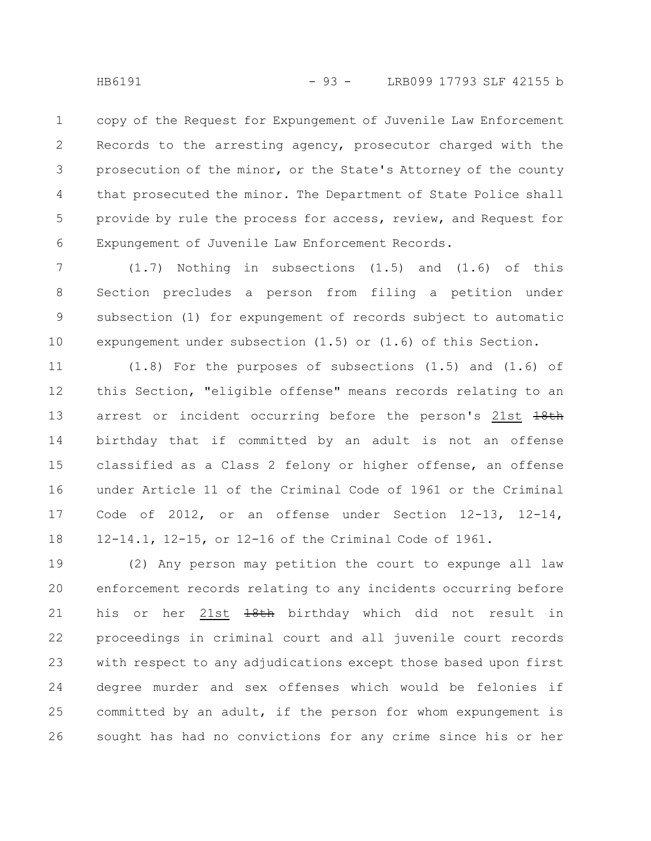copy of the Request for Expungement of Juvenile Law Enforcement Records to the arresting agency, prosecutor charged with the prosecution of the minor, or the State's Attorney of the county that prosecuted the minor. The Department of State Police shall provide by rule the process for access, review, and Request for Expungement of Juvenile Law Enforcement Records. 1 2 3 4 5 6

(1.7) Nothing in subsections (1.5) and (1.6) of this Section precludes a person from filing a petition under subsection (1) for expungement of records subject to automatic expungement under subsection (1.5) or (1.6) of this Section. 7 8 9 10

(1.8) For the purposes of subsections (1.5) and (1.6) of this Section, "eligible offense" means records relating to an arrest or incident occurring before the person's 21st  $18th$ birthday that if committed by an adult is not an offense classified as a Class 2 felony or higher offense, an offense under Article 11 of the Criminal Code of 1961 or the Criminal Code of 2012, or an offense under Section 12-13, 12-14, 12-14.1, 12-15, or 12-16 of the Criminal Code of 1961. 11 12 13 14 15 16 17 18

(2) Any person may petition the court to expunge all law enforcement records relating to any incidents occurring before his or her 21st 18th birthday which did not result in proceedings in criminal court and all juvenile court records with respect to any adjudications except those based upon first degree murder and sex offenses which would be felonies if committed by an adult, if the person for whom expungement is sought has had no convictions for any crime since his or her 19 20 21 22 23 24 25 26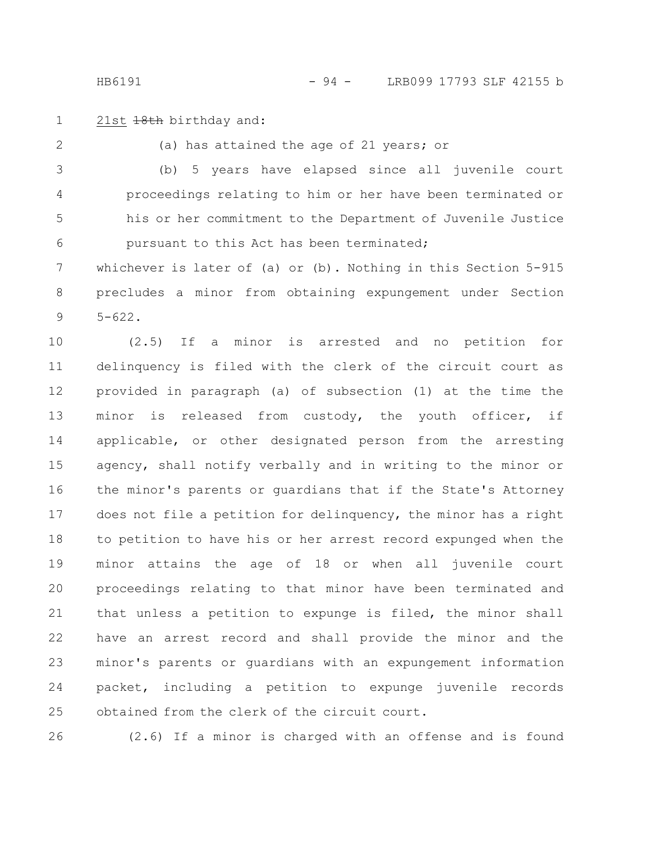21st  $18th$  birthday and: 1

(a) has attained the age of 21 years; or (b) 5 years have elapsed since all juvenile court proceedings relating to him or her have been terminated or his or her commitment to the Department of Juvenile Justice pursuant to this Act has been terminated; 2 3 4 5 6

whichever is later of (a) or (b). Nothing in this Section 5-915 precludes a minor from obtaining expungement under Section  $5 - 622$ . 7 8 9

(2.5) If a minor is arrested and no petition for delinquency is filed with the clerk of the circuit court as provided in paragraph (a) of subsection (1) at the time the minor is released from custody, the youth officer, if applicable, or other designated person from the arresting agency, shall notify verbally and in writing to the minor or the minor's parents or guardians that if the State's Attorney does not file a petition for delinquency, the minor has a right to petition to have his or her arrest record expunged when the minor attains the age of 18 or when all juvenile court proceedings relating to that minor have been terminated and that unless a petition to expunge is filed, the minor shall have an arrest record and shall provide the minor and the minor's parents or guardians with an expungement information packet, including a petition to expunge juvenile records obtained from the clerk of the circuit court. 10 11 12 13 14 15 16 17 18 19 20 21 22 23 24 25

26

(2.6) If a minor is charged with an offense and is found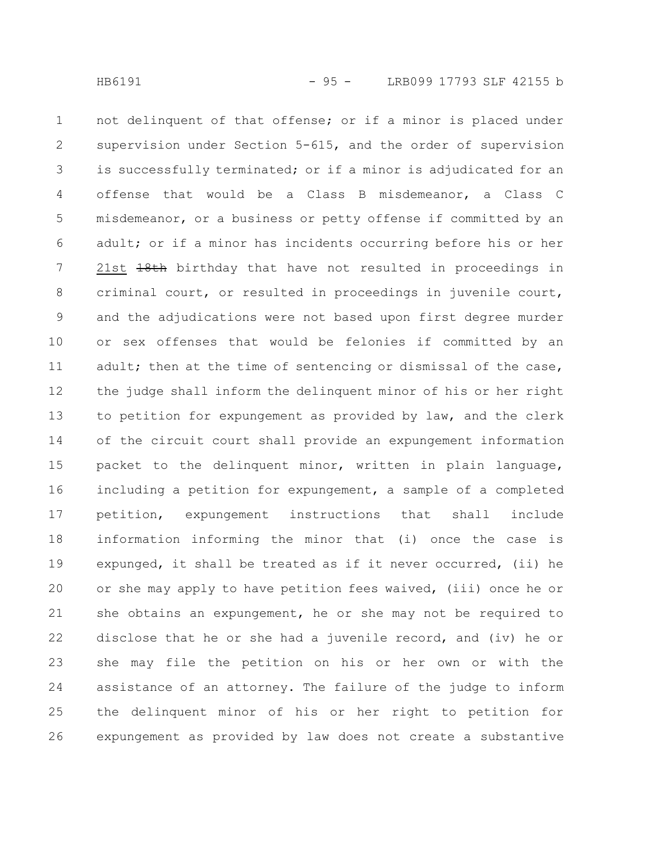not delinquent of that offense; or if a minor is placed under supervision under Section 5-615, and the order of supervision is successfully terminated; or if a minor is adjudicated for an offense that would be a Class B misdemeanor, a Class C misdemeanor, or a business or petty offense if committed by an adult; or if a minor has incidents occurring before his or her 21st  $18th$  birthday that have not resulted in proceedings in criminal court, or resulted in proceedings in juvenile court, and the adjudications were not based upon first degree murder or sex offenses that would be felonies if committed by an adult; then at the time of sentencing or dismissal of the case, the judge shall inform the delinquent minor of his or her right to petition for expungement as provided by law, and the clerk of the circuit court shall provide an expungement information packet to the delinquent minor, written in plain language, including a petition for expungement, a sample of a completed petition, expungement instructions that shall include information informing the minor that (i) once the case is expunged, it shall be treated as if it never occurred, (ii) he or she may apply to have petition fees waived, (iii) once he or she obtains an expungement, he or she may not be required to disclose that he or she had a juvenile record, and (iv) he or she may file the petition on his or her own or with the assistance of an attorney. The failure of the judge to inform the delinquent minor of his or her right to petition for expungement as provided by law does not create a substantive 1 2 3 4 5 6 7 8 9 10 11 12 13 14 15 16 17 18 19 20 21 22 23 24 25 26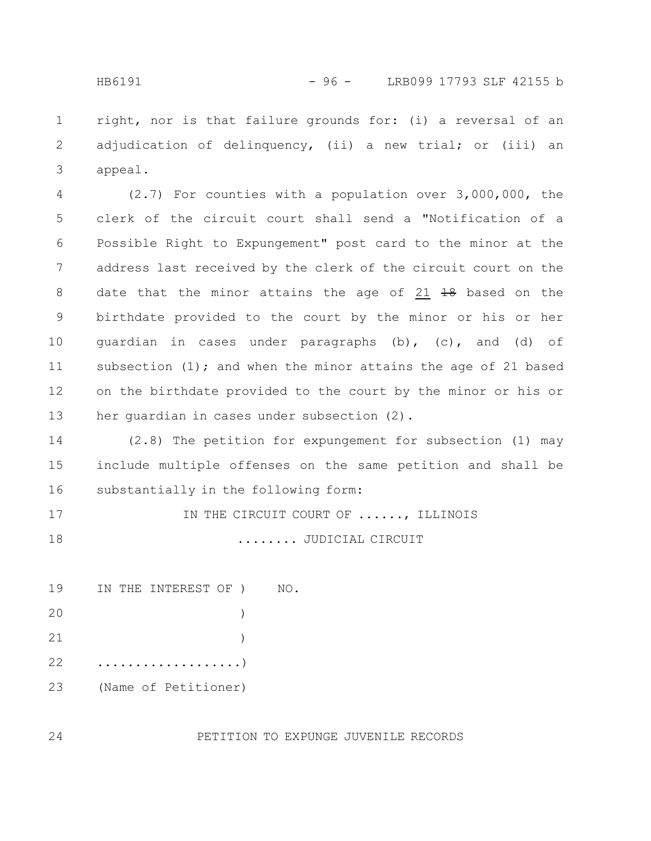right, nor is that failure grounds for: (i) a reversal of an adjudication of delinquency, (ii) a new trial; or (iii) an appeal. 1 2 3

(2.7) For counties with a population over 3,000,000, the clerk of the circuit court shall send a "Notification of a Possible Right to Expungement" post card to the minor at the address last received by the clerk of the circuit court on the date that the minor attains the age of  $21$   $10$  based on the birthdate provided to the court by the minor or his or her guardian in cases under paragraphs (b), (c), and (d) of subsection  $(1)$ ; and when the minor attains the age of 21 based on the birthdate provided to the court by the minor or his or her guardian in cases under subsection (2). 4 5 6 7 8 9 10 11 12 13

(2.8) The petition for expungement for subsection (1) may include multiple offenses on the same petition and shall be substantially in the following form: 14 15 16

```
IN THE CIRCUIT COURT OF ......, ILLINOIS
                          ........ JUDICIAL CIRCUIT
17
18
```

| NO. | IN THE INTEREST OF ) |  | 19 |
|-----|----------------------|--|----|
|     |                      |  | 20 |
|     |                      |  | 21 |
|     |                      |  | 22 |
|     | (Name of Petitioner) |  | 23 |

PETITION TO EXPUNGE JUVENILE RECORDS

24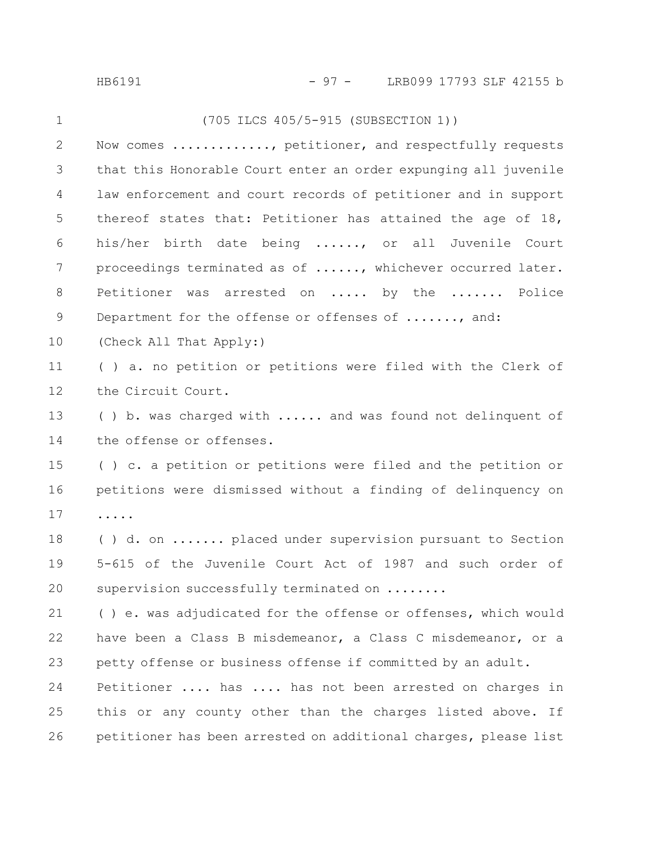| LRB099 17793 SLF 42155 b |
|--------------------------|
|                          |

| $\mathbf 1$ | (705 ILCS 405/5-915 (SUBSECTION 1))                             |
|-------------|-----------------------------------------------------------------|
| 2           | Now comes , petitioner, and respectfully requests               |
| 3           | that this Honorable Court enter an order expunging all juvenile |
| 4           | law enforcement and court records of petitioner and in support  |
| 5           | thereof states that: Petitioner has attained the age of 18,     |
| 6           | his/her birth date being , or all Juvenile Court                |
| 7           | proceedings terminated as of , whichever occurred later.        |
| 8           | Petitioner was arrested on  by the  Police                      |
| 9           | Department for the offense or offenses of , and:                |
| 10          | (Check All That Apply:)                                         |
| 11          | () a. no petition or petitions were filed with the Clerk of     |
| 12          | the Circuit Court.                                              |
| 13          | () b. was charged with  and was found not delinquent of         |
| 14          | the offense or offenses.                                        |
| 15          | () c. a petition or petitions were filed and the petition or    |
| 16          | petitions were dismissed without a finding of delinquency on    |
| 17          | .                                                               |
| 18          | () d. on  placed under supervision pursuant to Section          |
| 19          | 5-615 of the Juvenile Court Act of 1987 and such order of       |
| 20          | supervision successfully terminated on                          |
| 21          | () e. was adjudicated for the offense or offenses, which would  |
| 22          | have been a Class B misdemeanor, a Class C misdemeanor, or a    |
| 23          | petty offense or business offense if committed by an adult.     |
| 24          | Petitioner  has  has not been arrested on charges in            |
| 25          | this or any county other than the charges listed above. If      |
| 26          | petitioner has been arrested on additional charges, please list |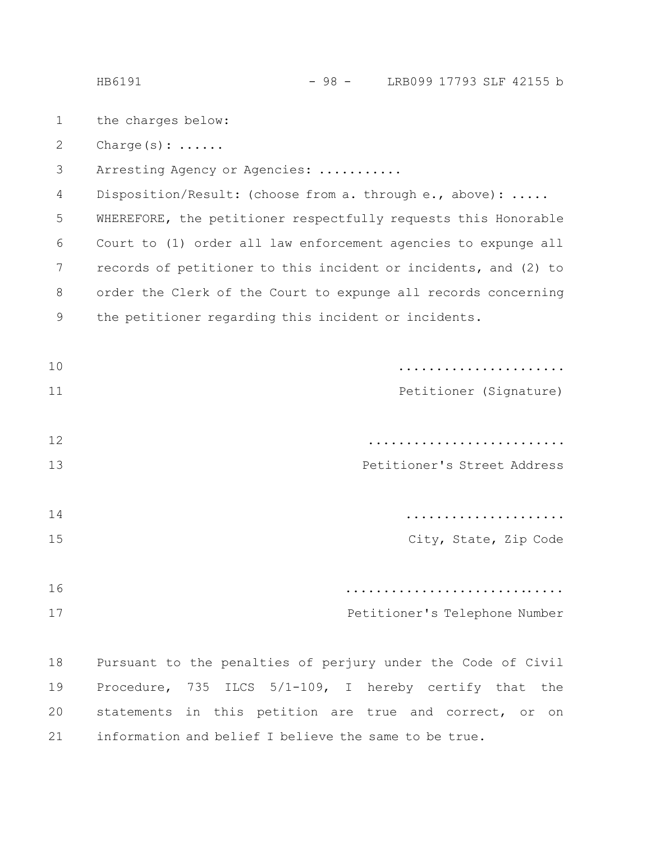HB6191 - 98 - LRB099 17793 SLF 42155 b

- the charges below: 1
- Charge(s): ...... 2

Arresting Agency or Agencies: ........... 3

Disposition/Result: (choose from a. through e., above): ..... 4

WHEREFORE, the petitioner respectfully requests this Honorable Court to (1) order all law enforcement agencies to expunge all records of petitioner to this incident or incidents, and (2) to order the Clerk of the Court to expunge all records concerning the petitioner regarding this incident or incidents. 5 6 7 8 9

|                               | 10 |
|-------------------------------|----|
| Petitioner (Signature)        | 11 |
|                               |    |
|                               | 12 |
| Petitioner's Street Address   | 13 |
|                               |    |
|                               | 14 |
| City, State, Zip Code         | 15 |
|                               |    |
|                               | 16 |
| Petitioner's Telephone Number | 17 |
|                               |    |

Pursuant to the penalties of perjury under the Code of Civil Procedure, 735 ILCS 5/1-109, I hereby certify that the statements in this petition are true and correct, or on information and belief I believe the same to be true. 18 19 20 21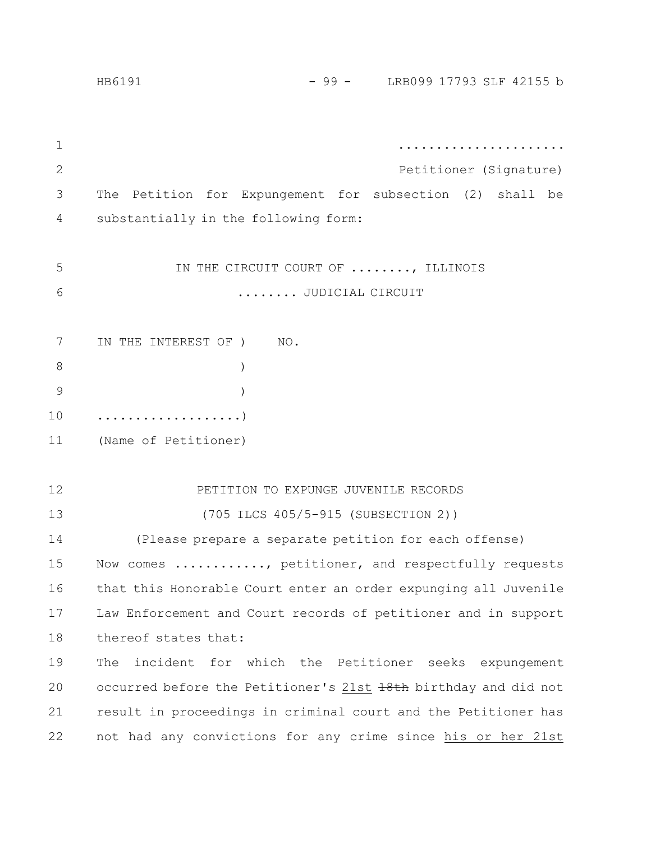|              | - 99 - LRB099 17793 SLF 42155 b<br>HB6191                       |  |  |  |  |  |
|--------------|-----------------------------------------------------------------|--|--|--|--|--|
|              |                                                                 |  |  |  |  |  |
| 1            |                                                                 |  |  |  |  |  |
| $\mathbf{2}$ | Petitioner (Signature)                                          |  |  |  |  |  |
| 3            | The Petition for Expungement for subsection (2)<br>shall be     |  |  |  |  |  |
| 4            | substantially in the following form:                            |  |  |  |  |  |
|              |                                                                 |  |  |  |  |  |
| 5            | IN THE CIRCUIT COURT OF , ILLINOIS                              |  |  |  |  |  |
| 6            | JUDICIAL CIRCUIT                                                |  |  |  |  |  |
|              |                                                                 |  |  |  |  |  |
| 7            | IN THE INTEREST OF )<br>NO.                                     |  |  |  |  |  |
| 8            | $\mathcal{C}$                                                   |  |  |  |  |  |
| 9            | $\lambda$                                                       |  |  |  |  |  |
| 10           | . )                                                             |  |  |  |  |  |
| 11           | (Name of Petitioner)                                            |  |  |  |  |  |
|              |                                                                 |  |  |  |  |  |
| 12           | PETITION TO EXPUNGE JUVENILE RECORDS                            |  |  |  |  |  |
| 13           | (705 ILCS 405/5-915 (SUBSECTION 2))                             |  |  |  |  |  |
| 14           | (Please prepare a separate petition for each offense)           |  |  |  |  |  |
| 15           | Now comes , petitioner, and respectfully requests               |  |  |  |  |  |
| 16           | that this Honorable Court enter an order expunging all Juvenile |  |  |  |  |  |
| 17           | Law Enforcement and Court records of petitioner and in support  |  |  |  |  |  |
| 18           | thereof states that:                                            |  |  |  |  |  |
| 19           | incident for which the Petitioner seeks expungement<br>The      |  |  |  |  |  |
| 20           | occurred before the Petitioner's 21st 18th birthday and did not |  |  |  |  |  |
| 21           | result in proceedings in criminal court and the Petitioner has  |  |  |  |  |  |
| 22           | not had any convictions for any crime since his or her 21st     |  |  |  |  |  |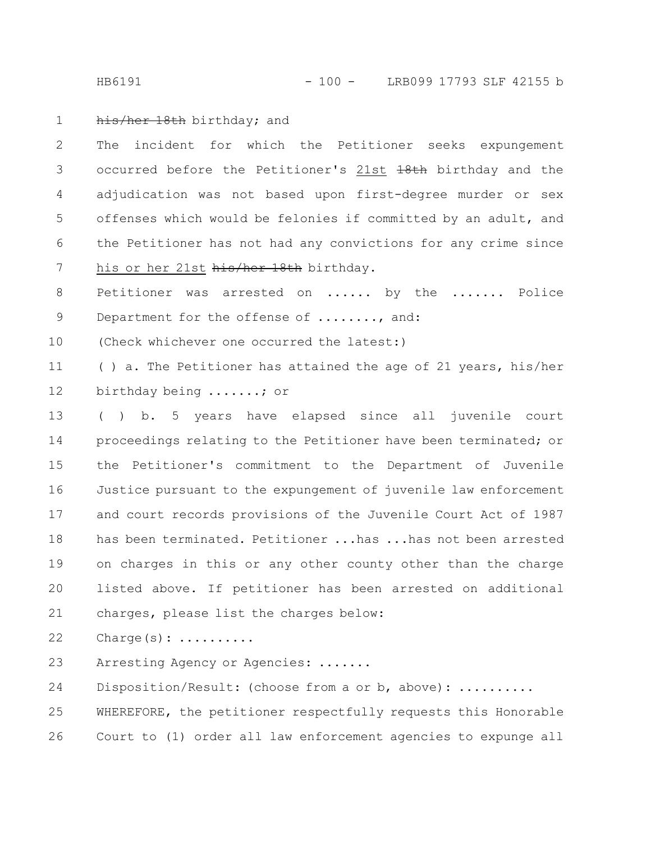HB6191 - 100 - LRB099 17793 SLF 42155 b

## his/her 18th birthday; and 1

The incident for which the Petitioner seeks expungement occurred before the Petitioner's 21st +8th birthday and the adjudication was not based upon first-degree murder or sex offenses which would be felonies if committed by an adult, and the Petitioner has not had any convictions for any crime since his or her 21st his/her 18th birthday. 2 3 4 5 6 7

Petitioner was arrested on ...... by the ....... Police Department for the offense of ......., and: 8 9

(Check whichever one occurred the latest:) 10

( ) a. The Petitioner has attained the age of 21 years, his/her birthday being .......; or 11 12

( ) b. 5 years have elapsed since all juvenile court proceedings relating to the Petitioner have been terminated; or the Petitioner's commitment to the Department of Juvenile Justice pursuant to the expungement of juvenile law enforcement and court records provisions of the Juvenile Court Act of 1987 has been terminated. Petitioner ...has ...has not been arrested on charges in this or any other county other than the charge listed above. If petitioner has been arrested on additional charges, please list the charges below: 13 14 15 16 17 18 19 20 21

Charge(s): ......... 22

Arresting Agency or Agencies: ....... 23

Disposition/Result: (choose from a or b, above): .......... WHEREFORE, the petitioner respectfully requests this Honorable Court to (1) order all law enforcement agencies to expunge all 24 25 26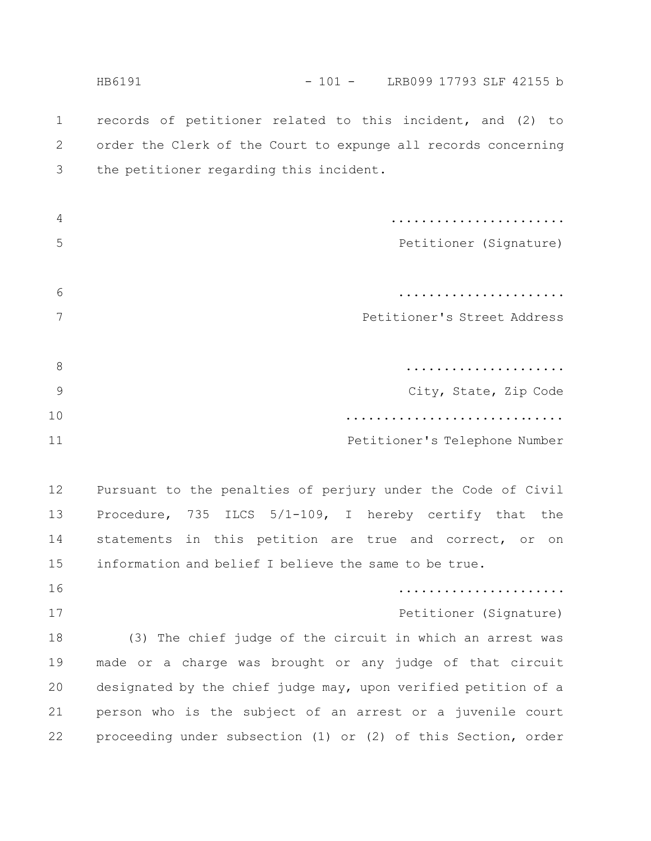records of petitioner related to this incident, and (2) to order the Clerk of the Court to expunge all records concerning the petitioner regarding this incident. ....................... Petitioner (Signature) ...................... Petitioner's Street Address ..................... City, State, Zip Code ............................. Petitioner's Telephone Number Pursuant to the penalties of perjury under the Code of Civil Procedure, 735 ILCS 5/1-109, I hereby certify that the statements in this petition are true and correct, or on information and belief I believe the same to be true. ...................... Petitioner (Signature) (3) The chief judge of the circuit in which an arrest was made or a charge was brought or any judge of that circuit designated by the chief judge may, upon verified petition of a person who is the subject of an arrest or a juvenile court proceeding under subsection (1) or (2) of this Section, order 1 2 3 4 5 6 7 8 9 10 11 12 13 14 15 16 17 18 19 20 21 22 HB6191 - 101 - LRB099 17793 SLF 42155 b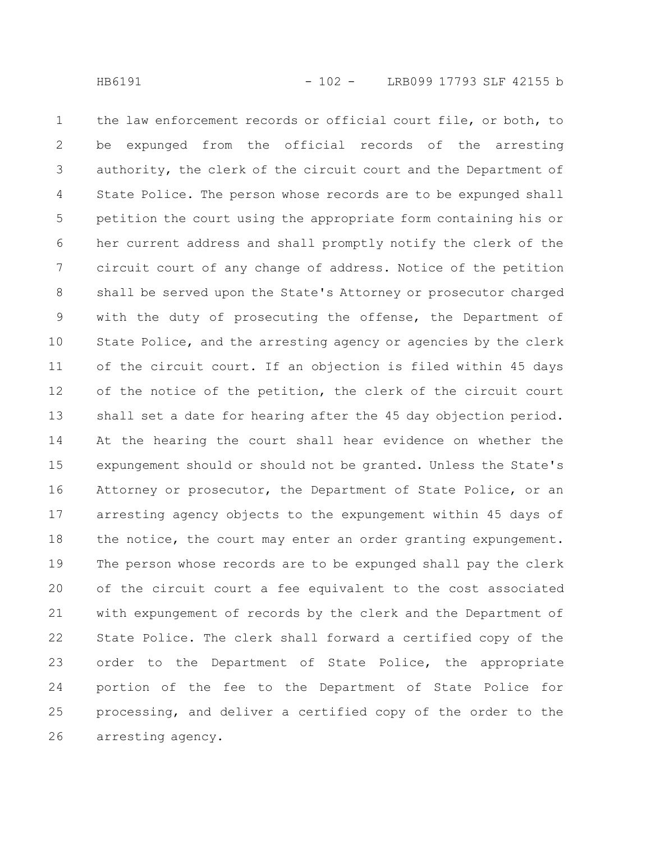the law enforcement records or official court file, or both, to be expunged from the official records of the arresting authority, the clerk of the circuit court and the Department of State Police. The person whose records are to be expunged shall petition the court using the appropriate form containing his or her current address and shall promptly notify the clerk of the circuit court of any change of address. Notice of the petition shall be served upon the State's Attorney or prosecutor charged with the duty of prosecuting the offense, the Department of State Police, and the arresting agency or agencies by the clerk of the circuit court. If an objection is filed within 45 days of the notice of the petition, the clerk of the circuit court shall set a date for hearing after the 45 day objection period. At the hearing the court shall hear evidence on whether the expungement should or should not be granted. Unless the State's Attorney or prosecutor, the Department of State Police, or an arresting agency objects to the expungement within 45 days of the notice, the court may enter an order granting expungement. The person whose records are to be expunged shall pay the clerk of the circuit court a fee equivalent to the cost associated with expungement of records by the clerk and the Department of State Police. The clerk shall forward a certified copy of the order to the Department of State Police, the appropriate portion of the fee to the Department of State Police for processing, and deliver a certified copy of the order to the arresting agency. 1 2 3 4 5 6 7 8 9 10 11 12 13 14 15 16 17 18 19 20 21 22 23 24 25 26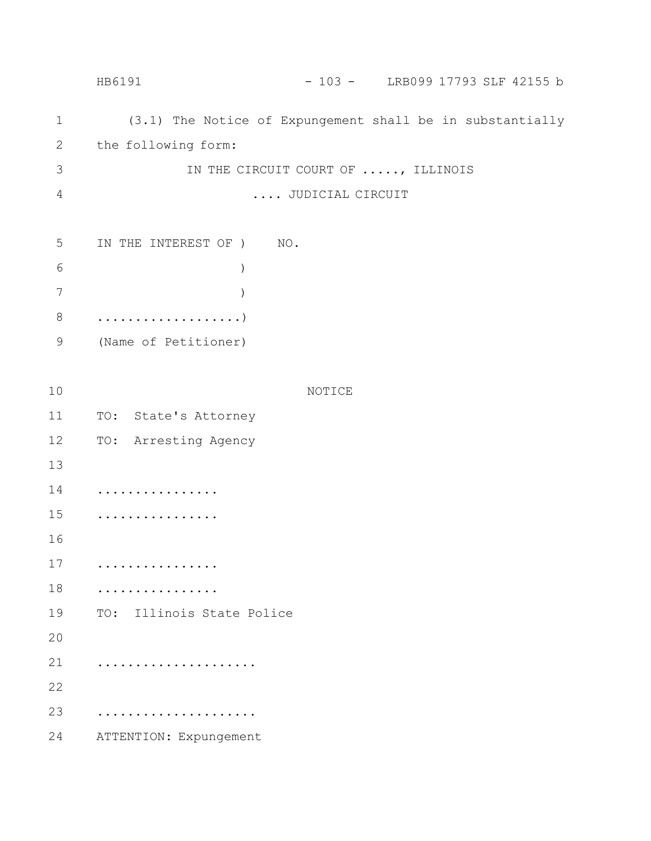(3.1) The Notice of Expungement shall be in substantially the following form: IN THE CIRCUIT COURT OF ....., ILLINOIS .... JUDICIAL CIRCUIT IN THE INTEREST OF ) NO. ) ) ...................) (Name of Petitioner) NOTICE TO: State's Attorney TO: Arresting Agency ................ ................ ................ ................ TO: Illinois State Police ..................... ..................... ATTENTION: Expungement 1 2 3 4 5 6 7 8 9 10 11 12 13 14 15 16 17 18 19 20 21 22 23 24 HB6191 - 103 - LRB099 17793 SLF 42155 b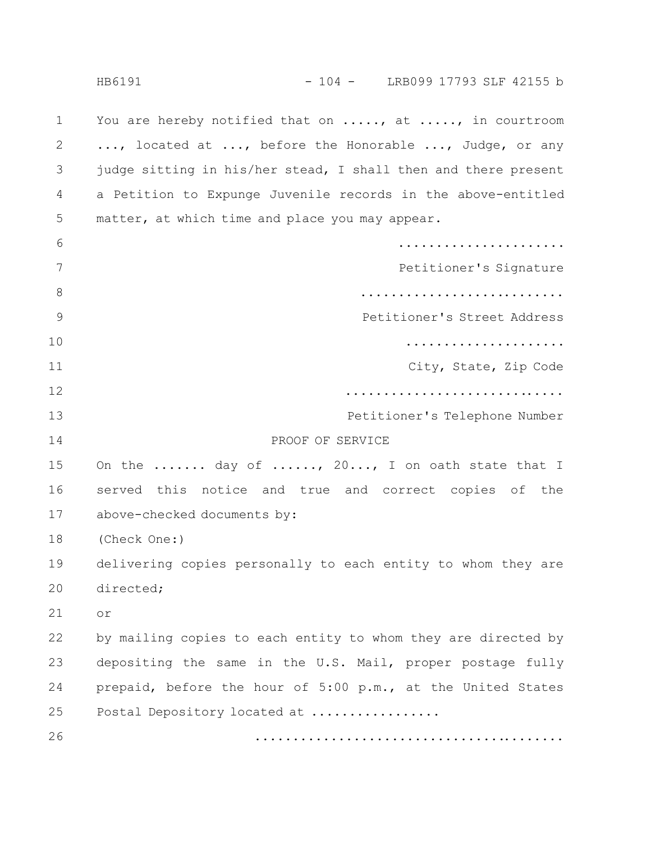You are hereby notified that on ....., at ....., in courtroom ..., located at ..., before the Honorable ..., Judge, or any judge sitting in his/her stead, I shall then and there present a Petition to Expunge Juvenile records in the above-entitled matter, at which time and place you may appear. ...................... Petitioner's Signature ........................... Petitioner's Street Address ..................... City, State, Zip Code ............................. Petitioner's Telephone Number PROOF OF SERVICE On the ....... day of ......, 20..., I on oath state that I served this notice and true and correct copies of the above-checked documents by: (Check One:) delivering copies personally to each entity to whom they are directed; or by mailing copies to each entity to whom they are directed by depositing the same in the U.S. Mail, proper postage fully prepaid, before the hour of 5:00 p.m., at the United States Postal Depository located at ................. ......................................... 1 2 3 4 5 6 7 8 9 10 11 12 13 14 15 16 17 18 19 20 21 22 23 24 25 26 HB6191 - 104 - LRB099 17793 SLF 42155 b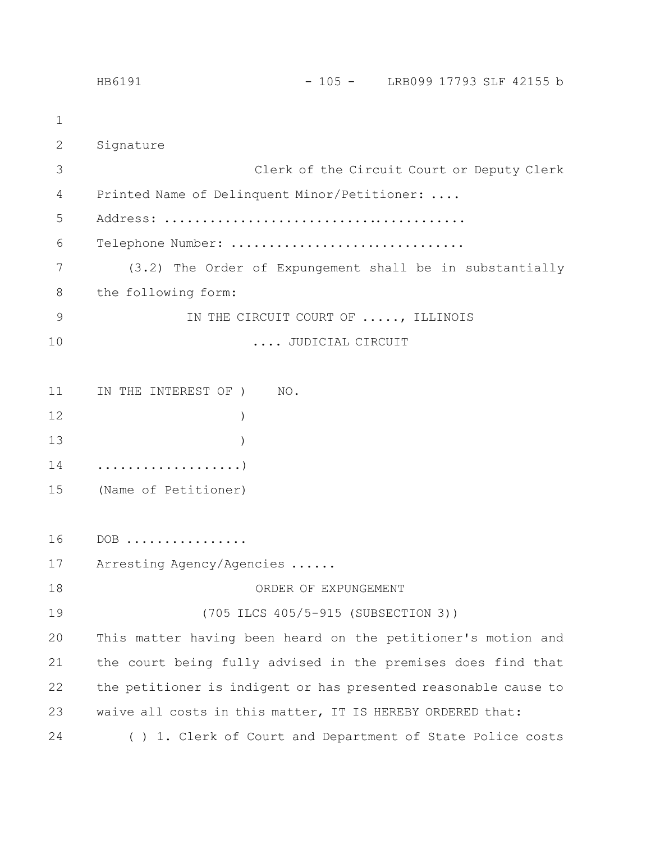|              | $-105 -$ LRB099 17793 SLF 42155 b<br>HB6191                     |  |
|--------------|-----------------------------------------------------------------|--|
| 1            |                                                                 |  |
| $\mathbf{2}$ | Signature                                                       |  |
| 3            | Clerk of the Circuit Court or Deputy Clerk                      |  |
| 4            | Printed Name of Delinquent Minor/Petitioner:                    |  |
| 5            |                                                                 |  |
| 6            | Telephone Number:                                               |  |
| 7            | (3.2) The Order of Expungement shall be in substantially        |  |
| 8            | the following form:                                             |  |
| 9            | IN THE CIRCUIT COURT OF , ILLINOIS                              |  |
| 10           | JUDICIAL CIRCUIT                                                |  |
|              |                                                                 |  |
| 11           | IN THE INTEREST OF )<br>NO.                                     |  |
| 12           |                                                                 |  |
| 13           |                                                                 |  |
| 14           | . )                                                             |  |
| 15           | (Name of Petitioner)                                            |  |
|              |                                                                 |  |
| 16           | $DOB$                                                           |  |
| 17           | Arresting Agency/Agencies                                       |  |
| 18           | ORDER OF EXPUNGEMENT                                            |  |
| 19           | (705 ILCS 405/5-915 (SUBSECTION 3))                             |  |
| 20           | This matter having been heard on the petitioner's motion and    |  |
| 21           | the court being fully advised in the premises does find that    |  |
| 22           | the petitioner is indigent or has presented reasonable cause to |  |
| 23           | waive all costs in this matter, IT IS HEREBY ORDERED that:      |  |
| 24           | () 1. Clerk of Court and Department of State Police costs       |  |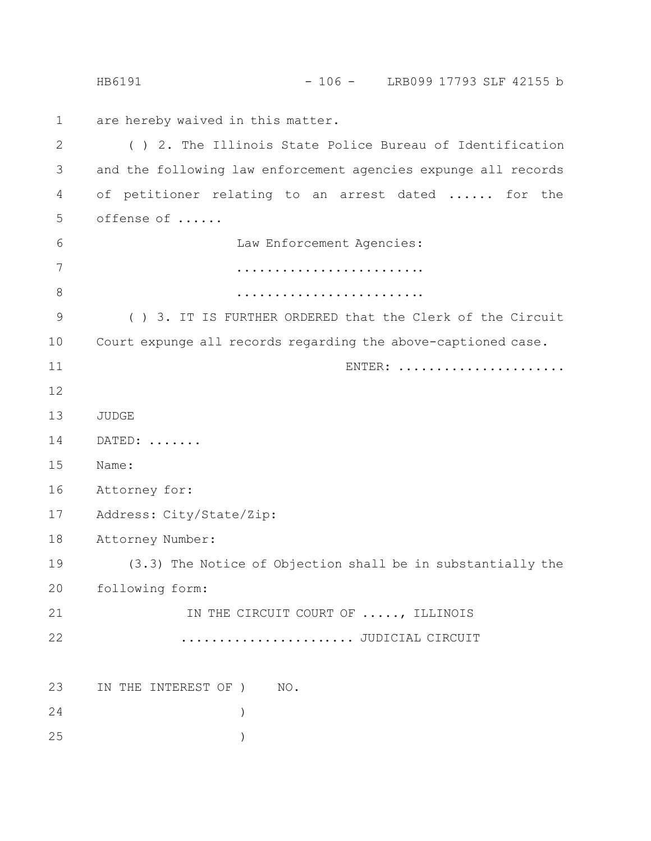are hereby waived in this matter. ( ) 2. The Illinois State Police Bureau of Identification and the following law enforcement agencies expunge all records of petitioner relating to an arrest dated ...... for the offense of ...... Law Enforcement Agencies: ......................... ......................... ( ) 3. IT IS FURTHER ORDERED that the Clerk of the Circuit Court expunge all records regarding the above-captioned case. ENTER: .................... JUDGE DATED: ....... Name: Attorney for: Address: City/State/Zip: Attorney Number: (3.3) The Notice of Objection shall be in substantially the following form: IN THE CIRCUIT COURT OF ....., ILLINOIS ....................... JUDICIAL CIRCUIT IN THE INTEREST OF ) NO. ) ) 1 2 3 4 5 6 7 8 9 10 11 12 13 14 15 16 17 18 19 20 21 22 23 24 25 HB6191 - 106 - LRB099 17793 SLF 42155 b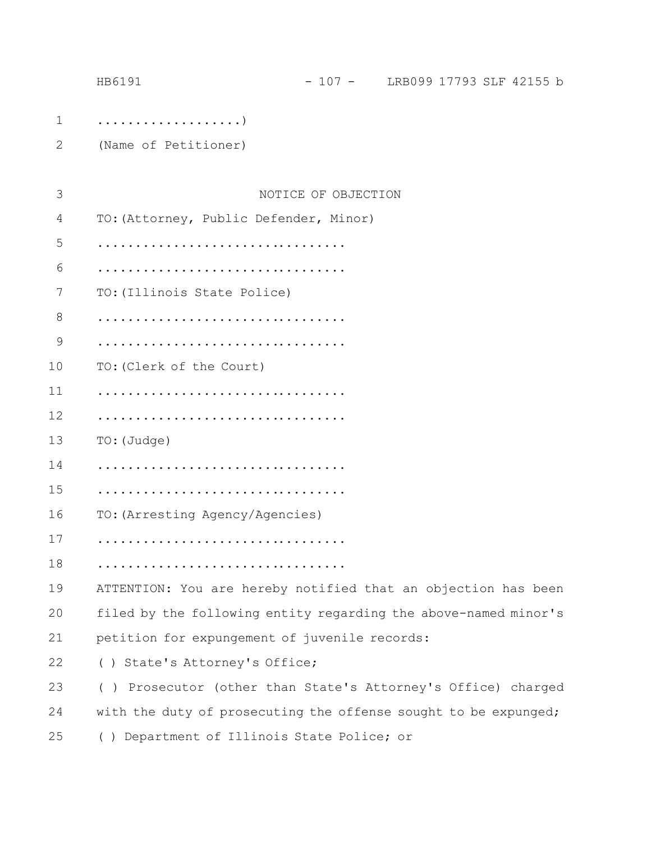|               | HB6191                                                          | - 107 - LRB099 17793 SLF 42155 b |  |  |  |  |  |
|---------------|-----------------------------------------------------------------|----------------------------------|--|--|--|--|--|
| $\mathbf 1$   |                                                                 |                                  |  |  |  |  |  |
| 2             | (Name of Petitioner)                                            |                                  |  |  |  |  |  |
|               |                                                                 |                                  |  |  |  |  |  |
| 3             |                                                                 | NOTICE OF OBJECTION              |  |  |  |  |  |
| 4             | TO: (Attorney, Public Defender, Minor)                          |                                  |  |  |  |  |  |
| 5             |                                                                 |                                  |  |  |  |  |  |
| 6             |                                                                 |                                  |  |  |  |  |  |
| 7             | TO: (Illinois State Police)                                     |                                  |  |  |  |  |  |
| 8             |                                                                 |                                  |  |  |  |  |  |
| $\mathcal{G}$ |                                                                 |                                  |  |  |  |  |  |
| 10            | TO: (Clerk of the Court)                                        |                                  |  |  |  |  |  |
| 11            |                                                                 |                                  |  |  |  |  |  |
| 12            |                                                                 |                                  |  |  |  |  |  |
| 13            | TO: (Judge)                                                     |                                  |  |  |  |  |  |
| 14            |                                                                 |                                  |  |  |  |  |  |
| 15            |                                                                 |                                  |  |  |  |  |  |
| 16            | TO: (Arresting Agency/Agencies)                                 |                                  |  |  |  |  |  |
| 17            |                                                                 |                                  |  |  |  |  |  |
| 18            |                                                                 |                                  |  |  |  |  |  |
| 19            | ATTENTION: You are hereby notified that an objection has been   |                                  |  |  |  |  |  |
| 20            | filed by the following entity regarding the above-named minor's |                                  |  |  |  |  |  |
| 21            | petition for expungement of juvenile records:                   |                                  |  |  |  |  |  |
| 22            | () State's Attorney's Office;                                   |                                  |  |  |  |  |  |
| 23            | () Prosecutor (other than State's Attorney's Office) charged    |                                  |  |  |  |  |  |
| 24            | with the duty of prosecuting the offense sought to be expunged; |                                  |  |  |  |  |  |
| 25            | () Department of Illinois State Police; or                      |                                  |  |  |  |  |  |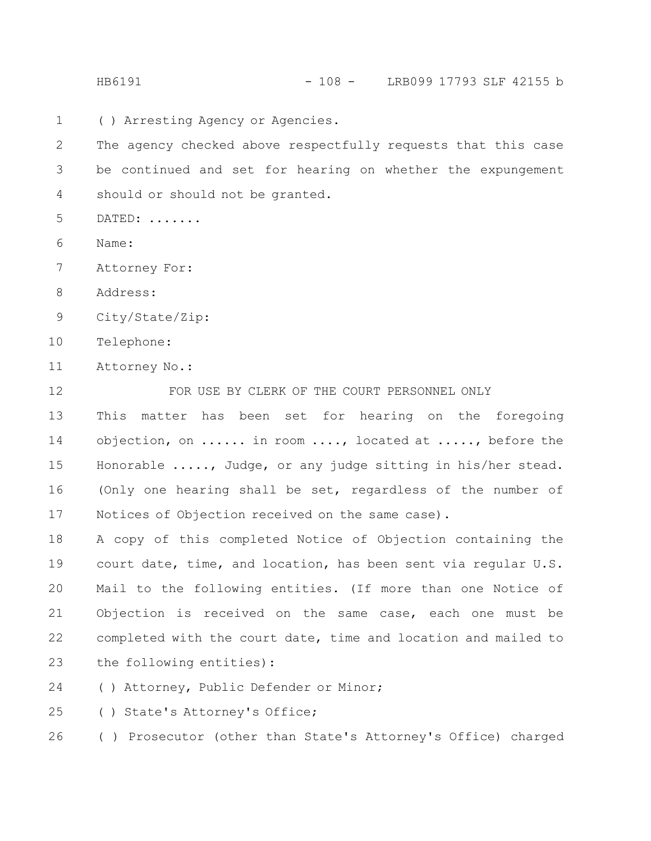( ) Arresting Agency or Agencies. 1

The agency checked above respectfully requests that this case be continued and set for hearing on whether the expungement should or should not be granted. 2 3 4

- DATED: ....... 5
- Name: 6
- Attorney For: 7
- Address: 8
- City/State/Zip: 9
- Telephone: 10
- Attorney No.: 11

FOR USE BY CLERK OF THE COURT PERSONNEL ONLY This matter has been set for hearing on the foregoing objection, on ...... in room ...., located at ....., before the Honorable ....., Judge, or any judge sitting in his/her stead. (Only one hearing shall be set, regardless of the number of Notices of Objection received on the same case). 12 13 14 15 16 17

A copy of this completed Notice of Objection containing the court date, time, and location, has been sent via regular U.S. Mail to the following entities. (If more than one Notice of Objection is received on the same case, each one must be completed with the court date, time and location and mailed to the following entities): 18 19 20 21 22 23

( ) Attorney, Public Defender or Minor; 24

( ) State's Attorney's Office; 25

( ) Prosecutor (other than State's Attorney's Office) charged 26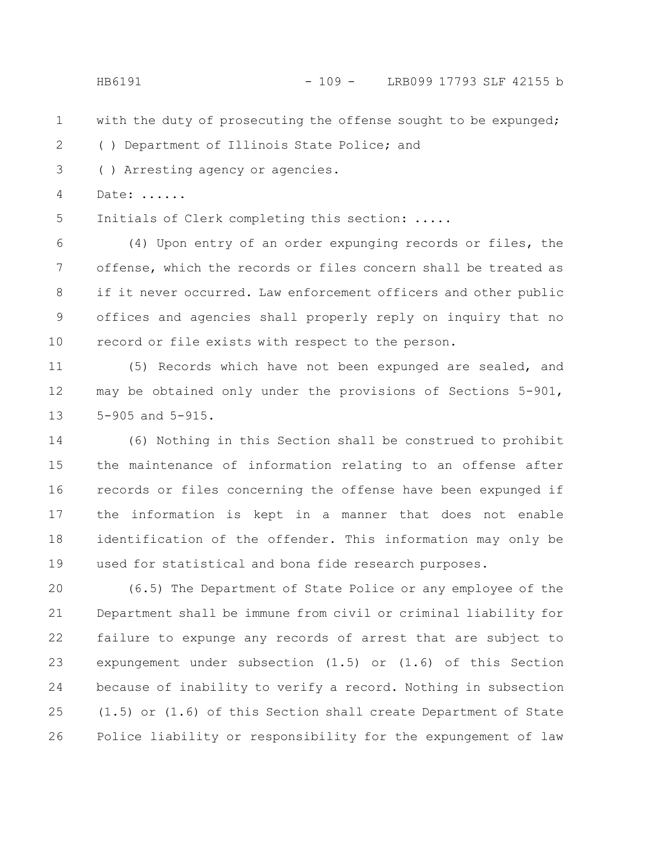## HB6191 - 109 - LRB099 17793 SLF 42155 b

with the duty of prosecuting the offense sought to be expunged; 1

( ) Department of Illinois State Police; and 2

( ) Arresting agency or agencies. 3

Date: ...... 4

Initials of Clerk completing this section: ..... 5

(4) Upon entry of an order expunging records or files, the offense, which the records or files concern shall be treated as if it never occurred. Law enforcement officers and other public offices and agencies shall properly reply on inquiry that no record or file exists with respect to the person. 6 7 8 9 10

(5) Records which have not been expunged are sealed, and may be obtained only under the provisions of Sections 5-901, 5-905 and 5-915. 11 12 13

(6) Nothing in this Section shall be construed to prohibit the maintenance of information relating to an offense after records or files concerning the offense have been expunged if the information is kept in a manner that does not enable identification of the offender. This information may only be used for statistical and bona fide research purposes. 14 15 16 17 18 19

(6.5) The Department of State Police or any employee of the Department shall be immune from civil or criminal liability for failure to expunge any records of arrest that are subject to expungement under subsection (1.5) or (1.6) of this Section because of inability to verify a record. Nothing in subsection (1.5) or (1.6) of this Section shall create Department of State Police liability or responsibility for the expungement of law 20 21 22 23 24 25 26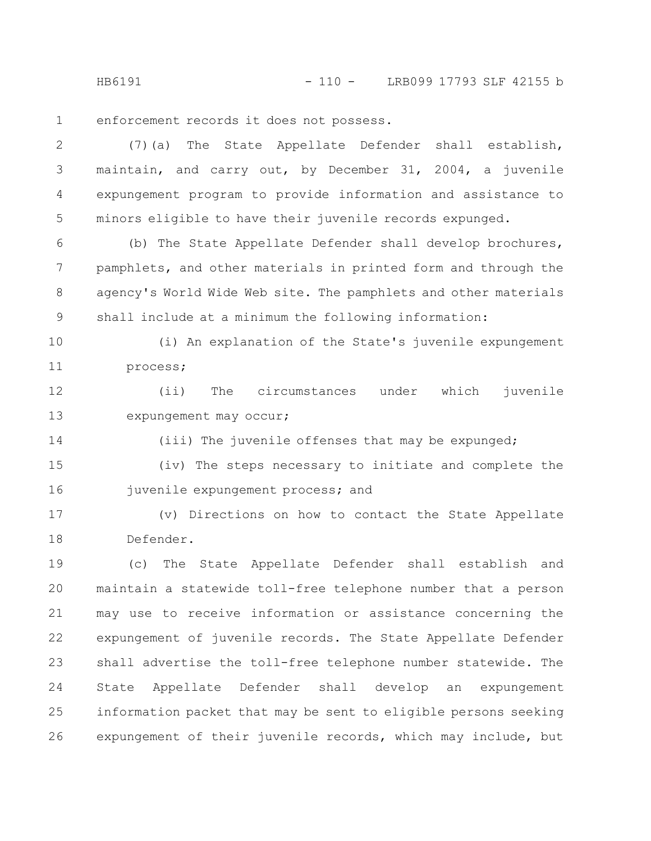HB6191 - 110 - LRB099 17793 SLF 42155 b

enforcement records it does not possess. 1

(7)(a) The State Appellate Defender shall establish, maintain, and carry out, by December 31, 2004, a juvenile expungement program to provide information and assistance to minors eligible to have their juvenile records expunged. 2 3 4 5

(b) The State Appellate Defender shall develop brochures, pamphlets, and other materials in printed form and through the agency's World Wide Web site. The pamphlets and other materials shall include at a minimum the following information: 6 7 8 9

(i) An explanation of the State's juvenile expungement process; 10 11

(ii) The circumstances under which juvenile expungement may occur; 12 13

(iii) The juvenile offenses that may be expunged; 14

(iv) The steps necessary to initiate and complete the juvenile expungement process; and 15 16

(v) Directions on how to contact the State Appellate Defender. 17 18

(c) The State Appellate Defender shall establish and maintain a statewide toll-free telephone number that a person may use to receive information or assistance concerning the expungement of juvenile records. The State Appellate Defender shall advertise the toll-free telephone number statewide. The State Appellate Defender shall develop an expungement information packet that may be sent to eligible persons seeking expungement of their juvenile records, which may include, but 19 20 21 22 23 24 25 26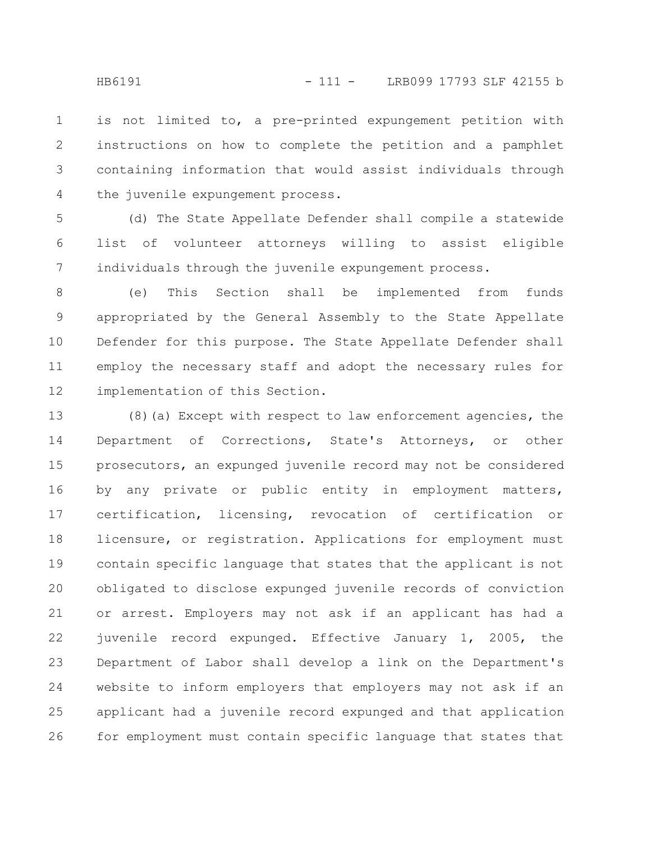is not limited to, a pre-printed expungement petition with instructions on how to complete the petition and a pamphlet containing information that would assist individuals through the juvenile expungement process. 1 2 3 4

(d) The State Appellate Defender shall compile a statewide list of volunteer attorneys willing to assist eligible individuals through the juvenile expungement process. 5 6 7

(e) This Section shall be implemented from funds appropriated by the General Assembly to the State Appellate Defender for this purpose. The State Appellate Defender shall employ the necessary staff and adopt the necessary rules for implementation of this Section. 8 9 10 11 12

(8)(a) Except with respect to law enforcement agencies, the Department of Corrections, State's Attorneys, or other prosecutors, an expunged juvenile record may not be considered by any private or public entity in employment matters, certification, licensing, revocation of certification or licensure, or registration. Applications for employment must contain specific language that states that the applicant is not obligated to disclose expunged juvenile records of conviction or arrest. Employers may not ask if an applicant has had a juvenile record expunged. Effective January 1, 2005, the Department of Labor shall develop a link on the Department's website to inform employers that employers may not ask if an applicant had a juvenile record expunged and that application for employment must contain specific language that states that 13 14 15 16 17 18 19 20 21 22 23 24 25 26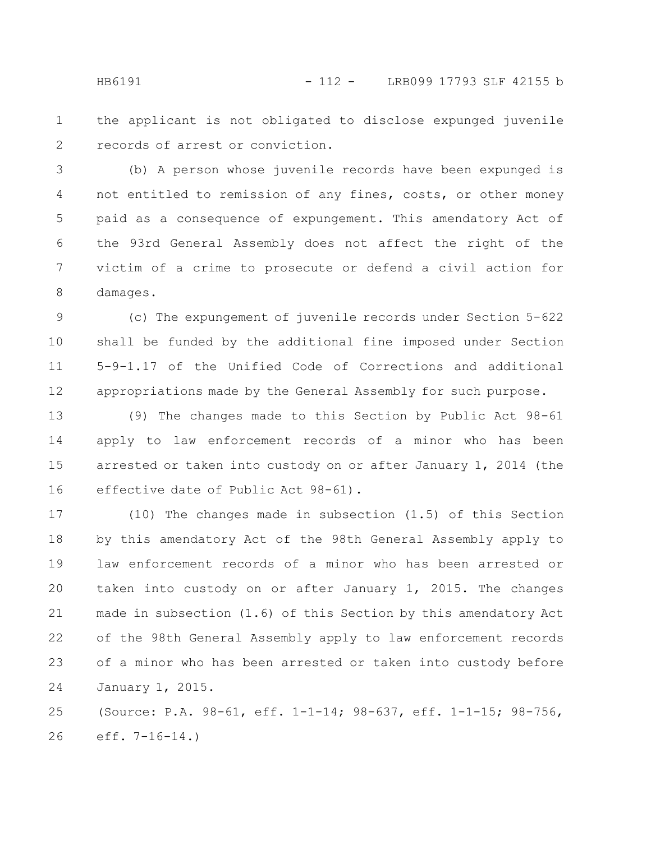the applicant is not obligated to disclose expunged juvenile records of arrest or conviction. 1 2

(b) A person whose juvenile records have been expunged is not entitled to remission of any fines, costs, or other money paid as a consequence of expungement. This amendatory Act of the 93rd General Assembly does not affect the right of the victim of a crime to prosecute or defend a civil action for damages. 3 4 5 6 7 8

(c) The expungement of juvenile records under Section 5-622 shall be funded by the additional fine imposed under Section 5-9-1.17 of the Unified Code of Corrections and additional appropriations made by the General Assembly for such purpose. 9 10 11 12

(9) The changes made to this Section by Public Act 98-61 apply to law enforcement records of a minor who has been arrested or taken into custody on or after January 1, 2014 (the effective date of Public Act 98-61). 13 14 15 16

(10) The changes made in subsection (1.5) of this Section by this amendatory Act of the 98th General Assembly apply to law enforcement records of a minor who has been arrested or taken into custody on or after January 1, 2015. The changes made in subsection (1.6) of this Section by this amendatory Act of the 98th General Assembly apply to law enforcement records of a minor who has been arrested or taken into custody before January 1, 2015. 17 18 19 20 21 22 23 24

(Source: P.A. 98-61, eff. 1-1-14; 98-637, eff. 1-1-15; 98-756, eff. 7-16-14.) 25 26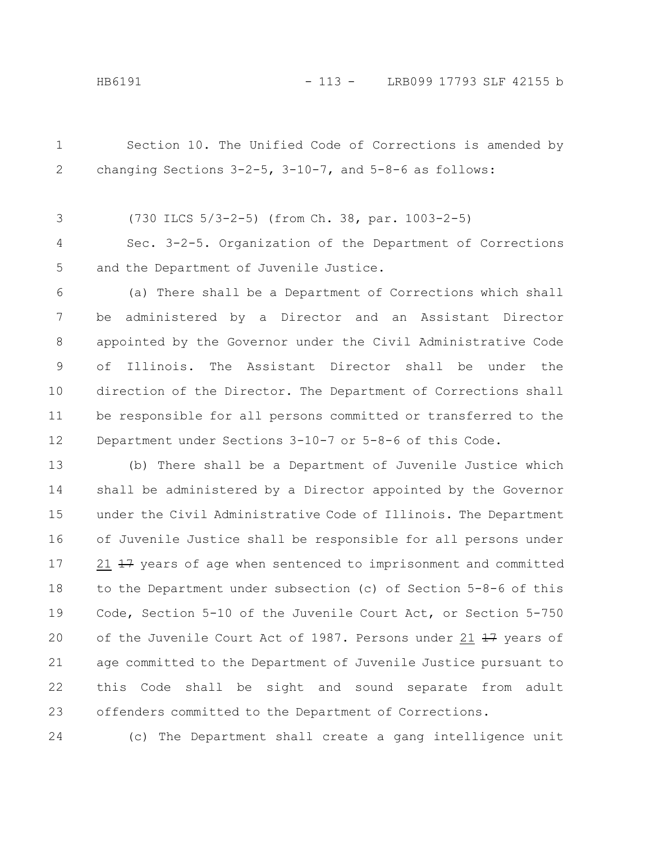Section 10. The Unified Code of Corrections is amended by changing Sections 3-2-5, 3-10-7, and 5-8-6 as follows: 1 2

(730 ILCS 5/3-2-5) (from Ch. 38, par. 1003-2-5) 3

Sec. 3-2-5. Organization of the Department of Corrections and the Department of Juvenile Justice. 4 5

(a) There shall be a Department of Corrections which shall be administered by a Director and an Assistant Director appointed by the Governor under the Civil Administrative Code of Illinois. The Assistant Director shall be under the direction of the Director. The Department of Corrections shall be responsible for all persons committed or transferred to the Department under Sections 3-10-7 or 5-8-6 of this Code. 6 7 8 9 10 11 12

(b) There shall be a Department of Juvenile Justice which shall be administered by a Director appointed by the Governor under the Civil Administrative Code of Illinois. The Department of Juvenile Justice shall be responsible for all persons under 21  $\pm$ 7 years of age when sentenced to imprisonment and committed to the Department under subsection (c) of Section 5-8-6 of this Code, Section 5-10 of the Juvenile Court Act, or Section 5-750 of the Juvenile Court Act of 1987. Persons under 21  $\frac{17}{17}$  years of age committed to the Department of Juvenile Justice pursuant to this Code shall be sight and sound separate from adult offenders committed to the Department of Corrections. 13 14 15 16 17 18 19 20 21 22 23

24

(c) The Department shall create a gang intelligence unit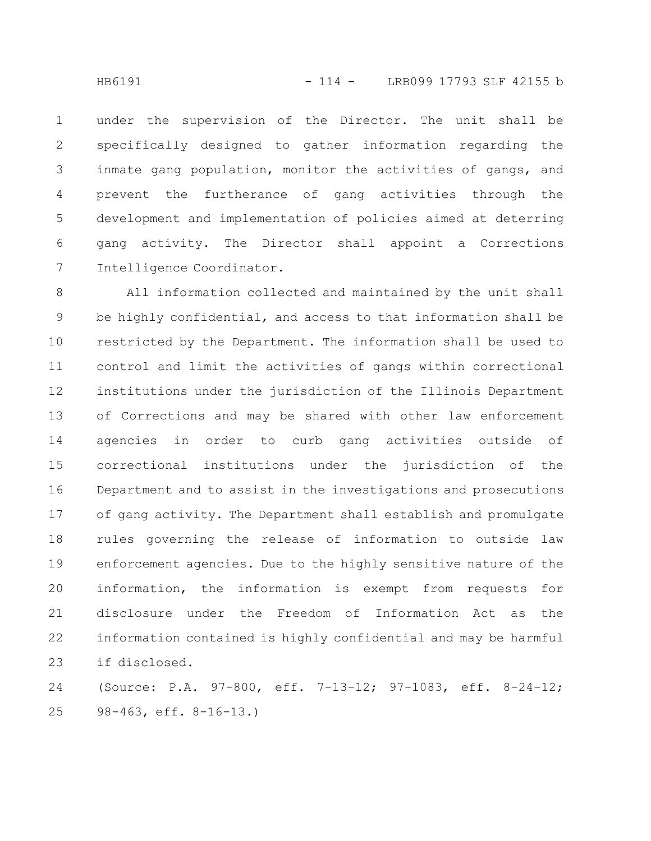under the supervision of the Director. The unit shall be specifically designed to gather information regarding the inmate gang population, monitor the activities of gangs, and prevent the furtherance of gang activities through the development and implementation of policies aimed at deterring gang activity. The Director shall appoint a Corrections Intelligence Coordinator. 1 2 3 4 5 6 7

All information collected and maintained by the unit shall be highly confidential, and access to that information shall be restricted by the Department. The information shall be used to control and limit the activities of gangs within correctional institutions under the jurisdiction of the Illinois Department of Corrections and may be shared with other law enforcement agencies in order to curb gang activities outside of correctional institutions under the jurisdiction of the Department and to assist in the investigations and prosecutions of gang activity. The Department shall establish and promulgate rules governing the release of information to outside law enforcement agencies. Due to the highly sensitive nature of the information, the information is exempt from requests for disclosure under the Freedom of Information Act as the information contained is highly confidential and may be harmful if disclosed. 8 9 10 11 12 13 14 15 16 17 18 19 20 21 22 23

(Source: P.A. 97-800, eff. 7-13-12; 97-1083, eff. 8-24-12; 98-463, eff. 8-16-13.) 24 25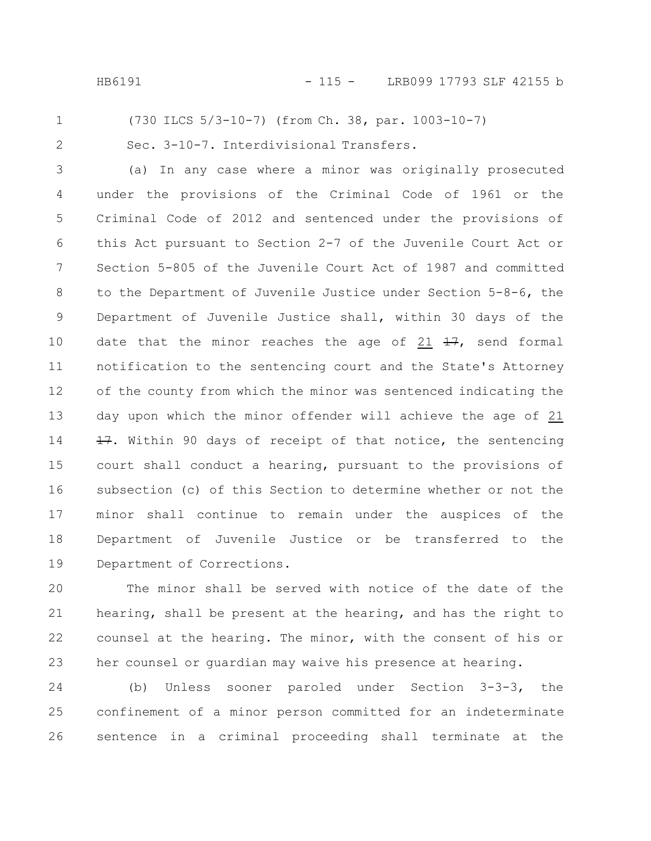HB6191 - 115 - LRB099 17793 SLF 42155 b

## (730 ILCS 5/3-10-7) (from Ch. 38, par. 1003-10-7)

2

1

Sec. 3-10-7. Interdivisional Transfers.

(a) In any case where a minor was originally prosecuted under the provisions of the Criminal Code of 1961 or the Criminal Code of 2012 and sentenced under the provisions of this Act pursuant to Section 2-7 of the Juvenile Court Act or Section 5-805 of the Juvenile Court Act of 1987 and committed to the Department of Juvenile Justice under Section 5-8-6, the Department of Juvenile Justice shall, within 30 days of the date that the minor reaches the age of 21  $\frac{17}{17}$ , send formal notification to the sentencing court and the State's Attorney of the county from which the minor was sentenced indicating the day upon which the minor offender will achieve the age of 21 17. Within 90 days of receipt of that notice, the sentencing court shall conduct a hearing, pursuant to the provisions of subsection (c) of this Section to determine whether or not the minor shall continue to remain under the auspices of the Department of Juvenile Justice or be transferred to the Department of Corrections. 3 4 5 6 7 8 9 10 11 12 13 14 15 16 17 18 19

The minor shall be served with notice of the date of the hearing, shall be present at the hearing, and has the right to counsel at the hearing. The minor, with the consent of his or her counsel or guardian may waive his presence at hearing. 20 21 22 23

(b) Unless sooner paroled under Section 3-3-3, the confinement of a minor person committed for an indeterminate sentence in a criminal proceeding shall terminate at the 24 25 26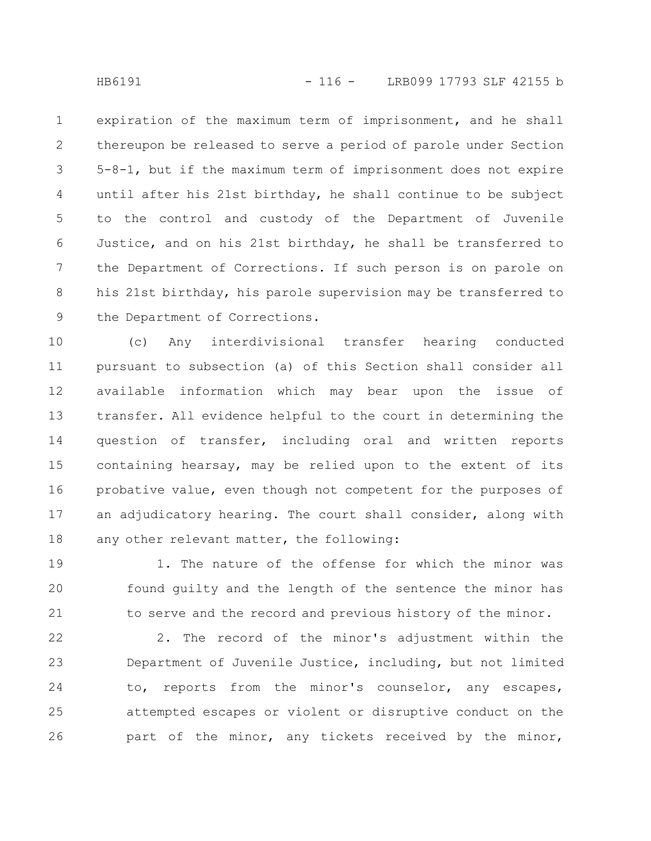expiration of the maximum term of imprisonment, and he shall thereupon be released to serve a period of parole under Section 5-8-1, but if the maximum term of imprisonment does not expire until after his 21st birthday, he shall continue to be subject to the control and custody of the Department of Juvenile Justice, and on his 21st birthday, he shall be transferred to the Department of Corrections. If such person is on parole on his 21st birthday, his parole supervision may be transferred to the Department of Corrections. 1 2 3 4 5 6 7 8 9

(c) Any interdivisional transfer hearing conducted pursuant to subsection (a) of this Section shall consider all available information which may bear upon the issue of transfer. All evidence helpful to the court in determining the question of transfer, including oral and written reports containing hearsay, may be relied upon to the extent of its probative value, even though not competent for the purposes of an adjudicatory hearing. The court shall consider, along with any other relevant matter, the following: 10 11 12 13 14 15 16 17 18

1. The nature of the offense for which the minor was found guilty and the length of the sentence the minor has to serve and the record and previous history of the minor. 19 20 21

2. The record of the minor's adjustment within the Department of Juvenile Justice, including, but not limited to, reports from the minor's counselor, any escapes, attempted escapes or violent or disruptive conduct on the part of the minor, any tickets received by the minor, 22 23 24 25 26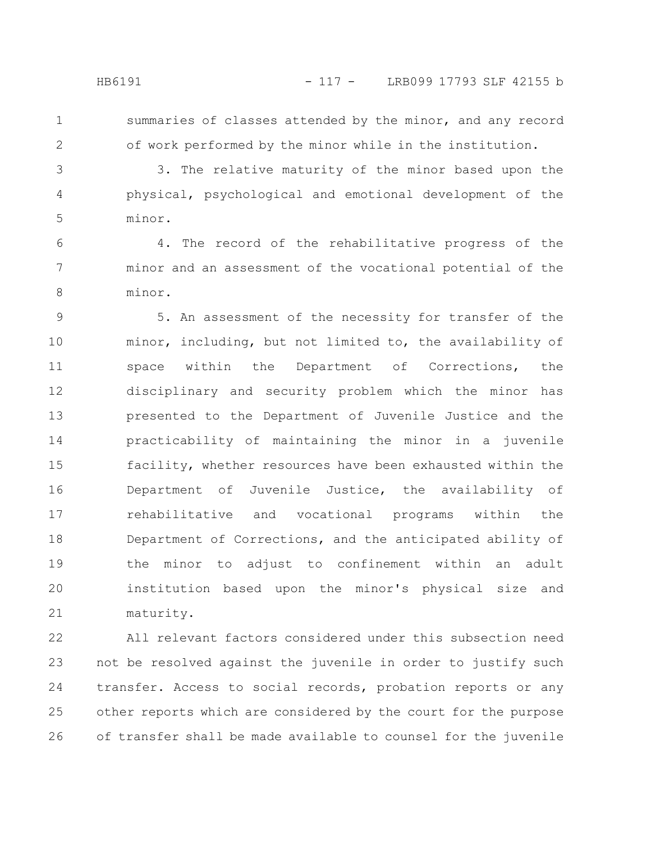1 2 summaries of classes attended by the minor, and any record of work performed by the minor while in the institution.

3 4

5

3. The relative maturity of the minor based upon the physical, psychological and emotional development of the minor.

4. The record of the rehabilitative progress of the minor and an assessment of the vocational potential of the minor. 6 7 8

5. An assessment of the necessity for transfer of the minor, including, but not limited to, the availability of space within the Department of Corrections, the disciplinary and security problem which the minor has presented to the Department of Juvenile Justice and the practicability of maintaining the minor in a juvenile facility, whether resources have been exhausted within the Department of Juvenile Justice, the availability of rehabilitative and vocational programs within the Department of Corrections, and the anticipated ability of the minor to adjust to confinement within an adult institution based upon the minor's physical size and maturity. 9 10 11 12 13 14 15 16 17 18 19 20 21

All relevant factors considered under this subsection need not be resolved against the juvenile in order to justify such transfer. Access to social records, probation reports or any other reports which are considered by the court for the purpose of transfer shall be made available to counsel for the juvenile 22 23 24 25 26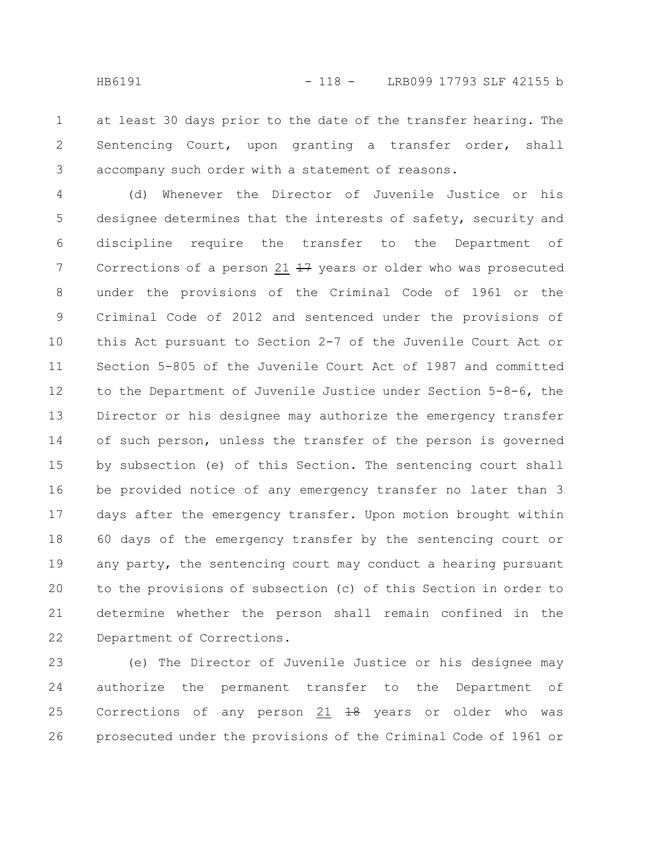at least 30 days prior to the date of the transfer hearing. The Sentencing Court, upon granting a transfer order, shall accompany such order with a statement of reasons. 1 2 3

(d) Whenever the Director of Juvenile Justice or his designee determines that the interests of safety, security and discipline require the transfer to the Department of Corrections of a person  $21$   $17$  years or older who was prosecuted under the provisions of the Criminal Code of 1961 or the Criminal Code of 2012 and sentenced under the provisions of this Act pursuant to Section 2-7 of the Juvenile Court Act or Section 5-805 of the Juvenile Court Act of 1987 and committed to the Department of Juvenile Justice under Section 5-8-6, the Director or his designee may authorize the emergency transfer of such person, unless the transfer of the person is governed by subsection (e) of this Section. The sentencing court shall be provided notice of any emergency transfer no later than 3 days after the emergency transfer. Upon motion brought within 60 days of the emergency transfer by the sentencing court or any party, the sentencing court may conduct a hearing pursuant to the provisions of subsection (c) of this Section in order to determine whether the person shall remain confined in the Department of Corrections. 4 5 6 7 8 9 10 11 12 13 14 15 16 17 18 19 20 21 22

(e) The Director of Juvenile Justice or his designee may authorize the permanent transfer to the Department of Corrections of any person 21  $18$  years or older who was prosecuted under the provisions of the Criminal Code of 1961 or 23 24 25 26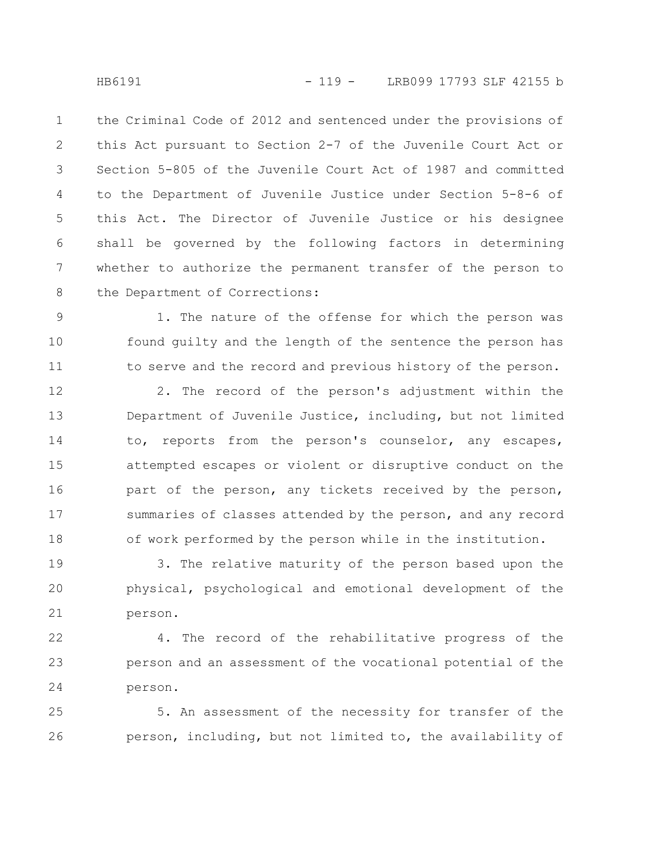the Criminal Code of 2012 and sentenced under the provisions of this Act pursuant to Section 2-7 of the Juvenile Court Act or Section 5-805 of the Juvenile Court Act of 1987 and committed to the Department of Juvenile Justice under Section 5-8-6 of this Act. The Director of Juvenile Justice or his designee shall be governed by the following factors in determining whether to authorize the permanent transfer of the person to the Department of Corrections: 1 2 3 4 5 6 7 8

1. The nature of the offense for which the person was found guilty and the length of the sentence the person has to serve and the record and previous history of the person. 9 10 11

2. The record of the person's adjustment within the Department of Juvenile Justice, including, but not limited to, reports from the person's counselor, any escapes, attempted escapes or violent or disruptive conduct on the part of the person, any tickets received by the person, summaries of classes attended by the person, and any record of work performed by the person while in the institution. 12 13 14 15 16 17 18

3. The relative maturity of the person based upon the physical, psychological and emotional development of the person. 19 20 21

4. The record of the rehabilitative progress of the person and an assessment of the vocational potential of the person. 22 23 24

5. An assessment of the necessity for transfer of the person, including, but not limited to, the availability of 25 26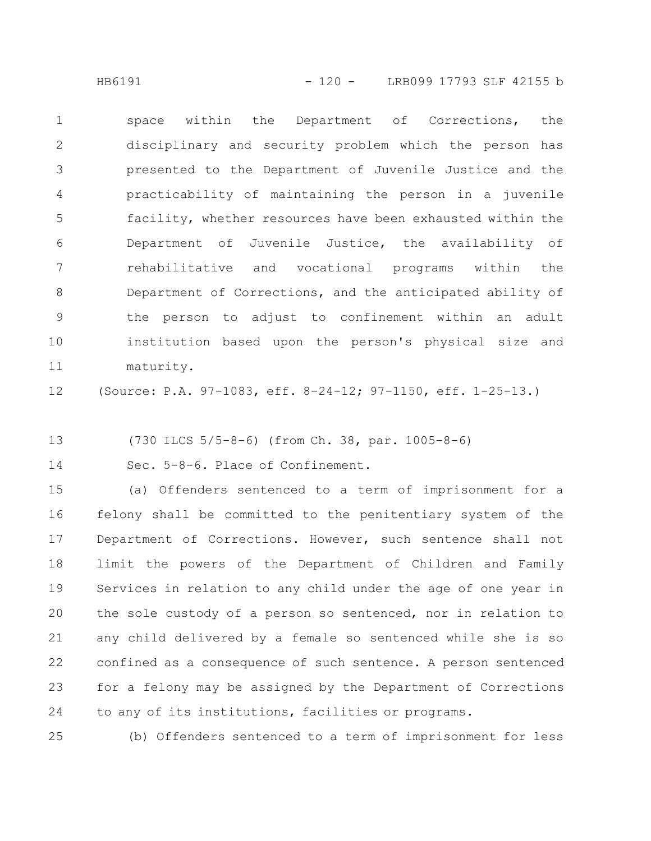HB6191 - 120 - LRB099 17793 SLF 42155 b

space within the Department of Corrections, the disciplinary and security problem which the person has presented to the Department of Juvenile Justice and the practicability of maintaining the person in a juvenile facility, whether resources have been exhausted within the Department of Juvenile Justice, the availability of rehabilitative and vocational programs within the Department of Corrections, and the anticipated ability of the person to adjust to confinement within an adult institution based upon the person's physical size and maturity. 1 2 3 4 5 6 7 8 9 10 11

(Source: P.A. 97-1083, eff. 8-24-12; 97-1150, eff. 1-25-13.) 12

(730 ILCS 5/5-8-6) (from Ch. 38, par. 1005-8-6) 13

Sec. 5-8-6. Place of Confinement. 14

(a) Offenders sentenced to a term of imprisonment for a felony shall be committed to the penitentiary system of the Department of Corrections. However, such sentence shall not limit the powers of the Department of Children and Family Services in relation to any child under the age of one year in the sole custody of a person so sentenced, nor in relation to any child delivered by a female so sentenced while she is so confined as a consequence of such sentence. A person sentenced for a felony may be assigned by the Department of Corrections to any of its institutions, facilities or programs. 15 16 17 18 19 20 21 22 23 24

(b) Offenders sentenced to a term of imprisonment for less 25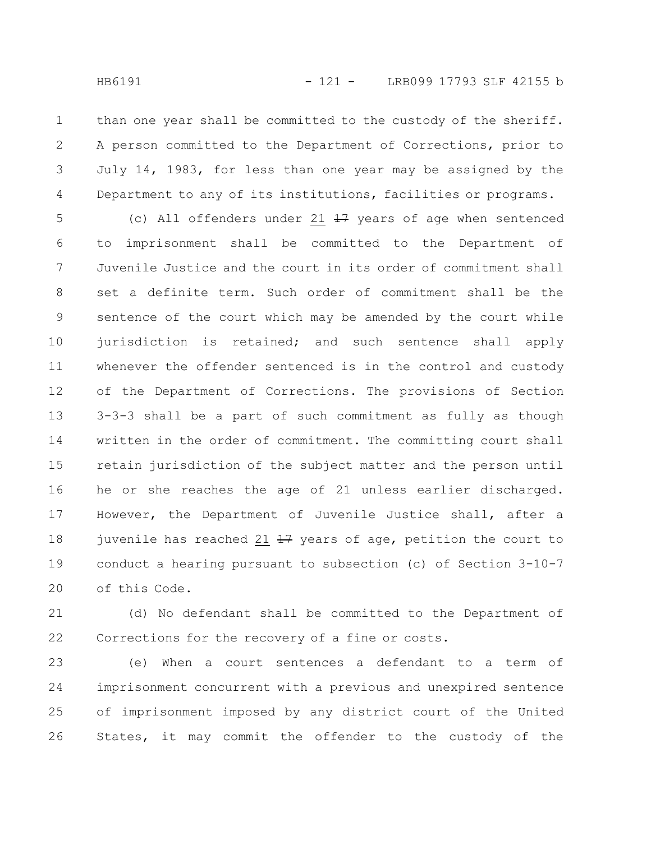than one year shall be committed to the custody of the sheriff. A person committed to the Department of Corrections, prior to July 14, 1983, for less than one year may be assigned by the Department to any of its institutions, facilities or programs. 1 2 3 4

(c) All offenders under 21  $\frac{17}{17}$  years of age when sentenced to imprisonment shall be committed to the Department of Juvenile Justice and the court in its order of commitment shall set a definite term. Such order of commitment shall be the sentence of the court which may be amended by the court while jurisdiction is retained; and such sentence shall apply whenever the offender sentenced is in the control and custody of the Department of Corrections. The provisions of Section 3-3-3 shall be a part of such commitment as fully as though written in the order of commitment. The committing court shall retain jurisdiction of the subject matter and the person until he or she reaches the age of 21 unless earlier discharged. However, the Department of Juvenile Justice shall, after a juvenile has reached 21  $17$  years of age, petition the court to conduct a hearing pursuant to subsection (c) of Section 3-10-7 of this Code. 5 6 7 8 9 10 11 12 13 14 15 16 17 18 19 20

(d) No defendant shall be committed to the Department of Corrections for the recovery of a fine or costs. 21 22

(e) When a court sentences a defendant to a term of imprisonment concurrent with a previous and unexpired sentence of imprisonment imposed by any district court of the United States, it may commit the offender to the custody of the 23 24 25 26